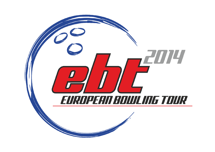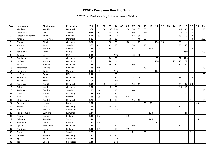| Pos            | Last name         | First name    | Federation | <b>Tot</b> | 01  | 02 | 03  | 04  | 05 | 06  | 07  | 08 | 09  | 10 <sub>1</sub> | 11  | $12$ | 13 | 14 | 15  | 16  | 17 | 18 | 19  |
|----------------|-------------------|---------------|------------|------------|-----|----|-----|-----|----|-----|-----|----|-----|-----------------|-----|------|----|----|-----|-----|----|----|-----|
| $\mathbf 1$    | Kjeldsen          | Kamilla       | Denmark    | 968        |     | 50 | 100 | 250 |    | 150 | 28  | 35 | 30  |                 |     |      |    |    | 105 | 45  | 50 |    | 125 |
| $\overline{2}$ | Andersson         | Ida           | Sweden     | 696        | 120 |    | 24  | 125 |    |     | 80  |    | 100 |                 |     |      |    |    | 150 | 75  | 22 |    |     |
| 3              | Persson-Planefors | Joline        | Sweden     | 526        | 150 |    | 48  | 120 |    |     | 42  | 30 |     |                 |     |      |    |    | 63  | 60  | 13 |    |     |
| 4              | Jensen            | Mai Ginge     | Denmark    | 521        |     |    | 70  | 15  |    |     | 46  | 40 | 60  |                 |     |      |    |    |     |     | 40 |    | 250 |
| 5              | Pöppler           | <b>Birgit</b> | Germany    | 502        |     |    | 60  | 30  |    | 120 |     | 23 |     |                 | 150 | 50   |    |    | 69  |     |    |    |     |
| 6              | Wegner            | Jenny         | Sweden     | 385        | 42  |    | 42  | 20  |    |     | 70  |    | 70  |                 |     |      |    |    | 75  | 66  |    |    |     |
| $\overline{7}$ | Larsen            | Rebecka       | Sweden     | 378        | 75  |    | 80  |     |    |     | 48  |    |     | 150             |     |      |    |    |     |     | 25 |    |     |
| 8              | Zavjalova         | Diana         | Latvia     | 350        |     |    |     |     |    |     |     |    |     |                 |     |      |    |    |     | 150 |    |    | 200 |
| 9              | Johnson           | Liz           | <b>USA</b> | 325        |     |    |     | 175 |    |     | 100 | 50 |     |                 |     |      |    |    |     |     |    |    |     |
| 10             | Beuthner          | Laura         | Germany    | 313        |     |    | 26  | 20  |    |     |     |    |     |                 | 75  |      |    |    | 72  | 120 |    |    |     |
| 11             | de Rooij          | Maxime        | Germany    | 291        |     |    | 24  | 5   |    |     |     |    |     |                 | 120 |      |    | 25 | 45  | 72  |    |    |     |
| 12             | Wedel             | Sascha        | Denmark    | 275        |     |    | 16  | 70  |    |     | 60  |    |     |                 |     |      |    |    | 60  | 69  |    |    |     |
| 13             | Johansson         | Victoria      | Sweden     | 259        | 69  |    |     |     |    |     |     |    | 40  |                 |     |      |    |    |     |     |    |    | 150 |
| 14             | Kovalova          | Daria         | Ukraine    | 252        | 42  |    |     | 105 |    |     |     |    |     |                 | 105 |      |    |    |     |     |    |    |     |
| 15             | McEwan            | Danielle      | <b>USA</b> | 240        |     |    |     | 65  |    |     |     |    |     |                 |     |      |    |    |     |     |    |    | 175 |
| 16             | Bröndsted         | <b>Britt</b>  | Denmark    | 219        |     |    |     | 70  |    |     | 24  | 24 |     |                 |     |      |    |    | 66  |     | 35 |    |     |
| 17             | Kulick            | Kelly         | <b>USA</b> | 200        |     |    |     | 200 |    |     |     |    |     |                 |     |      |    |    |     |     |    |    |     |
| 18             | Rasmussen         | Pernille      | Denmark    | 199        |     | 35 |     | 55  |    |     | 12  | 11 |     |                 |     |      |    |    | 24  | 39  | 23 |    |     |
| 19             | Schütz            | Martina       | Germany    | 198        |     |    | 6   | 30  |    |     |     |    |     |                 |     |      |    |    | 120 | 42  |    |    |     |
| 20             | Andersson         | Sandra        | Sweden     | 197        | 18  |    |     | 15  |    |     | 44  |    |     |                 |     |      |    |    |     |     |    |    | 120 |
| 21             | Luoto             | Patricia      | Germany    | 189        | 90  |    |     | 60  |    |     |     |    |     |                 |     |      |    |    |     | 39  |    |    |     |
| 22             | Maja              | Piritta       | Finland    | 189        | 105 |    |     | 15  |    | 69  |     |    |     |                 |     |      |    |    |     |     |    |    |     |
| 23             | Christensen       | Randi B.      | Denmark    | 173        |     |    | 8   | 10  |    |     | 16  | 13 |     |                 |     |      |    |    |     |     | 11 |    | 115 |
| 24             | Gaillard          | Laurence      | France     | 158        |     |    |     |     |    |     |     |    | 28  | 90              |     |      |    |    |     |     |    | 40 |     |
| 25             | Kabowski          | Lisa          | Germany    | 150        |     |    | 30  | 30  |    |     |     |    |     |                 |     |      |    |    | 90  |     |    |    |     |
| 26             | Tan               | Jazreel       | Singapore  | 150        |     |    |     | 150 |    |     |     |    |     |                 |     |      |    |    |     |     |    |    |     |
| 27             | Farkas-Bucin      | Luminita      | Romania    | 144        |     |    |     |     |    |     |     |    |     | 120             |     |      |    |    |     | 24  |    |    |     |
| 28             | Pasanen           | Sanna         | Finland    | 141        | 36  |    |     |     |    | 105 |     |    |     |                 |     |      |    |    |     |     |    |    |     |
| 29             | Balzano           | Annalisa      | Italy      | 140        |     |    |     |     |    |     |     |    |     | 105             |     |      |    |    |     |     |    | 35 |     |
| 30             | Korobkova         | Alena         | Russia     | 135        | 45  |    |     |     |    |     |     |    |     |                 | 90  |      |    |    |     |     |    |    |     |
| 31             | Agerbo            | Rikke Holm    | Denmark    | 130        | 24  |    |     | 20  |    |     | 40  | 22 |     |                 |     |      |    |    | 24  |     |    |    |     |
| 32             | Pöntinen          | Marjo         | Finland    | 126        | 39  |    |     | 15  |    | 72  |     |    |     |                 |     |      |    |    |     |     |    |    |     |
| 33             | Flack             | Nina          | Sweden     | 123        |     |    |     |     |    |     | 22  |    | 80  |                 |     |      |    |    |     |     | 21 |    |     |
| 34             | Geissler          | Nadine        | Germany    | 121        |     |    | 46  | 75  |    |     |     |    |     |                 |     |      |    |    |     |     |    |    |     |
| 35             | Ng                | Shayna        | Singapore  | 115        |     |    |     | 115 |    |     |     |    |     |                 |     |      |    |    |     |     |    |    |     |
| 36             | Tan               | Cherie        | Singapore  | 110        |     |    |     | 110 |    |     |     |    |     |                 |     |      |    |    |     |     |    |    |     |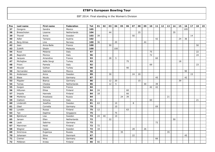| Pos | Last name         | First name    | Federation  | <b>Tot</b> | 01 | 02 | 03 | 04  | 05 | 06 | 07 | 08 | 09 | 10 | 11 | 12 | 13 | 14 | 15 | 16  | 17 | 18 | 19 |
|-----|-------------------|---------------|-------------|------------|----|----|----|-----|----|----|----|----|----|----|----|----|----|----|----|-----|----|----|----|
| 37  | Gongora           | Sandra        | Mexico      | 105        |    |    |    |     |    |    |    |    |    |    |    |    |    |    |    | 105 |    |    |    |
| 38  | Breeschoten       | Lisanne       | Netherlands | 104        |    |    | 44 |     |    |    |    | 25 |    |    |    |    |    | 35 |    |     |    |    |    |
| 39  | Thorell           | Annie         | Sweden      | 103        | 39 |    |    |     |    |    | 50 |    |    |    |    |    |    |    |    |     | 14 |    |    |
| 40  | Adler             | Tamara        | Austria     | 102        |    |    |    |     |    |    |    |    |    |    | 42 |    |    |    | 24 | 36  |    |    |    |
| 41  | <b>Berg Almes</b> | Line          | Norway      | 100        | 36 |    |    | 20  |    |    |    |    | 44 |    |    |    |    |    |    |     |    |    |    |
| 42  | Jean              | Anna-Belle    | France      | 100        |    |    | 50 |     |    |    |    |    |    |    |    |    |    |    |    |     |    | 50 |    |
| 43  | Zulkifli          | Shalin        | Malaysia    | 100        |    |    |    | 100 |    |    |    |    |    |    |    |    |    |    |    |     |    |    |    |
| 44  | Rossi             | Melania       | Italy       | 97         |    |    |    |     |    |    |    |    |    | 75 |    |    |    |    |    |     |    | 22 |    |
| 45  | Bagnolini         | Monica        | Italy       | 96         |    |    |    |     |    |    |    |    |    | 72 |    |    |    |    |    |     |    | 24 |    |
| 46  | Jacques           | Amandine      | France      | 93         |    |    | 28 | 5   |    |    |    |    |    |    | 60 |    |    |    |    |     |    |    |    |
| 47  | Michajlow         | Adile Sevgi   | Turkey      | 93         |    |    |    |     |    | 75 |    |    |    |    |    |    |    |    | 18 |     |    |    |    |
| 48  | Frioni            | Pamela        | Italy       | 92         |    |    |    |     |    |    |    |    |    | 69 |    |    |    |    |    |     |    | 23 |    |
| 49  | Aksular           | Gülhan        | Turkey      | 90         |    |    |    |     |    | 90 |    |    |    |    |    |    |    |    |    |     |    |    |    |
| 50  | Hernandez         | Gabriela      | Mexico      | 90         |    |    |    |     |    |    |    |    |    |    |    |    |    |    |    | 90  |    |    |    |
| 51  | Andersson         | Anna          | Sweden      | 89         |    |    | 30 |     |    |    | 24 | 20 |    |    |    |    |    |    |    |     | 15 |    |    |
| 52  | <b>Blase</b>      | Nicole        | Germany     | 87         |    |    |    |     |    |    |    |    |    |    | 45 |    |    |    |    | 42  |    |    |    |
| 53  | Pöppler           | <b>Bianca</b> | Germany     | 86         |    |    | 12 | 20  |    |    |    | 15 |    |    |    |    |    |    | 39 |     |    |    |    |
| 54  | Tomas             | Cheska        | Netherlands | 86         |    |    | 12 | 5   |    |    |    |    | 30 |    | 39 |    |    |    |    |     |    |    |    |
| 55  | Guigon            | Daniele       | France      | 84         |    |    |    |     |    |    |    |    |    | 42 | 42 |    |    |    |    |     |    |    |    |
| 56  | Hiltunen          | Eliisa        | Finland     | 84         | 24 |    |    |     |    | 60 |    |    |    |    |    |    |    |    |    |     |    |    |    |
| 57  | Impola            | Hannele       | Finland     | 84         | 18 |    |    |     |    | 66 |    |    |    |    |    |    |    |    |    |     |    |    |    |
| 58  | Mishkina          | Anastasia     | Russia      | 84         |    |    |    |     | 24 | 39 |    |    |    |    |    |    | 21 |    |    |     |    |    |    |
| 59  | Ciattoni          | Simona        | Italy       | 81         |    |    |    |     |    |    |    |    |    | 60 |    |    |    |    |    |     |    | 21 |    |
| 60  | Linderoth         | Josefine      | Sweden      | 81         | 63 |    |    | 10  |    |    | 8  |    |    |    |    |    |    |    |    |     |    |    |    |
| 61  | Glasl             | Cornelia      | Germany     | 79         |    |    |    | 10  |    |    |    |    |    |    | 69 |    |    |    |    |     |    |    |    |
| 62  | Lundén            | Roosa         | Finland     | 75         | 12 |    |    |     |    | 63 |    |    |    |    |    |    |    |    |    |     |    |    |    |
| 63  | Tan               | Daphne        | Singapore   | 75         |    |    |    | 75  |    |    |    |    |    |    |    |    |    |    |    |     |    |    |    |
| 64  | Björklund         | Lisa          | Sweden      | 74         | 24 | 40 |    | 10  |    |    |    |    |    |    |    |    |    |    |    |     |    |    |    |
| 65  | Jansen            | Ellen         | Netherlands | 72         |    |    | 22 |     |    |    |    |    |    |    |    |    |    | 50 |    |     |    |    |    |
| 66  | Laub              | Sabrina       | Germany     | 72         |    |    |    |     |    |    |    |    |    |    | 72 |    |    |    |    |     |    |    |    |
| 67  | Manninen          | Heidi         | Finland     | 72         | 72 |    |    |     |    |    |    |    |    |    |    |    |    |    |    |     |    |    |    |
| 68  | Wegner            | Cajsa         | Sweden      | 72         | 18 |    |    |     |    |    | 28 |    | 26 |    |    |    |    |    |    |     |    |    |    |
| 69  | Smirnova          | Evgeniya      | Russia      | 70         |    |    |    |     | 35 |    |    |    |    |    |    |    | 35 |    |    |     |    |    |    |
| 70  | Johansen          | Stine         | Denmark     | 67         |    |    |    |     |    |    | 22 |    |    |    |    |    |    |    |    | 45  |    |    |    |
| 71  | Cremer            | Nina          | Germany     | 66         |    |    |    |     |    |    |    |    |    |    | 66 |    |    |    |    |     |    |    |    |
| 72  | Pöllänen          | Krista        | Finland     | 66         | 66 |    |    |     |    |    |    |    |    |    |    |    |    |    |    |     |    |    |    |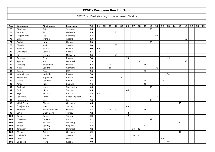| Pos | Last name     | First name     | Federation     | <b>Tot</b> | 01 | 02 | 03             | 04 | 05 | 06 | 07 | 08 | 09 | 10 | 11 | 12 | 13 | 14 | 15 | 16 | 17 | 18 | 19 |
|-----|---------------|----------------|----------------|------------|----|----|----------------|----|----|----|----|----|----|----|----|----|----|----|----|----|----|----|----|
| 73  | Stankova      | Petra          | Slovakia       | 66         |    |    |                |    |    |    |    |    |    | 66 |    |    |    |    |    |    |    |    |    |
| 74  | Amirah        | Siti           | Malaysia       | 65         |    |    |                | 65 |    |    |    |    |    |    |    |    |    |    |    |    |    |    |    |
| 75  | Degenhardt    | Lea            | Germany        | 63         |    |    |                |    |    |    |    |    |    |    | 63 |    |    |    |    |    |    |    |    |
| 76  | Gross         | Ivonne         | Austria        | 63         |    |    |                |    |    |    |    |    |    |    |    |    |    |    |    | 63 |    |    |    |
| 77  | Szabó         | Nóra           | Hungary        | 63         |    |    |                |    |    |    |    |    |    | 63 |    |    |    |    |    |    |    |    |    |
| 78  | Glendert      | Malin          | Sweden         | 60         |    |    |                | 60 |    |    |    |    |    |    |    |    |    |    |    |    |    |    |    |
| 79  | Jokinen       | Jonna          | Finland        | 60         | 60 |    |                |    |    |    |    |    |    |    |    |    |    |    |    |    |    |    |    |
| 80  | Gryaznova     | Varvara        | Russia         | 55         | 33 |    |                |    |    |    |    |    |    |    |    |    | 22 |    |    |    |    |    |    |
| 81  | Sin           | Li Jane        | Malaysia       | 55         |    |    |                | 55 |    |    |    |    |    |    |    |    |    |    |    |    |    |    |    |
| 82  | Suslova       | Oxana          | Russia         | 54         |    |    |                |    |    | 39 |    |    |    |    |    |    | 15 |    |    |    |    |    |    |
| 83  | Agerbo        | Mie            | Denmark        | 53         |    |    |                |    |    |    | 12 | 8  |    |    |    |    |    |    |    | 33 |    |    |    |
| 84  | Dubourg       | Stéphanie      | France         | 52         |    |    | $\overline{4}$ |    |    |    |    |    | 48 |    |    |    |    |    |    |    |    |    |    |
| 85  | Matz          | Sandra         | Germany        | 52         |    |    | 16             |    |    |    |    |    |    |    | 36 |    |    |    |    |    |    |    |    |
| 86  | Goettel       | Casey          | <b>USA</b>     | 50         |    |    |                |    |    |    |    |    | 50 |    |    |    |    |    |    |    |    |    |    |
| 87  | Korablinova   | Nadejda        | Russia         | 50         |    |    |                |    |    |    |    |    |    |    |    |    | 50 |    |    |    |    |    |    |
| 88  | Zelenkova     | Evgeniya       | Russia         | 50         |    |    |                |    | 50 |    |    |    |    |    |    |    |    |    |    |    |    |    |    |
| 89  | Garcia        | Vanessa        | Spain          | 47         |    |    |                |    |    |    |    |    | 24 |    |    | 23 |    |    |    |    |    |    |    |
| 90  | Ainge         | Nicki          | England        | 46         |    |    |                |    |    |    |    |    | 46 |    |    |    |    |    |    |    |    |    |    |
| 91  | Barbieri      | Morena         | San Marino     | 45         |    |    |                |    |    |    |    |    |    | 45 |    |    |    |    |    |    |    |    |    |
| 92  | Erol          | Hicran         | Turkey         | 45         |    |    |                |    |    | 45 |    |    |    |    |    |    |    |    |    |    |    |    |    |
| 93  | Kryl          | Kristina       | Russia         | 45         | 45 |    |                |    |    |    |    |    |    |    |    |    |    |    |    |    |    |    |    |
| 94  | Padarova      | Ivana          | Czech Republic | 45         |    |    |                |    |    |    |    |    |    |    | 45 |    |    |    |    |    |    |    |    |
| 95  | Santamaria    | Lara           | Italy          | 45         |    |    |                |    |    |    |    |    |    | 45 |    |    |    |    |    |    |    |    |    |
| 96  | Völkl-Brandt  | Bianca         | Germany        | 45         |    |    |                |    |    |    |    |    |    |    |    |    |    |    | 45 |    |    |    |    |
| 97  | Özoğluuntur   | Ebru           | Turkey         | 45         |    |    |                |    |    | 45 |    |    |    |    |    |    |    |    |    |    |    |    |    |
| 98  | Jimenez       | Wendy Bartaire | France         | 44         |    |    | 6              | 10 |    |    |    |    | 28 |    |    |    |    |    |    |    |    |    |    |
| 99  | <b>Binici</b> | Elhan Sevgi    | Turkey         | 42         |    |    |                |    |    | 42 |    |    |    |    |    |    |    |    |    |    |    |    |    |
| 100 | Çınar         | Gökçe          | Turkey         | 42         |    |    |                |    |    | 42 |    |    |    |    |    |    |    |    |    |    |    |    |    |
| 101 | Frassineti    | Daniela        | Italy          | 42         |    |    |                |    |    |    |    |    |    | 42 |    |    |    |    |    |    |    |    |    |
| 102 | Gedies        | <b>Bibiane</b> | Germany        | 42         |    |    |                |    |    |    |    |    |    |    |    |    |    |    | 42 |    |    |    |    |
| 103 | Holton        | Cydney         | England        | 42         |    |    |                |    |    |    |    |    | 42 |    |    |    |    |    |    |    |    |    |    |
| 104 | Johansen      | Rikke N.       | Denmark        | 42         |    |    |                |    |    |    | 30 | 12 |    |    |    |    |    |    |    |    |    |    |    |
| 105 | Pfeifer       | Anke           | Germany        | 42         |    |    |                |    |    |    |    |    |    |    |    |    |    |    | 42 |    |    |    |    |
| 106 | Litchfield    | Linnéa         | Sweden         | 41         |    |    |                |    |    |    | 26 | 15 |    |    |    |    |    |    |    |    |    |    |    |
| 107 | Abela         | Sue            | Malta          | 40         |    |    |                |    |    |    |    |    |    |    |    | 40 |    |    |    |    |    |    |    |
| 108 | Bulanova      | Maria          | Russia         | 40         |    |    |                |    |    |    |    |    |    |    |    |    | 40 |    |    |    |    |    |    |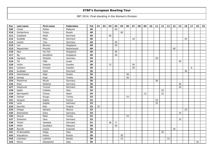| Pos | Last name    | First name | Federation  | Tot | 01 | 02 | 03 | 04 | 05 | 06 | 07 | 08 | 09 | 10 | 11 | 12 | 13 | 14 | 15 | 16 | 17 | 18 | 19 |
|-----|--------------|------------|-------------|-----|----|----|----|----|----|----|----|----|----|----|----|----|----|----|----|----|----|----|----|
| 109 | Cheah        | Esther     | Malaysia    | 40  |    |    |    | 40 |    |    |    |    |    |    |    |    |    |    |    |    |    |    |    |
| 110 | Gorbacheva   | Yuliya     | Russia      | 40  |    |    |    |    | 40 |    |    |    |    |    |    |    |    |    |    |    |    |    |    |
| 111 | Guldbaek     | Heidi      | Denmark     | 40  |    |    | 40 |    |    |    |    |    |    |    |    |    |    |    |    |    |    |    |    |
| 112 | Guldbäk      | Mika       | Denmark     | 40  |    |    |    |    |    |    | 16 |    |    |    |    |    |    |    |    | 24 |    |    |    |
| 113 | Hulsch       | Tina       | Germany     | 40  |    |    |    | 40 |    |    |    |    |    |    |    |    |    |    |    |    |    |    |    |
| 114 | <b>Lim</b>   | Bernice    | Singapore   | 40  |    |    |    | 40 |    |    |    |    |    |    |    |    |    |    |    |    |    |    |    |
| 115 | Maaswinkel   | Priscilla  | Netherlands | 40  |    |    |    |    |    |    |    |    |    |    |    |    |    | 40 |    |    |    |    |    |
| 116 | New          | Hui Fen    | Singapore   | 40  |    |    |    | 40 |    |    |    |    |    |    |    |    |    |    |    |    |    |    |    |
| 117 | Ng           | Geraldine  | Singapore   | 40  |    |    |    | 40 |    |    |    |    |    |    |    |    |    |    |    |    |    |    |    |
| 118 | Ogriseck     | Michelle   | Germany     | 39  |    |    |    |    |    |    |    |    |    |    | 39 |    |    |    |    |    |    |    |    |
| 119 | Tal          | Yifat      | Israel      | 39  |    |    |    |    |    |    |    |    |    |    |    |    |    |    | 39 |    |    |    |    |
| 120 | Hultin       | Isabelle   | Sweden      | 38  |    |    | 12 |    |    |    | 26 |    |    |    |    |    |    |    |    |    |    |    |    |
| 121 | Carlsson     | Christel   | Sweden      | 36  |    |    |    |    |    |    | 30 |    |    |    |    |    |    |    |    |    | 6  |    |    |
| 122 | Guldbæk      | Heidi      | Denmark     | 36  |    |    |    |    |    |    |    |    |    |    |    |    |    |    |    | 36 |    |    |    |
| 123 | Kashirskaya  | Olga       | Russia      | 36  |    |    |    |    |    | 36 |    |    |    |    |    |    |    |    |    |    |    |    |    |
| 124 | Kontaş       | Ayşe       | Turkey      | 36  |    |    |    |    |    | 36 |    |    |    |    |    |    |    |    |    |    |    |    |    |
| 125 | Pietschner   | Nicole     | Germany     | 36  |    |    |    |    |    |    |    |    |    |    | 36 |    |    |    |    |    |    |    |    |
| 126 | Rose         | Stefanie   | Germany     | 36  |    |    |    |    |    |    |    |    |    |    |    |    |    |    | 36 |    |    |    |    |
| 127 | Siegmund     | Yvonne     | Germany     | 36  |    |    |    |    |    |    |    |    |    |    |    |    |    |    | 36 |    |    |    |    |
| 128 | Agata        | Colletta   | Italy       | 35  |    |    |    |    |    |    |    |    |    |    |    | 35 |    |    |    |    |    |    |    |
| 129 | Barriopedro  | Teresa     | Spain       | 34  |    |    |    |    |    |    |    |    | 12 |    |    | 22 |    |    |    |    |    |    |    |
| 130 | Gürkan       | Duygu      | Turkey      | 33  |    |    |    |    |    | 33 |    |    |    |    |    |    |    |    |    |    |    |    |    |
| 131 | Jacques      | Pepita     | France      | 33  |    |    |    |    |    |    |    |    |    |    | 33 |    |    |    |    |    |    |    |    |
| 132 | Laub         | Angela     | Germany     | 33  |    |    |    |    |    |    |    |    |    |    | 33 |    |    |    |    |    |    |    |    |
| 133 | Nurmilo      | Mari       | Finland     | 33  | 33 |    |    |    |    |    |    |    |    |    |    |    |    |    |    |    |    |    |    |
| 134 | Ortega       | Adriana    | Mexico      | 33  |    |    |    |    |    |    |    |    |    |    |    |    |    |    |    | 33 |    |    |    |
| 135 | Reitmeister  | Anka       | Germany     | 33  |    |    |    |    |    |    |    |    |    |    |    |    |    |    | 33 |    |    |    |    |
| 136 | Sancar       | Naile      | Turkey      | 33  |    |    |    |    |    | 33 |    |    |    |    |    |    |    |    |    |    |    |    |    |
| 137 | Scheinert    | Jana       | Germany     | 33  |    |    |    |    |    |    |    |    |    |    |    |    |    |    | 33 |    |    |    |    |
| 138 | Timter       | Vanessa    | Germany     | 31  |    |    | 26 | 5  |    |    |    |    |    |    |    |    |    |    |    |    |    |    |    |
| 139 | Afifah       | Syaidatul  | Malaysia    | 30  |    |    |    | 30 |    |    |    |    |    |    |    |    |    |    |    |    |    |    |    |
| 140 | Barrett      | Cassie     | Australia   | 30  |    |    |    |    |    |    |    |    |    |    |    |    |    | 30 |    |    |    |    |    |
| 141 | Di Benedetto | Helga      | Italy       | 30  |    |    |    |    |    |    |    |    |    |    |    | 30 |    |    |    |    |    |    |    |
| 142 | Kosyakova    | Polina     | Russia      | 30  |    |    |    |    | 30 |    |    |    |    |    |    |    |    |    |    |    |    |    |    |
| 143 | Lozovaya     | Ludmila    | Russia      | 30  |    |    |    |    | 15 |    |    |    |    |    |    |    | 15 |    |    |    |    |    |    |
| 144 | Morra        | Alessandra | Italy       | 30  |    |    |    |    |    |    |    |    |    |    |    |    |    |    |    |    |    | 30 |    |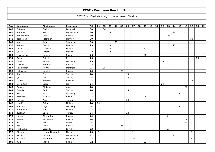| Pos | Last name  | First name      | Federation  | <b>Tot</b> | 01 | 02 | 03 | 04 | 05 | 06 | 07 | 08 | 09 | 10 | 11 | 12 | 13 | 14 | 15 | 16 | 17 | 18 | 19 |
|-----|------------|-----------------|-------------|------------|----|----|----|----|----|----|----|----|----|----|----|----|----|----|----|----|----|----|----|
| 145 | Petersen   | Cecilie         | Denmark     | 30         |    | 30 |    |    |    |    |    |    |    |    |    |    |    |    |    |    |    |    |    |
| 146 | Plummen    | Kelly           | Netherlands | 30         |    |    | 6  |    |    |    |    |    |    |    |    |    |    | 24 |    |    |    |    |    |
| 147 | Tabachkova | Olga            | Russia      | 30         |    |    |    |    |    |    |    |    |    |    |    |    | 30 |    |    |    |    |    |    |
| 148 | Torgersen  | Patcharin       | Norway      | 30         |    |    |    |    |    |    |    |    |    |    |    |    |    |    |    |    | 30 |    |    |
| 149 | Yeo        | Joey            | Singapore   | 30         |    |    |    | 30 |    |    |    |    |    |    |    |    |    |    |    |    |    |    |    |
| 150 | Jespers    | Bauke           | Belgium     | 29         |    |    | 6  |    |    |    |    |    |    |    |    |    |    | 23 |    |    |    |    |    |
| 151 | Célié      | Lauriane        | France      | 28         |    |    | 6  |    |    |    |    |    | 22 |    |    |    |    |    |    |    |    |    |    |
| 152 | Sacco      | Isabelle        | France      | 28         |    |    | 28 |    |    |    |    |    |    |    |    |    |    |    |    |    |    |    |    |
| 153 | Mas-Lazaro | Cristina        | Spain       | 26         |    |    |    |    |    |    |    |    | 26 |    |    |    |    |    |    |    |    |    |    |
| 154 | Celino     | Patrizia        | Italy       | 25         |    |    |    |    |    |    |    |    |    |    |    |    |    |    |    |    |    | 25 |    |
| 155 | Gäbel      | Janine          | Germany     | 25         |    |    |    |    |    |    |    |    |    |    |    | 25 |    |    |    |    |    |    |    |
| 156 | Lipkina    | Svetlana        | Russia      | 25         |    |    |    |    |    |    |    |    |    |    |    |    | 25 |    |    |    |    |    |    |
| 157 | Rasmussen  | Hertha          | Denmark     | 25         |    | 25 |    |    |    |    |    |    |    |    |    |    |    |    |    |    |    |    |    |
| 158 | Ushakova   | Kristina        | Russia      | 25         |    |    |    |    | 25 |    |    |    |    |    |    |    |    |    |    |    |    |    |    |
| 159 | Aşar       | Pırıl           | Turkey      | 24         |    |    |    |    |    | 24 |    |    |    |    |    |    |    |    |    |    |    |    |    |
| 160 | Çorak      | Aslı            | Turkey      | 24         |    |    |    |    |    | 24 |    |    |    |    |    |    |    |    |    |    |    |    |    |
| 161 | Dahlin     | Katarina        | Sweden      | 24         |    |    |    |    |    |    |    |    |    |    |    |    |    |    |    |    | 24 |    |    |
| 162 | Di Martino | Giada           | Italy       | 24         |    |    |    |    |    |    |    |    |    |    |    | 24 |    |    |    |    |    |    |    |
| 163 | Gablek     | Christine       | Austria     | 24         |    |    |    |    |    |    |    |    |    |    |    |    |    |    |    | 24 |    |    |    |
| 164 | Gümüş      | Ezgi            | Turkey      | 24         |    |    |    |    |    | 24 |    |    |    |    |    |    |    |    |    |    |    |    |    |
| 165 | Herz       | Julia           | Germany     | 24         |    |    |    |    |    |    |    |    |    |    |    |    |    |    | 24 |    |    |    |    |
| 166 | Jimenez    | Monica          | Spain       | 24         |    |    |    |    |    |    |    |    | 24 |    |    |    |    |    |    |    |    |    |    |
| 167 | Kalaycı    | Ayşe            | Turkey      | 24         |    |    |    |    |    | 24 |    |    |    |    |    |    |    |    |    |    |    |    |    |
| 168 | Lundén     | Reija           | Finland     | 24         | 24 |    |    |    |    |    |    |    |    |    |    |    |    |    |    |    |    |    |    |
| 169 | Merzdorf   | Anja            | Germany     | 24         |    |    |    |    |    |    |    |    |    |    |    |    |    |    | 24 |    |    |    |    |
| 170 | Tamminen   | Tuula           | Finland     | 24         | 24 |    |    |    |    |    |    |    |    |    |    |    |    |    |    |    |    |    |    |
| 171 | Türkkan    | Özgül           | Turkey      | 24         |    |    |    |    |    | 24 |    |    |    |    |    |    |    |    |    |    |    |    |    |
| 172 | Udem       | Alexandra       | Russia      | 24         |    |    |    |    |    |    |    |    |    |    |    |    | 24 |    |    |    |    |    |    |
| 173 | Witura     | Jacqueline      | Austria     | 24         |    |    |    |    |    |    |    |    |    |    |    |    |    |    |    | 24 |    |    |    |
| 174 | Yifat      | Tal             | Israel      | 24         |    |    |    |    |    |    |    |    |    |    |    |    |    |    |    | 24 |    |    |    |
| 175 | Egel       | Alena           | Russia      | 23         |    |    |    |    | 23 |    |    |    |    |    |    |    |    |    |    |    |    |    |    |
| 176 | Hudjakova  | Veronika        | Latvia      | 23         |    |    |    |    |    |    |    |    |    |    |    |    | 23 |    |    |    |    |    |    |
| 177 | Stivang    | Miriam Lindgard | Norway      | 23         | 3  |    |    |    |    |    | 12 |    |    |    |    |    |    |    |    |    | 8  |    |    |
| 178 | Jacobs     | Chantal         | Netherlands | 22         |    |    |    |    |    |    |    |    |    |    |    |    |    | 22 |    |    |    |    |    |
| 179 | Johansen   | Jeanett H.      | Norway      | 22         |    |    |    |    |    |    | 16 |    |    |    |    |    |    |    |    |    | 6  |    |    |
| 180 | Julia      | Ingrid          | Spain       | 22         |    |    |    |    |    |    |    |    | 22 |    |    |    |    |    |    |    |    |    |    |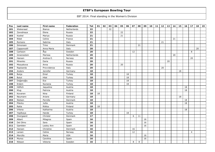| Pos | Last name    | First name    | Federation  | Tot | 01 | 02 | 03 | 04 | 05 | 06 | 07 | 08      | 09 | 10 | 11 | 12 | 13 | 14 | 15 | 16 | 17             | 18 | 19 |
|-----|--------------|---------------|-------------|-----|----|----|----|----|----|----|----|---------|----|----|----|----|----|----|----|----|----------------|----|----|
| 181 | Wiekeraad    | <b>Bianca</b> | Netherlands | 22  |    |    | 22 |    |    |    |    |         |    |    |    |    |    |    |    |    |                |    |    |
| 182 | Zavodnaya    | Elena         | Russia      | 22  |    |    |    |    | 22 |    |    |         |    |    |    |    |    |    |    |    |                |    |    |
| 183 | Koshel       | Mariya        | Russia      | 21  |    |    |    |    | 21 |    |    |         |    |    |    |    |    |    |    |    |                |    |    |
| 184 | Ribet        | Celine        | France      | 21  |    |    |    |    |    |    |    |         |    |    |    |    |    | 21 |    |    |                |    |    |
| 185 | Romano       | Sabrina       | Italy       | 21  |    |    |    |    |    |    |    |         |    |    |    | 21 |    |    |    |    |                |    |    |
| 186 | Simonsen     | Trine         | Denmark     | 21  |    |    |    |    |    |    |    | 21      |    |    |    |    |    |    |    |    |                |    |    |
| 187 | Capponcelli  | Anna Maria    | Italy       | 20  |    |    |    |    |    |    |    |         |    |    |    |    |    |    |    |    |                | 20 |    |
| 188 | Carlsson     | Åsa           | Sweden      | 20  |    |    |    |    |    |    | 12 |         |    |    |    |    |    |    |    |    | 8              |    |    |
| 189 | Groenestein  | Marissa       | Netherlands | 20  |    |    |    |    |    |    |    |         |    |    |    |    |    | 20 |    |    |                |    |    |
| 190 | Hansen       | Andrea E.     | Norway      | 20  |    |    |    |    |    |    |    |         |    |    |    |    |    |    |    |    | 20             |    |    |
| 191 | Minenko      | Daria         | Russia      | 20  |    |    |    |    |    |    |    |         |    |    |    |    | 20 |    |    |    |                |    |    |
| 192 | Mosyakova    | Anna          | Russia      | 20  |    |    |    |    | 20 |    |    |         |    |    |    |    |    |    |    |    |                |    |    |
| 193 | Rapisarda    | Provvidenza   | Italy       | 20  |    |    |    |    |    |    |    |         |    |    |    | 20 |    |    |    |    |                |    |    |
| 194 | Anders       | Jennifer      | Germany     | 18  |    |    |    |    |    |    |    |         |    |    |    |    |    |    | 18 |    |                |    |    |
| 195 | Bulça        | Emel          | Turkey      | 18  |    |    |    |    |    | 18 |    |         |    |    |    |    |    |    |    |    |                |    |    |
| 196 | <b>Bulut</b> | Hilal         | Turkey      | 18  |    |    |    |    |    | 18 |    |         |    |    |    |    |    |    |    |    |                |    |    |
| 197 | Doğanoğlu    | Ece           | Turkey      | 18  |    |    |    |    |    | 18 |    |         |    |    |    |    |    |    |    |    |                |    |    |
| 198 | Erdem        | Nursena       | Turkey      | 18  |    |    |    |    |    | 18 |    |         |    |    |    |    |    |    |    |    |                |    |    |
| 199 | Höflich      | Jaqueline     | Austria     | 18  |    |    |    |    |    |    |    |         |    |    |    |    |    |    |    | 18 |                |    |    |
| 200 | Klug         | Patricia      | Austria     | 18  |    |    |    |    |    |    |    |         |    |    |    |    |    |    |    | 18 |                |    |    |
| 201 | Kovanen      | Nina          | Finland     | 18  | 18 |    |    |    |    |    |    |         |    |    |    |    |    |    |    |    |                |    |    |
| 202 | Neumann      | Ariane        | Germany     | 18  |    |    |    |    |    |    |    |         |    |    |    |    |    |    | 18 |    |                |    |    |
| 203 | Nielsen      | Pernille      | Denmark     | 18  |    |    |    |    |    |    |    |         |    |    |    |    |    |    |    | 18 |                |    |    |
| 204 | Pilecky      | Jutta         | Austria     | 18  |    |    |    |    |    |    |    |         |    |    |    |    |    |    |    | 18 |                |    |    |
| 205 | Ratia        | Riikka        | Finland     | 18  | 18 |    |    |    |    |    |    |         |    |    |    |    |    |    |    |    |                |    |    |
| 206 | Vrtena       | Katharina     | Austria     | 18  |    |    |    |    |    |    |    |         |    |    |    |    |    |    |    | 18 |                |    |    |
| 207 | Yeşilkaya    | Hande         | Turkey      | 18  |    |    |    |    |    | 18 |    |         |    |    |    |    |    |    |    |    |                |    |    |
| 208 | Overgaard    | Christel      | Denmark     | 17  |    |    |    |    |    |    | 6  | 11      |    |    |    |    |    |    |    |    |                |    |    |
| 209 | Albert       | Milagros      | Spain       | 16  |    |    |    |    |    |    |    |         | 16 |    |    |    |    |    |    |    |                |    |    |
| 210 | Del Olmo     | Sara          | Spain       | 16  |    |    |    |    |    |    |    |         | 16 |    |    |    |    |    |    |    |                |    |    |
| 211 | Gamblen      | Lesley Ann    | Spain       | 16  |    |    |    |    |    |    |    |         | 16 |    |    |    |    |    |    |    |                |    |    |
| 212 | Hansen       | Christine     | Denmark     | 16  |    |    |    |    |    |    | 16 |         |    |    |    |    |    |    |    |    |                |    |    |
| 213 | Larsen       | Celine        | Norway      | 16  |    |    |    |    |    |    | 12 |         |    |    |    |    |    |    |    |    | $\overline{4}$ |    |    |
| 214 | Morcillo     | Maria         | <b>USA</b>  | 16  |    |    |    |    |    |    |    |         | 16 |    |    |    |    |    |    |    |                |    |    |
| 215 | Munoz        | Carolina      | Spain       | 16  |    |    |    |    |    |    |    |         | 16 |    |    |    |    |    |    |    |                |    |    |
| 216 | Nilsson      | Viktoria      | Sweden      | 16  |    |    |    |    |    |    | 8  | $\,8\,$ |    |    |    |    |    |    |    |    |                |    |    |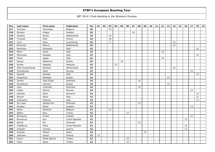| Pos | Last name         | First name    | Federation     | <b>Tot</b>        | 01 | 02 | 03             | 04 | 05 | 06 | 07 | 08 | 09 | 10 | 11 | 12 | 13 | 14 | 15 | 16 | 17 | 18 | 19 |
|-----|-------------------|---------------|----------------|-------------------|----|----|----------------|----|----|----|----|----|----|----|----|----|----|----|----|----|----|----|----|
| 217 | Perniaux          | Veronique     | Belgium        | 16                |    |    | 16             |    |    |    |    |    |    |    |    |    |    |    |    |    |    |    |    |
| 218 | Persson           | Filippa       | Sweden         | 16                |    |    |                |    |    |    | 16 |    |    |    |    |    |    |    |    |    |    |    |    |
| 219 | Sanders           | Nicole        | Netherlands    | 16                |    |    | 16             |    |    |    |    |    |    |    |    |    |    |    |    |    |    |    |    |
| 220 | Trouniac          | Elise         | France         | 16                |    |    | 16             |    |    |    |    |    |    |    |    |    |    |    |    |    |    |    |    |
| 221 | Turci             | Nora          | Luxemburg      | 16                |    |    | $\overline{2}$ |    |    |    |    |    |    |    |    |    |    | 14 |    |    |    |    |    |
| 222 | <b>Brommer</b>    | <b>Bianca</b> | Netherlands    | 15                |    |    |                |    |    |    |    |    |    |    |    |    |    | 15 |    |    |    |    |    |
| 223 | Marchisio         | Antonella     | Italy          | 15                |    |    |                |    |    |    |    |    |    |    |    |    |    |    |    |    |    | 15 |    |
| 224 | Marin             | Sonia         | Italy          | 15                |    |    |                |    |    |    |    |    |    |    |    | 15 |    |    |    |    |    |    |    |
| 225 | Memmola           | Rosalba       | Italy          | 15                |    |    |                |    |    |    |    |    |    |    |    |    |    |    |    |    |    | 15 |    |
| 226 | Miceli            | Agata         | Italy          | 15                |    |    |                |    |    |    |    |    |    |    |    | 15 |    |    |    |    |    |    |    |
| 227 | Nayrgi            | Ekaterina     | Russia         | 15                |    |    |                |    | 15 |    |    |    |    |    |    |    |    |    |    |    |    |    |    |
| 228 | Roslan            | Natasha       | Malaysia       | 15                |    |    |                | 15 |    |    |    |    |    |    |    |    |    |    |    |    |    |    |    |
| 229 | Slink-Korpershoek | Barbara       | Netherlands    | 15                |    |    |                |    |    |    |    |    |    |    |    |    |    | 15 |    |    |    |    |    |
| 230 | Thorstensen       | Heidi         | Norway         | 15                |    |    |                |    |    |    |    |    |    |    |    |    |    |    |    |    | 15 |    |    |
| 231 | Buzzelli          | Daniela       | Italy          | 14                |    |    |                |    |    |    |    |    |    |    |    |    |    |    |    |    |    | 14 |    |
| 232 | Grigorieva        | Nadejda       | Russia         | 14                |    |    |                |    |    |    |    |    |    |    |    |    | 14 |    |    |    |    |    |    |
| 233 | Jensen            | Anja Ginge    | Denmark        | 14                |    |    |                |    |    |    |    | 14 |    |    |    |    |    |    |    |    |    |    |    |
| 234 | Korobkova         | Varvara       | Russia         | 14                |    |    |                |    |    |    |    |    |    |    |    |    | 14 |    |    |    |    |    |    |
| 235 | Leen              | Charlotte     | Denmark        | 14                |    |    |                |    |    |    |    | 14 |    |    |    |    |    |    |    |    |    |    |    |
| 236 | Lislien           | Monica        | Norway         | 14                |    |    |                |    |    |    |    |    |    |    |    |    |    |    |    |    | 14 |    |    |
| 237 | Orlanda           | Alina         | Romania        | 14                |    |    |                |    |    |    |    |    |    |    |    |    |    |    |    |    |    | 14 |    |
| 238 | Borsari           | Elena         | Italy          | 13                |    |    |                |    |    |    |    |    |    |    |    |    |    |    |    |    |    | 13 |    |
| 239 | Ciampolini        | Fabrizia      | Italy          | 13                |    |    |                |    |    |    |    |    |    |    |    |    |    |    |    |    |    | 13 |    |
| 240 | De Lisser         | Natalia Ann   | Denmark        | 13                |    |    |                |    |    |    |    | 13 |    |    |    |    |    |    |    |    |    |    |    |
| 241 | Persson           | Maria         | Sweden         | 13                |    |    |                |    |    |    |    |    |    |    |    |    |    |    |    |    | 13 |    |    |
| 242 | Abras             | Florence      | Belgium        | 12                |    |    | 12             |    |    |    |    |    |    |    |    |    |    |    |    |    |    |    |    |
| 243 | Balkar            | Esra          | Turkey         | $12 \overline{ }$ |    |    |                |    |    | 12 |    |    |    |    |    |    |    |    |    |    |    |    |    |
| 244 | Blomqvist         | Anneli        | Sweden         | 12                |    |    |                |    |    |    |    |    |    |    |    |    |    |    |    |    | 12 |    |    |
| 245 | Burianova         | Eva           | Czech Republic | 12                |    |    |                |    |    |    |    |    |    |    |    |    |    |    |    | 12 |    |    |    |
| 246 | <b>Burkal</b>     | Pia           | Denmark        | 12                |    |    |                |    |    |    |    | 12 |    |    |    |    |    |    |    |    |    |    |    |
| 247 | Chladkova         | Hana          | Czech Republic | 12                |    |    |                |    |    |    |    |    |    |    |    |    |    |    |    | 12 |    |    |    |
| 248 | Gutsjahr          | Carmen        | Austria        | 12                |    |    |                |    |    |    |    |    |    |    |    |    |    |    |    | 12 |    |    |    |
| 249 | Huertas           | Manoli        | Spain          | 12                |    |    |                |    |    |    |    |    | 12 |    |    |    |    |    |    |    |    |    |    |
| 250 | Jokiniemi         | Leena         | Finland        | 12                | 12 |    |                |    |    |    |    |    |    |    |    |    |    |    |    |    |    |    |    |
| 251 | Kayım             | Ferah Şöhret  | Turkey         | 12                |    |    |                |    |    | 12 |    |    |    |    |    |    |    |    |    |    |    |    |    |
| 252 | Kutlu             | Gaye          | Turkey         | 12                |    |    |                |    |    | 12 |    |    |    |    |    |    |    |    |    |    |    |    |    |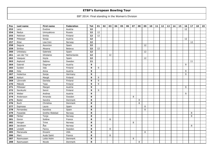| Pos | Last name   | First name     | Federation  | <b>Tot</b> | 01 | 02 | 03 | 04 | 05 | 06 | 07 | 08 | 09 | 10 | 11 | 12 <sub>2</sub> | 13 | 14 | 15 | 16 | 17 | 18 | 19 |
|-----|-------------|----------------|-------------|------------|----|----|----|----|----|----|----|----|----|----|----|-----------------|----|----|----|----|----|----|----|
| 253 | Lenz        | Eveline        | Austria     | 12         |    |    |    |    |    |    |    |    |    |    |    |                 |    |    |    | 12 |    |    |    |
| 254 | Nadya       | Umnyakova      | Russia      | $12$       | 12 |    |    |    |    |    |    |    |    |    |    |                 |    |    |    |    |    |    |    |
| 255 | Pettinen    | Emilia         | Finland     | $12$       | 12 |    |    |    |    |    |    |    |    |    |    |                 |    |    |    |    |    |    |    |
| 256 | Pittesser   | Sonja          | Austria     | $12$       |    |    |    |    |    |    |    |    |    |    |    |                 |    |    |    | 12 |    |    |    |
| 257 | Riise       | Lisa Iren      | Norway      | $12$       |    |    |    |    |    |    |    |    |    |    |    |                 |    |    |    |    | 12 |    |    |
| 258 | Segura      | Asuncion       | Spain       | 12         |    |    |    |    |    |    |    |    | 12 |    |    |                 |    |    |    |    |    |    |    |
| 259 | Sinitsa     | Aksana         | Belarus     | $12$       | 12 |    |    |    |    |    |    |    |    |    |    |                 |    |    |    |    |    |    |    |
| 260 | Urbistazu   | Gabriela       | Spain       | 12         |    |    |    |    |    |    |    |    | 12 |    |    |                 |    |    |    |    |    |    |    |
| 261 | van der Tol | Ghislaine      | Netherlands | $12$       |    |    | 12 |    |    |    |    |    |    |    |    |                 |    |    |    |    |    |    |    |
| 262 | Vasquez     | Keyla          | Spain       | $12$       |    |    |    |    |    |    |    |    | 12 |    |    |                 |    |    |    |    |    |    |    |
| 263 | Asplund     | Sabina         | Sweden      | 11         |    |    |    |    |    |    |    |    |    |    |    |                 |    |    |    |    | 11 |    |    |
| 264 | Gabriel     | Dagmar         | Austria     | 9          |    |    |    |    |    |    |    |    |    |    |    |                 |    |    |    | 9  |    |    |    |
| 265 | Gylden      | Iida           | Finland     | 9          | 9  |    |    |    |    |    |    |    |    |    |    |                 |    |    |    |    |    |    |    |
| 266 | Holy        | Anna           | Austria     | 9          |    |    |    |    |    |    |    |    |    |    |    |                 |    |    |    | 9  |    |    |    |
| 267 | Hubertus    | Sonja          | Germany     | 9          |    |    |    |    |    |    |    |    |    |    |    |                 |    |    |    | 9  |    |    |    |
| 268 | Keituri     | Margit         | Finland     | 9          | 9  |    |    |    |    |    |    |    |    |    |    |                 |    |    |    |    |    |    |    |
| 269 | Lönnroth    | Daniela        | Finland     | 9          | 9  |    |    |    |    |    |    |    |    |    |    |                 |    |    |    |    |    |    |    |
| 270 | Mäkelä      | Teea           | Finland     | 9          | 9  |    |    |    |    |    |    |    |    |    |    |                 |    |    |    |    |    |    |    |
| 271 | Pittesser   | Margot         | Austria     | 9          |    |    |    |    |    |    |    |    |    |    |    |                 |    |    |    | 9  |    |    |    |
| 272 | Savikurki   | Senni          | Finland     | 9          | 9  |    |    |    |    |    |    |    |    |    |    |                 |    |    |    |    |    |    |    |
| 273 | Weber       | Andrea         | Austria     | 9          |    |    |    |    |    |    |    |    |    |    |    |                 |    |    |    | 9  |    |    |    |
| 274 | Andersson   | Amanda         | Sweden      | 8          |    |    |    |    |    |    | 8  |    |    |    |    |                 |    |    |    |    |    |    |    |
| 275 | Bader       | Sandra         | Denmark     | 8          |    |    |    |    |    |    |    | 8  |    |    |    |                 |    |    |    |    |    |    |    |
| 276 | <b>Buch</b> | Christina      | Denmark     | 8          |    |    |    |    |    |    |    | 8  |    |    |    |                 |    |    |    |    |    |    |    |
| 277 | Espinosa    | Laura          | Spain       | 8          |    |    |    |    |    |    |    |    | 8  |    |    |                 |    |    |    |    |    |    |    |
| 278 | Fernandez   | Karolina       | Spain       | 8          |    |    |    |    |    |    |    |    | 8  |    |    |                 |    |    |    |    |    |    |    |
| 279 | Fosseide    | Grethe Walstad | Norway      | 8          |    |    |    |    |    |    |    |    |    |    |    |                 |    |    |    |    | 8  |    |    |
| 280 | Färber      | Tonje          | Norway      | 8          |    |    |    |    |    |    |    |    |    |    |    |                 |    |    |    |    | 8  |    |    |
| 281 | Goron       | Solène         | France      | 8          |    |    | 8  |    |    |    |    |    |    |    |    |                 |    |    |    |    |    |    |    |
| 282 | Horgen      | Trine          | Norway      | 8          |    |    |    |    |    |    | 8  |    |    |    |    |                 |    |    |    |    |    |    |    |
| 283 | Jacobsen    | Åse            | Norway      | 8          |    |    |    |    |    |    |    |    |    |    |    |                 |    |    |    |    | 8  |    |    |
| 284 | Lindahl     | Fanny          | Sweden      | 8          |    |    | 8  |    |    |    |    |    |    |    |    |                 |    |    |    |    |    |    |    |
| 285 | Marazuela   | Encami         | <b>USA</b>  | 8          |    |    |    |    |    |    |    |    | 8  |    |    |                 |    |    |    |    |    |    |    |
| 286 | Marc        | Aude Saint     | France      | 8          |    |    | 8  |    |    |    |    |    |    |    |    |                 |    |    |    |    |    |    |    |
| 287 | Rasmussen   | Lotte Holm     | Denmark     | 8          |    |    |    |    |    |    | 8  |    |    |    |    |                 |    |    |    |    |    |    |    |
| 288 | Rasmussen   | Nicole         | Denmark     | 8          |    |    |    |    |    |    |    | 8  |    |    |    |                 |    |    |    |    |    |    |    |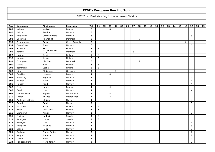| Pos | Last name       | First name            | Federation     | Tot                     | 01                      | 02 | 03             | 04 | 05 | 06 | 07 | 08 | 09 | 10 | 11 | 12 | 13 | 14 | 15 | 16 | 17             | 18 | 19 |
|-----|-----------------|-----------------------|----------------|-------------------------|-------------------------|----|----------------|----|----|----|----|----|----|----|----|----|----|----|----|----|----------------|----|----|
| 289 | Vallons         | Melissa               | Belgium        | 8                       |                         |    | 8              |    |    |    |    |    |    |    |    |    |    |    |    |    |                |    |    |
| 290 | Bakken          | Sandra                | Norway         | 6                       |                         |    |                |    |    |    |    |    |    |    |    |    |    |    |    |    | 6              |    |    |
| 291 | Bergersen       | Grethe Barbro         | Norway         | 6                       |                         |    |                |    |    |    |    |    |    |    |    |    |    |    |    |    | 6              |    |    |
| 292 | Buchwald        | Hannah M.             | Denmark        | 6                       |                         |    |                |    |    |    |    | 6  |    |    |    |    |    |    |    |    |                |    |    |
| 293 | Dvorackova      | Dasa                  | Czech Republic | 6                       |                         |    |                |    |    |    |    |    |    |    |    |    |    |    |    | 6  |                |    |    |
| 294 | Gustafsson      | Tone                  | Norway         | 6                       |                         |    |                |    |    |    |    |    |    |    |    |    |    |    |    |    | 6              |    |    |
| 295 | Haavisto        | Nina                  | Finland        | 6                       | 6                       |    |                |    |    |    |    |    |    |    |    |    |    |    |    |    |                |    |    |
| 296 | Jensen          | Emma Kaimar<br>Möller | Denmark        | 6                       |                         |    |                |    |    |    | 6  |    |    |    |    |    |    |    |    |    |                |    |    |
| 297 | Keränen         | Jenni                 | Finland        | 6                       | 6                       |    |                |    |    |    |    |    |    |    |    |    |    |    |    |    |                |    |    |
| 298 | Kurppa          | Jenna                 | Finland        | 6                       | 6                       |    |                |    |    |    |    |    |    |    |    |    |    |    |    |    |                |    |    |
| 299 | Overgaard       | Ida Boel              | Denmark        | 6                       |                         |    |                |    |    |    |    | 6  |    |    |    |    |    |    |    |    |                |    |    |
| 300 | Piksilä         | Elice                 | Finland        | 6                       | 6                       |    |                |    |    |    |    |    |    |    |    |    |    |    |    |    |                |    |    |
| 301 | Tammisto        | Leena                 | Finland        | 6                       | 6                       |    |                |    |    |    |    |    |    |    |    |    |    |    |    |    |                |    |    |
| 302 | Kühn            | Christiane            | Germany        | 5                       |                         |    |                | 5  |    |    |    |    |    |    |    |    |    |    |    |    |                |    |    |
| 303 | Bouillier       | Laurene               | France         | 4                       |                         |    | $\overline{4}$ |    |    |    |    |    |    |    |    |    |    |    |    |    |                |    |    |
| 304 | Frøshaug        | Ragnhild              | Norway         | 4                       |                         |    |                |    |    |    |    |    |    |    |    |    |    |    |    |    | $\overline{4}$ |    |    |
| 305 | Hansen          | Mette                 | Norway         | 4                       |                         |    |                |    |    |    |    |    |    |    |    |    |    |    |    |    | $\overline{4}$ |    |    |
| 306 | Hansen          | Randi                 | Norway         | 4                       |                         |    |                |    |    |    |    |    |    |    |    |    |    |    |    |    | $\overline{4}$ |    |    |
| 307 | Nys             | Hanne                 | Belgium        | 4                       |                         |    | $\overline{4}$ |    |    |    |    |    |    |    |    |    |    |    |    |    |                |    |    |
| 308 | Sand            | Line                  | Norway         | 4                       |                         |    |                |    |    |    |    |    |    |    |    |    |    |    |    |    | 4              |    |    |
| 309 | van der Meer    | Sophie                | Netherlands    | 4                       |                         |    | 4              |    |    |    |    |    |    |    |    |    |    |    |    |    |                |    |    |
| 310 | Visser          | Jolanda               | Netherlands    | 4                       |                         |    | $\overline{4}$ |    |    |    |    |    |    |    |    |    |    |    |    |    |                |    |    |
| 311 | Andersen Löfman | Christin              | Norway         | 3                       |                         |    |                |    |    |    |    |    |    |    |    |    |    |    |    |    | 3              |    |    |
| 312 | <b>Brandett</b> | Gerd                  | Norway         | 3                       |                         |    |                |    |    |    |    |    |    |    |    |    |    |    |    |    | 3              |    |    |
| 313 | Hakonen         | Mirja                 | Finland        | 3                       | 3                       |    |                |    |    |    |    |    |    |    |    |    |    |    |    |    |                |    |    |
| 314 | Kippo           | Ann-Christi           | Finland        | 3                       | $\overline{\mathbf{3}}$ |    |                |    |    |    |    |    |    |    |    |    |    |    |    |    |                |    |    |
| 315 | Ljunggren       | Anneli                | Norway         | 3                       |                         |    |                |    |    |    |    |    |    |    |    |    |    |    |    |    | 3              |    |    |
| 316 | Madsen          | Nathalie              | Sweden         | 3                       | 3                       |    |                |    |    |    |    |    |    |    |    |    |    |    |    |    |                |    |    |
| 317 | Rundgren        | Linnea                | Sweden         | 3                       | 3                       |    |                |    |    |    |    |    |    |    |    |    |    |    |    |    |                |    |    |
| 318 | Søhagen         | Line                  | Norway         | 3                       |                         |    |                |    |    |    |    |    |    |    |    |    |    |    |    |    | 3              |    |    |
| 319 | Wangsvik        | Julianne              | Norway         | 3                       |                         |    |                |    |    |    |    |    |    |    |    |    |    |    |    |    | 3              |    |    |
| 320 | Bjerke          | Heidi                 | Norway         | $\mathbf{2}$            |                         |    |                |    |    |    |    |    |    |    |    |    |    |    |    |    | $\overline{2}$ |    |    |
| 321 | Dalhaug         | Phebe Florida         | Norway         | $\overline{\mathbf{c}}$ |                         |    |                |    |    |    |    |    |    |    |    |    |    |    |    |    | $\overline{2}$ |    |    |
| 322 | Krogh           | Therese               | Norway         | $\overline{2}$          |                         |    |                |    |    |    |    |    |    |    |    |    |    |    |    |    | 2              |    |    |
| 323 | Løvdal          | Mona                  | Norway         | $\mathbf{2}$            |                         |    |                |    |    |    |    |    |    |    |    |    |    |    |    |    | $\overline{2}$ |    |    |
| 324 | Paulsson Berg   | Marie Jenny           | Norway         | $\overline{\mathbf{c}}$ |                         |    |                |    |    |    |    |    |    |    |    |    |    |    |    |    | $\overline{2}$ |    |    |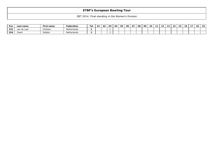| Pos | Last name   | First name | Federation  | Tot | <b>O1</b> | 02 | 03 | <b>O4</b> | 05 | 06 | 07 | 08 | -09 | 10 | - - | $\sim$ | 13 | -14 | $\overline{\phantom{a}}$<br>15. | 16 | $\sim$ $\sim$ | 18 | 10 |
|-----|-------------|------------|-------------|-----|-----------|----|----|-----------|----|----|----|----|-----|----|-----|--------|----|-----|---------------------------------|----|---------------|----|----|
| 325 | van de Laar | Chelsea    | Netherlands |     |           |    |    |           |    |    |    |    |     |    |     |        |    |     |                                 |    |               |    |    |
| 326 | Zwart       | Debbie     | Netherlands |     |           |    |    |           |    |    |    |    |     |    |     |        |    |     |                                 |    |               |    |    |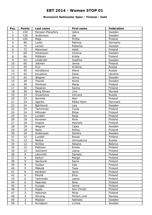### **Brunswick Ballmaster Open / Finland / Gold**

| Pos.            | <b>Points</b>  | Last name         | First name  | Federation     |
|-----------------|----------------|-------------------|-------------|----------------|
| $\mathbf{1}$    | 150            | Persson-Planefors | Joline      | Sweden         |
| $\overline{2}$  | 120            | Andersson         | Ida         | Sweden         |
| 3               | 105            | Maja              | Piritta     | Finland        |
| $\overline{4}$  | 90             | Luoto             | Patricia    | Germany        |
| 5               | 75             | Larsen            | Rebecka     | Sweden         |
| 6               | 72             | Manninen          | Heidi       | Finland        |
| $\overline{7}$  | 69             | Johansson         | Victoria    | Sweden         |
| 8               | 66             | Pöllänen          | Krista      | Finland        |
| 9               | 63             | Linderoth         | Josefine    | Sweden         |
| 10              | 60             | Jokinen           | Jonna       | Finland        |
| 11              | 45             | Kryl              | Kristina    | Russia         |
| 12              | 45             | Korobkova         | Alena       | Russia         |
| 13              | 42             | Kovalova          | Daria       | Ukraine        |
| 14              | 42             | Wegner            | Jenny       | Sweden         |
| 15              | 39             | Thorell           | Annie       | Sweden         |
| 16              | 39             | Pöntinen          | Marjo       | Finland        |
| 17              | 36             | Pasanen           | Sanna       | Finland        |
| 18              | 36             | Berg Almes        | Line        | Norway         |
| 19              | 33             | Gryaznova         | Varvara     | Russia         |
| 20              | 33             | Nurmilo           | Mari        | Finland        |
| 21              | 24             | Agerbo            | Rikke Holm  | Denmark        |
| 22              | 24             | Björklund         | Lisa        | Sweden         |
| 23              | 24             | Tamminen          | Tuula       | Finland        |
| 24              | 24             | Hiltunen          | Eliisa      | Finland        |
| 25              | 24             | Lundén            | Reija       | Finland        |
| 26              | 18             | Kovanen           | Nina        | Finland        |
| 27              | 18             | Impola            | Hannele     | Finland        |
| 28              | 18             | Wegner            | Cajsa       | Sweden         |
| 29              | 18             | Ratia             | Riikka      | Finland        |
| 30              | 18             | Andersson         | Sandra      | Sweden         |
| 31              | 12             | Lundén            | Roosa       | Finland        |
| $\overline{32}$ | 12             | <b>Nadya</b>      | Umnyakova   | Russia         |
| 33              | 12             | Sinitsa           | Aksana      | <b>Belarus</b> |
| 34              | 12             | Pettinen          | Emilia      | Finland        |
| 35              | 12             | Jokiniemi         | Leena       | Finland        |
| 36              | 9              | Lönnroth          | Daniela     | Finland        |
| 37              | 9              | Keituri           | Margit      | Finland        |
| 38              | $\overline{9}$ | Savikurki         | Senni       | Finland        |
| 39              | 9              | Gylden            | Iida        | Finland        |
| 40              | $\overline{9}$ | Mäkelä            | Teea        | Finland        |
| 41              | 6              | Keränen           | Jenni       | Finland        |
| 42              | 6              | Piksilä           | Elice       | Finland        |
| 43              | 6              | Tammisto          | Leena       | Finland        |
| 44              | 6              | Haavisto          | Nina        | Finland        |
| 45              | $\overline{6}$ | Kurppa            | Jenna       | Finland        |
| 46              | 3              | Kippo             | Ann-Christi | Finland        |
| 47              | $\overline{3}$ | Hakonen           | Mirja       | Finland        |
| 48              | $\overline{3}$ | Stivang           | Miriam Lind | Norway         |
| 49              | $\overline{3}$ | Madsen            | Nathalie    | Sweden         |
| 50              | $\overline{3}$ | Rundgren          | Linnea      | Sweden         |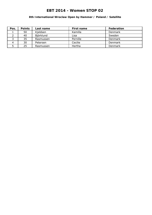### **8th International Wroclaw Open by Hammer / Poland / Satellite**

| Pos. | <b>Points</b> | Last name | First name | Federation     |
|------|---------------|-----------|------------|----------------|
|      | 50            | Kjeldsen  | Kamilla    | Denmark        |
|      | 40            | Björklund | Lisa       | Sweden         |
|      | 35            | Rasmussen | Pernille   | <b>Denmark</b> |
|      | 30            | Petersen  | Cecilie    | Denmark        |
|      | 25            | Rasmussen | Hertha     | Denmark        |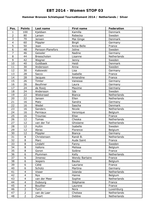### **Hammer Bronzen Schietspoel TournaWoment 2014 / Netherlands / Silver**

| Pos.            | <b>Points</b>           | Last name         | <b>First name</b>     | <b>Federation</b> |
|-----------------|-------------------------|-------------------|-----------------------|-------------------|
| $\mathbf{1}$    | 100                     | Kjeldsen          | Kamilla               | Denmark           |
| $\overline{2}$  | 80                      | Larsen            | Rebecka               | Sweden            |
| 3               | 70                      | Jensen            | Mai Ginge             | Denmark           |
| $\overline{4}$  | 60                      | Pöppler           | <b>Birgit</b>         | Germany           |
| 5               | 50                      | Jean              | Anna-Belle            | France            |
| 6               | 48                      | Persson-Planefors | Joline                | Sweden            |
| $\overline{7}$  | 46                      | Geissler          | Nadine                | Germany           |
| $\overline{8}$  | 44                      | Breeschoten       | Lisanne               | Netherlands       |
| 9               | 42                      | Wegner            | Jenny                 | Sweden            |
| 10              | 40                      | Guldbaek          | Heidi                 | Denmark           |
| 11              | 30                      | Andersson         | Anna                  | Sweden            |
| 12              | 30                      | Kabowski          | Lisa                  | Germany           |
| 13              | 28                      | Sacco             | Isabelle              | France            |
| 14              | 28                      | Jacques           | Amandine              | France            |
| 15              | 26                      | Timter            | Vanessa               | Germany           |
| 16              | 26                      | Beuthner          | Laura                 | Germany           |
| 17              | 24                      | de Rooij          | Maxime                | Germany           |
| 18              | 24                      | Andersson         | Ida                   | Sweden            |
| 19              | 22                      | Wiekeraad         | <b>Bianca</b>         | Netherlands       |
| 20              | 22                      | Jansen            | Ellen                 | Netherlands       |
| 21              | 16                      | Matz              | Sandra                | Germany           |
| 22              | 16                      | Wedel             | Sascha                | Denmark           |
| 23              | 16                      | Sanders           | Nicole                | Netherlands       |
| 24              | 16                      | Perniaux          | Veronique             | Belgium           |
| 25              | 16                      | Trouniac          | Elise                 | France            |
| 26              | 12                      | <b>Tomas</b>      | Cheska                | Netherlands       |
| 27              | 12                      | van der Tol       | Ghislaine             | Netherlands       |
| 28              | 12                      | Hultin            | Isabelle              | Sweden            |
| 29              | 12                      | Abras             | Florence              | Belgium           |
| 30              | 12                      | Pöppler           | <b>Bianca</b>         | Germany           |
| 31              | 8                       | Christensen       | Randi B.              | Netherlands       |
| $\overline{32}$ | $\overline{8}$          | Marc              | Aude Saint            | France            |
| 33              | 8                       | Lindahl           | Fanny                 | Sweden            |
| 34              | 8                       | Vallons           | Melissa               | Belgium           |
| 35              | 8                       | Goron             | Solène                | France            |
| 36              | 6                       | Plummen           | Kelly                 | Netherlands       |
| 37              | 6                       | Jimenez           | <b>Wendy Bartaire</b> | France            |
| 38              | 6                       | <b>Jespers</b>    | Bauke                 | Belgium           |
| 39              | 6                       | Célié             | Lauriane              | France            |
| 40              | 6                       | Schütz            | Martina               | Germany           |
| 41              | 4                       | Visser            | Jolanda               | Netherlands       |
| 42              | $\overline{\mathbf{4}}$ | <b>Nys</b>        | Hanne                 | Belgium           |
| 43              | $\overline{\mathbf{4}}$ | van der Meer      | Sophie                | Netherlands       |
| 44              | $\overline{4}$          | Dubourg           | Stéphanie             | France            |
| 45              | 4                       | <b>Bouillier</b>  | Laurene               | France            |
| 46              | $\overline{2}$          | Turci             | Nora                  | Luxemburg         |
| 47              | $\overline{2}$          | van de Laar       | Chelsea               | Netherlands       |
| 48              | $\overline{2}$          | Zwart             | Debbie                | Netherlands       |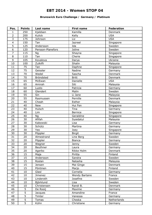### **Brunswick Euro Challenge / Germany / Platinum**

| Pos.            | <b>Points</b>  | Last name         | <b>First name</b>     | Federation  |
|-----------------|----------------|-------------------|-----------------------|-------------|
| 1               | 250            | Kjeldsen          | Kamilla               | Denmark     |
| $\overline{2}$  | 200            | Kulick            | Kelly                 | <b>USA</b>  |
| 3               | 175            | Johnson           | Liz                   | <b>USA</b>  |
| $\overline{4}$  | 150            | Tan               | Jazreel               | Singapore   |
| 5               | 125            | Andersson         | Ida                   | Sweden      |
| $\overline{6}$  | 120            | Persson-Planefors | Joline                | Sweden      |
| $\overline{7}$  | 115            | Ng                | Shayna                | Singapore   |
| 8               | 110            | Tan               | Cherie                | Singapore   |
| 9               | 105            | Kovalova          | Darya                 | Ukraine     |
| 10              | 100            | Zulkifli          | Shalin                | Malaysia    |
| 11              | 75             | Tan               | Daphne                | Singapore   |
| 12              | 75             | Geissler          | Nadine                | Germany     |
| 13              | 70             | Wedel             | Sascha                | Denmark     |
| 14              | 70             | Bröndsted         | <b>Britt</b>          | Denmark     |
| 15              | 65             | McEwan            | Danielle              | <b>USA</b>  |
| 16              | 65             | Amirah            | Siti                  | Malaysia    |
| 17              | 60             | Luoto             | Patricia              | Germany     |
| 18              | 60             | Glendert          | Malin                 | Sweden      |
| 19              | 55             | Sin               | Li Jane               | Malaysia    |
| 20              | 55             | Rasmussen         | Pernille              | Denmark     |
| 21              | 40             | Cheah             | Esther                | Malaysia    |
| 22              | 40             | <b>New</b>        | Hui Fen               | Singapore   |
| 23              | 40             | Hulsch            | Tina                  | Germany     |
| 24              | 40             | Lim               | <b>Bernice</b>        | Singapore   |
| 25              | 40             | Ng                | Geraldine             | Singapore   |
| 26              | 30             | Afifah            | Syaidatul             | Malaysia    |
| 27              | 30             | Kabowski          | Lisa                  | Germany     |
| 28              | 30             | Schütz            | Martina               | Germany     |
| 29              | 30             | Yeo               | Joey                  | Singapore   |
| 30              | 30             | Pöppler           | <b>Birgit</b>         | Germany     |
| $\overline{31}$ | 20             | Almestrand        | Line Berg             | Sweden      |
| 32              | 20             | Pöppler           | <b>Bianca</b>         | Germany     |
| 33              | 20             | Wegner            | Jenny                 | Sweden      |
| 34              | 20             | Beuthner          | Laura                 | Germany     |
| 35              | 20             | Agerbo            | Rikke Holm            | Denmark     |
| 36              | 15             | Maja              | Piritta               | Finland     |
| 37              | 15             | Andersson         | Sandra                | Sweden      |
| 38              | 15             | Roslan            | Natasha               | Malaysia    |
| 39              | 15             | Jensen            | Mai Ginge             | Denmark     |
| 40              | 15             | Pöntinen          | Marjo                 | Finland     |
| 41              | 10             | Glasl             | Cornelia              | Germany     |
| 42              | 10             | Jimenez           | <b>Wendy Bartaire</b> | France      |
| 43              | 10             | Linderoth         | Josefine              | Sweden      |
| 44              | 10             | Björklund         | Lisa                  | Sweden      |
| 45              | 10             | Christensen       | Randi B.              | Denmark     |
| 46              | $\overline{5}$ | De Rooij          | Maxime                | Germany     |
| 47              | $\overline{5}$ | Jacques           | Amandine              | France      |
| 48              | $\overline{5}$ | Timter            | Vanessa               | Germany     |
| 49              | $\overline{5}$ | Tomas             | Cheska                | Netherlands |
| 50              | $\overline{5}$ | Kühn              | Christiane            | Germany     |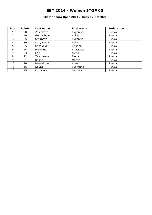### **Ekaterinburg Open 2014 / Russia / Satellite**

| Pos.           | <b>Points</b> | Last name  | First name | <b>Federation</b> |
|----------------|---------------|------------|------------|-------------------|
|                | 50            | Zelenkova  | Evgeniya   | Russia            |
| $\overline{2}$ | 40            | Gorbacheva | Yuliya     | Russia            |
| 3              | 35            | Smirnova   | Evgeniya   | Russia            |
| 4              | 30            | Kosyakova  | Polina     | Russia            |
| 5              | 25            | Ushakova   | Kristina   | Russia            |
| 6              | 24            | Mishkina   | Anastasia  | Russia            |
| ⇁              | 23            | Egel       | Alena      | Russia            |
| 8              | 22            | Zavodnaya  | Elena      | Russia            |
| 9              | 21            | Koshel     | Mariya     | Russia            |
| 10             | 20            | Mosyakova  | Anna       | Russia            |
| 11             | 15            | Nayrgi     | Ekaterina  | Russia            |
| 12             | 15            | Lozovaya   | Ludmila    | Russia            |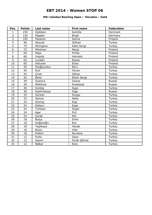### **9th Istanbul Bowling Open / Slovakia / Gold**

| Pos.           | <b>Points</b> | Last name     | First name    | Federation |
|----------------|---------------|---------------|---------------|------------|
| $\mathbf{1}$   | 150           | Kjeldsen      | Kamilla       | Denmark    |
| $\overline{2}$ | 120           | Pöppler       | <b>Birgit</b> | Germany    |
| $\overline{3}$ | 105           | Pasanen       | Sanna         | Finland    |
| $\overline{4}$ | 90            | Aksular       | Gülhan        | Turkey     |
| $\overline{5}$ | 75            | Michajlow     | Adile Sevgi   | Turkey     |
| $\overline{6}$ | 72            | Pöntinen      | Marjo         | Finland    |
| $\overline{7}$ | 69            | Maja          | Piritta       | Finland    |
| 8              | 66            | Impola        | Hannele       | Finland    |
| $\overline{9}$ | 63            | Lundén        | Roosa         | Finland    |
| 10             | 60            | Hiltunen      | Eliisa        | Finland    |
| 11             | 45            | Özoğluuntur   | Ebru          | Turkey     |
| 12             | 45            | Erol          | Hicran        | Turkey     |
| 13             | 42            | Cinar         | Gökçe         | Turkey     |
| 14             | 42            | <b>Binici</b> | Elhan Sevgi   | Turkey     |
| 15             | 39            | Suslova       | Oxana         | Russia     |
| 16             | 39            | Mishkina      | Anastasia     | Russia     |
| 17             | 36            | Kontaş        | Ayşe          | Turkey     |
| 18             | 36            | Kashirskaya   | Olga          | Russia     |
| 19             | 33            | Gürkan        | Duygu         | Turkey     |
| 20             | 33            | Sancar        | <b>Naile</b>  | Turkey     |
| 21             | 24            | Gümüş         | Ezgi          | Turkey     |
| 22             | 24            | Kalaycı       | Ayşe          | Turkey     |
| 23             | 24            | Türkkan       | Özgül         | Turkey     |
| 24             | 24            | Aşar          | Pırıl         | Turkey     |
| 25             | 24            | Corak         | Aslı          | Turkey     |
| 26             | 18            | <b>Bulca</b>  | Emel          | Turkey     |
| 27             | 18            | Doğanoğlu     | Ece           | Turkey     |
| 28             | 18            | Yeşilkaya     | Hande         | Turkey     |
| 29             | 18            | <b>Bulut</b>  | Hilal         | Turkey     |
| 30             | 18            | Erdem         | Nursena       | Turkey     |
| 31             | 12            | Kutlu         | Gaye          | Turkey     |
| 32             | 12            | Kayım         | Ferah Şöhret  | Turkey     |
| 33             | 12            | <b>Balkar</b> | Esra          | Turkey     |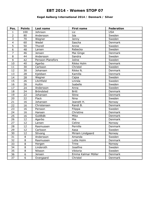### **Kegel Aalborg International 2014 / Denmark / Silver**

| Pos.            | <b>Points</b>   | Last name         | First name         | Federation |
|-----------------|-----------------|-------------------|--------------------|------------|
| $\mathbf{1}$    | 100             | Johnson           | Liz                | <b>USA</b> |
| $\overline{2}$  | 80              | Andersson         | Ida                | Sweden     |
| $\overline{3}$  | 70              | Wegner            | Jenny              | Sweden     |
| $\overline{4}$  | 60              | Wedel             | Sascha             | Denmark    |
| $\overline{5}$  | 50              | Thorell           | Annie              | Sweden     |
| $\overline{6}$  | 48              | Larsen            | Rebecka            | Sweden     |
| $\overline{7}$  | $\overline{46}$ | Jensen            | Mai Ginge          | Denmark    |
| $\overline{8}$  | 44              | Andersson         | Sandra             | Sweden     |
| 9               | 42              | Persson-Planefors | Joline             | Sweden     |
| 10              | 40              | Agerbo            | Rikke Holm         | Denmark    |
| 11              | 30              | Carlsson          | Christel           | Sweden     |
| 12              | $\overline{30}$ | Johansen          | Rikke N.           | Denmark    |
| 13              | 28              | Kjeldsen          | Kamilla            | Denmark    |
| 14              | $\overline{28}$ | Wegner            | Cajsa              | Sweden     |
| 15              | 26              | Litchfield        | Linnéa             | Sweden     |
| 16              | 26              | Hultin            | Isabelle           | Sweden     |
| 17              | 24              | Andersson         | Anna               | Sweden     |
| 18              | 24              | Bröndsted         | <b>Britt</b>       | Denmark    |
| 19              | $\overline{22}$ | Johansen          | <b>Stine</b>       | Denmark    |
| $\overline{20}$ | $\overline{22}$ | Flack             | Nina               | Sweden     |
| 21              | 16              | Johansen          | Jeanett H.         | Norway     |
| 22              | 16              | Christensen       | Randi B.           | Denmark    |
| 23              | 16              | Persson           | Filippa            | Sweden     |
| 24              | 16              | Hansen            | Christine          | Denmark    |
| $\overline{25}$ | 16              | Guldbäk           | Mika               | Denmark    |
| $\overline{26}$ | $\overline{12}$ | Agerbo            | Mie                | Denmark    |
| 27              | $\overline{1}2$ | Larsen            | Celine             | Norway     |
| 28              | 12              | Rasmussen         | Pernille           | Denmark    |
| $\overline{29}$ | $\overline{12}$ | Carlsson          | Aasa               | Sweden     |
| $\overline{30}$ | 12              | Stivang           | Miriam Lindgaard   | Norway     |
| $\overline{31}$ | 8               | Andersson         | Amanda             | Sweden     |
| $\overline{32}$ | $\overline{8}$  | Rasmussen         | Lotte Holm         | Denmark    |
| 33              | 8               | Horgen            | <b>Trine</b>       | Norway     |
| 34              | $\overline{8}$  | Linderoth         | Josefine           | Sweden     |
| $\overline{35}$ | $\overline{8}$  | Nilsson           | Viktoria           | Sweden     |
| 36              | $\overline{6}$  | Jensen            | Emma Kalmar Möller | Denmark    |
| $\overline{37}$ | $\overline{6}$  | Overgaard         | Christel           | Denmark    |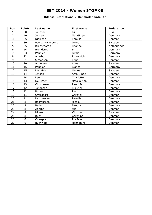#### **Odense International / Denmark / Satellite**

| Pos.           | <b>Points</b>  | Last name         | <b>First name</b> | <b>Federation</b> |
|----------------|----------------|-------------------|-------------------|-------------------|
| 1              | 50             | Johnson           | Liz               | <b>USA</b>        |
| $\overline{2}$ | 40             | Jensen            | Mai Ginge         | Denmark           |
| $\overline{3}$ | 35             | Kjeldsen          | Kamilla           | Denmark           |
| $\overline{4}$ | 30             | Persson-Planefors | Joline            | Sweden            |
| 5              | 25             | Breeschoten       | Lisanne           | Netherlands       |
| 6              | 24             | Bröndsted         | <b>Britt</b>      | Denmark           |
| $\overline{7}$ | 23             | Pöppler           | <b>Birgit</b>     | Germany           |
| 8              | 22             | Agerbo            | Rikke Holm        | Denmark           |
| 9              | 21             | Simonsen          | <b>Trine</b>      | Denmark           |
| 10             | 20             | Andersson         | Anna              | Sweden            |
| 11             | 15             | Pöppler           | <b>Bianca</b>     | Germany           |
| 12             | 15             | Litchfield        | Linnéa            | Sweden            |
| 13             | 14             | Jensen            | Anja Ginge        | Denmark           |
| 14             | 14             | Leen              | Charlotte         | Denmark           |
| 15             | 13             | De Lisser         | Natalia Ann       | Denmark           |
| 16             | 13             | Christensen       | Randi B.          | Denmark           |
| 17             | 12             | Johansen          | Rikke N.          | Denmark           |
| 18             | 12             | <b>Burkal</b>     | Pia               | Denmark           |
| 19             | 11             | Overgaard         | Christel          | Denmark           |
| 20             | 11             | Rasmussen         | Pernille          | Denmark           |
| 21             | 8              | Rasmussen         | Nicole            | Denmark           |
| 22             | 8              | <b>Bader</b>      | Sandra            | Denmark           |
| 23             | 8              | Agerbo            | Mie               | Denmark           |
| 24             | $\overline{8}$ | Nilsson           | Viktoria          | Sweden            |
| 25             | 8              | <b>Buch</b>       | Christina         | Denmark           |
| 26             | 6              | Overgaard         | Ida Boel          | Denmark           |
| 27             | 6              | <b>Buchwald</b>   | Hannah M.         | Denmark           |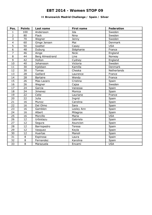### **II Brunswick Madrid Challenge / Spain / Silver**

| Pos.           | <b>Points</b>  | Last name       | <b>First name</b> | Federation  |
|----------------|----------------|-----------------|-------------------|-------------|
| 1              | 100            | Andersson       | Ida               | Sweden      |
| $\overline{2}$ | 80             | Flack           | Nina              | Sweden      |
| 3              | 70             | Wegner          | Jenny             | Sweden      |
| $\overline{4}$ | 60             | Ginge Jensen    | Mai               | Denmark     |
| $\overline{5}$ | 50             | Goettel         | Casey             | <b>USA</b>  |
| 6              | 48             | Duburg          | Stéphanie         | France      |
| $\overline{7}$ | 46             | Ainge           | Nicki             | England     |
| 8              | 44             | Berg Almestrand | Line              | Norway      |
| 9              | 42             | Holton          | Cydney            | England     |
| 10             | 40             | Johansson       | Victoria          | Sweden      |
| 11             | 30             | Kjeldsen        | Kamilla           | Denmark     |
| 12             | 30             | <b>Tomas</b>    | Cheska            | Netherlands |
| 13             | 28             | Gaillard        | Laurence          | France      |
| 14             | 28             | <b>Bartaire</b> | Wendy             | France      |
| 15             | 26             | Mas-Lazaro      | Cristina          | Spain       |
| 16             | 26             | Wegner          | Cajsa             | Sweden      |
| 17             | 24             | Garcia          | Vanessa           | Spain       |
| 18             | 24             | Jimenez         | Monica            | Spain       |
| 19             | 22             | Celie           | Lauriane          | France      |
| 20             | 22             | Julia           | Ingrid            | Spain       |
| 21             | 16             | Munoz           | Carolina          | Spain       |
| 22             | 16             | Del Olmo        | Sara              | Spain       |
| 23             | 16             | Gamblen         | Lesley Ann        | Spain       |
| 24             | 16             | Albert          | Milagros          | Spain       |
| 25             | 16             | Morcillo        | Maria             | <b>USA</b>  |
| 26             | 12             | Urbistazu       | Gabriela          | Spain       |
| 27             | 12             | Segura          | Asuncion          | Spain       |
| 28             | 12             | Barriopedro     | Teresa            | Spain       |
| 29             | 12             | Vasquez         | Keyla             | Spain       |
| 30             | 12             | Huertas         | Manoli            | Spain       |
| 31             | 8              | Espinosa        | Laura             | Spain       |
| 32             | 8              | Fernandez       | Karolina          | Spain       |
| 33             | $\overline{8}$ | Marazuela       | Encami            | <b>USA</b>  |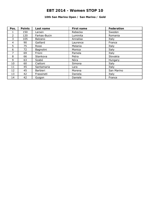### **10th San Marino Open / San Marino / Gold**

| Pos.           | <b>Points</b> | Last name    | <b>First name</b> | Federation |
|----------------|---------------|--------------|-------------------|------------|
|                | 150           | Larsen       | Rebecka           | Sweden     |
| $\overline{2}$ | 120           | Farkas-Bucin | Luminita          | Romania    |
| 3              | 105           | Balzano      | Annalisa          | Italy      |
| 4              | 90            | Gaillard     | Laurence          | France     |
| 5              | 75            | Rossi        | Melania           | Italy      |
| 6              | 72            | Bagnolini    | Monica            | Italy      |
| 7              | 69            | Frioni       | Pamela            | Italy      |
| 8              | 66            | Stankova     | Petra             | Slovakia   |
| 9              | 63            | Szabó        | Nóra              | Hungary    |
| 10             | 60            | Ciattoni     | Simona            | Italy      |
| 11             | 45            | Santamaria   | Lara              | Italy      |
| 12             | 45            | Barbieri     | Morena            | San Marino |
| 13             | 42            | Frassineti   | Daniela           | Italy      |
| 14             | 42            | Guigon       | Daniele           | France     |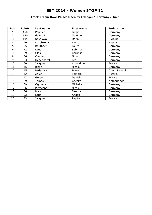### **Track Dream-Bowl Palace Open by Erdinger / Germany / Gold**

| Pos. | <b>Points</b> | Last name      | First name    | Federation     |
|------|---------------|----------------|---------------|----------------|
|      | 150           | Pöppler        | <b>Birgit</b> | Germany        |
| 2    | 120           | de Rooij       | Maxime        | Germany        |
| 3    | 105           | Kovalova       | Daria         | Ukraine        |
| 4    | 90            | Korobkova      | Alene         | Russia         |
| 5    | 75            | Beuthner       | Laura         | Germany        |
| 6    | 72            | Laub           | Sabrina       | Germany        |
| 7    | 69            | Glasl          | Cornelia      | Germany        |
| 8    | 66            | Cremer         | Nina          | Germany        |
| 9    | 63            | Degenhardt     | Lea           | Germany        |
| 10   | 60            | <b>Jacques</b> | Amandine      | France         |
| 11   | 45            | <b>Blase</b>   | Nicole        | Germany        |
| 12   | 45            | Padarova       | Ivana         | Czech Republic |
| 13   | 42            | Adler          | Tamara        | Austria        |
| 14   | 42            | Guigon         | Daniele       | France         |
| 15   | 39            | <b>Tomas</b>   | Cheska        | Netherlands    |
| 16   | 39            | Ogriseck       | Michelle      | Germany        |
| 17   | 36            | Pietschner     | Nicole        | Germany        |
| 18   | 36            | Matz           | Sandra        | Germany        |
| 19   | 33            | Laub           | Angela        | Germany        |
| 20   | 33            | Jacques        | Pepita        | France         |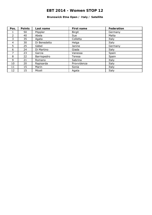### **Brunswick Etna Open / Italy / Satellite**

| Pos.           | <b>Points</b> | Last name    | <b>First name</b> | <b>Federation</b> |
|----------------|---------------|--------------|-------------------|-------------------|
| Τ.             | 50            | Pöppler      | <b>Birgit</b>     | Germany           |
| $\overline{2}$ | 40            | Abela        | Sue               | Malta             |
| 3              | 35            | Agata        | Colletta          | Italy             |
| 4              | 30            | Di Benedetto | Helga             | Italy             |
| 5              | 25            | Gäbel        | Janine            | Germany           |
| 6              | 24            | Di Martino   | Giada             | Italy             |
| 7              | 23            | Garcia       | Vanessa           | Spain             |
| 8              | 22            | Barriopedro  | Teresa            | Spain             |
| 9              | 21            | Romano       | Sabrina           | Italy             |
| 10             | 20            | Rapisarda    | Provvidenza       | Italy             |
| 11             | 15            | Marin        | Sonia             | Italy             |
| 12             | 15            | Miceli       | Agata             | Italy             |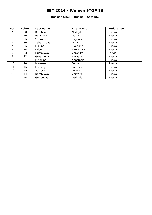#### **Russian Open / Russia / Satellite**

| Pos.          | <b>Points</b> | Last name       | <b>First name</b> | Federation |
|---------------|---------------|-----------------|-------------------|------------|
|               | 50            | Korablinova     | Nadejda           | Russia     |
| $\mathcal{P}$ | 40            | <b>Bulanova</b> | Maria             | Russia     |
| 3             | 35            | Smirnova        | Evgeniya          | Russia     |
| 4             | 30            | Tabachkova      | Olga              | Russia     |
| 5             | 25            | Lipkina         | Svetlana          | Russia     |
| 6             | 24            | Udem            | Alexandra         | Russia     |
| 7             | 23            | Hudjakova       | Veronika          | Latvia     |
| 8             | 22            | Gryaznova       | Varvara           | Russia     |
| 9             | 21            | Mishkina        | Anastasia         | Russia     |
| 10            | 20            | Minenko         | Daria             | Russia     |
| 11            | 15            | Lozovaya        | Ludmila           | Russia     |
| 12            | 15            | Suslova         | Oxana             | Russia     |
| 13            | 14            | Korobkova       | Varvara           | Russia     |
| 14            | 14            | Grigorieva      | Nadejda           | Russia     |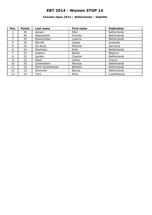### **Chandra Open 2014 / Netherlands / Satellite**

| Pos.          | <b>Points</b> | Last name         | First name     | Federation  |
|---------------|---------------|-------------------|----------------|-------------|
|               | 50            | Jansen            | Ellen          | Netherlands |
| $\mathcal{P}$ | 40            | Maaswinkel        | Priscilla      | Netherlands |
| 3             | 35            | Breeschoten       | Lisanne        | Netherlands |
| 4             | 30            | Barrett           | Cassie         | Australia   |
| 5             | 25            | De Rooij          | Maxime         | Germany     |
| 6             | 24            | Plummen           | Kelly          | Netherlands |
| 7             | 23            | <b>Jespers</b>    | <b>Bauke</b>   | Belgium     |
| 8             | 22            | <b>Jacobs</b>     | Chantal        | Netherlands |
| 9             | 21            | Ribet             | Celine         | France      |
| 10            | 20            | Groenestein       | Marissa        | Netherlands |
| 11            | 15            | Slink-Korpershoek | <b>Barbara</b> | Netherlands |
| 12            | 15            | <b>Brommer</b>    | <b>Bianca</b>  | Netherlands |
| 13            | 14            | Turci             | Nora           | Luxembourg  |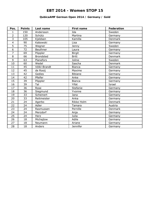### **QubicaAMF German Open 2014 / Germany / Gold**

| Pos.           | <b>Points</b> | Last name        | <b>First name</b> | Federation |
|----------------|---------------|------------------|-------------------|------------|
| 1              | 150           | Andersson        | Ida               | Sweden     |
| $\overline{2}$ | 120           | Schütz           | Martina           | Germany    |
| 3              | 105           | Kjeldsen         | Kamilla           | Denmark    |
| $\overline{4}$ | 90            | Kabowski         | Lisa              | Germany    |
| 5              | 75            | Wegner           | Jenny             | Sweden     |
| $\overline{6}$ | 72            | Beuthner         | Laura             | Germany    |
| $\overline{7}$ | 69            | Pöppler          | <b>Birgit</b>     | Germany    |
| 8              | 66            | <b>Brondsted</b> | <b>Britt</b>      | Denmark    |
| 9              | 63            | Planefors        | Joline            | Sweden     |
| 10             | 60            | Wedel            | Sascha            | Denmark    |
| 11             | 45            | Völkl-Brandt     | <b>Bianca</b>     | Germany    |
| 12             | 45            | de Rooij         | Maxime            | Germany    |
| 13             | 42            | Gedies           | <b>Bibiane</b>    | Germany    |
| 14             | 42            | Pfeifer          | Anke              | Germany    |
| 15             | 39            | Pöppler          | <b>Bianca</b>     | Germany    |
| 16             | 39            | Tal              | Yifat             | Israel     |
| 17             | 36            | Rose             | Stefanie          | Germany    |
| 18             | 36            | Siegmund         | Yvonne            | Germany    |
| 19             | 33            | Scheinert        | Jana              | Germany    |
| 20             | 33            | Reitmeister      | Anka              | Germany    |
| 21             | 24            | Agerbo           | Rikke Holm        | Denmark    |
| 22             | 24            | Adler            | Tamara            | Austria    |
| 23             | 24            | Rasmussen        | Pernille          | Denmark    |
| 24             | 24            | Merzdorf         | Anja              | Germany    |
| 25             | 24            | Herz             | Julia             | Germany    |
| 26             | 18            | Michajlow        | Adile             | Germany    |
| 27             | 18            | Neumann          | Ariane            | Germany    |
| 28             | 18            | Anders           | Jennifer          | Germany    |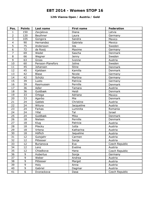### **12th Vianna Open / Austria / Gold**

| Pos.           | <b>Points</b>  | Last name         | First name | Federation     |
|----------------|----------------|-------------------|------------|----------------|
| $\mathbf{1}$   | 150            | Zavjalova         | Diana      | Latvia         |
| $\overline{2}$ | 120            | Beuthner          | Laura      | Germany        |
| $\overline{3}$ | 105            | Gongora           | Sandra     | Mexico         |
| $\overline{4}$ | 90             | Hernandez         | Gabriela   | Mexico         |
| 5              | 75             | Andersson         | Ida        | Sweden         |
| 6              | 72             | de Rooij          | Maxime     | Germany        |
| $\overline{7}$ | 69             | Wedel             | Sascha     | Denmark        |
| 8              | 66             | Wegner            | Jenny      | Sweden         |
| 9              | 63             | Gross             | Ivonne     | Austria        |
| 10             | 60             | Persson-Planefors | Joline     | Sweden         |
| 11             | 45             | Johansen          | Stine      | Denmark        |
| 12             | 45             | Kjeldsen          | Kamilla    | Denmark        |
| 13             | 42             | <b>Blase</b>      | Nicole     | Germany        |
| 14             | 42             | Schütz            | Martina    | Germany        |
| 15             | 39             | Luoto             | Patricia   | Germany        |
| 16             | 39             | Rasmussen         | Pernille   | Denmark        |
| 17             | 36             | Adler             | Tamara     | Austria        |
| 18             | 36             | Guldbæk           | Heidi      | Denmark        |
| 19             | 33             | Ortega            | Adriana    | Mexico         |
| 20             | 33             | Agerbo            | Mie        | Denmark        |
| 21             | 24             | Gablek            | Christine  | Austria        |
| 22             | 24             | Witura            | Jacqueline | Austria        |
| 23             | 24             | Farkas            | Luminita   | Romania        |
| 24             | 24             | Yifat             | Tal        | Israel         |
| 25             | 24             | Guldbæk           | Mika       | Denmark        |
| 26             | 18             | Nielsen           | Pernille   | Denmark        |
| 27             | 18             | Klug              | Patricia   | Austria        |
| 28             | 18             | Pilecky           | Jutta      | Austria        |
| 29             | 18             | Vrtena            | Katharina  | Austria        |
| 30             | 18             | Höflich           | Jaqueline  | Austria        |
| 31             | 12             | Gutsjahr          | Carmen     | Austria        |
| 32             | 12             | Pittesser         | Sonja      | Austria        |
| 33             | 12             | Burianova         | Eva        | Czech Republic |
| 34             | 12             | Lenz              | Eveline    | Austria        |
| 35             | 12             | Chladkova         | Hana       | Czech Republic |
| 36             | 9              | Hubertus          | Sonja      | Germany        |
| 37             | 9              | Weber             | Andrea     | Austria        |
| 38             | 9              | Pittesser         | Margot     | Austria        |
| 39             | 9              | Holy              | Anna       | Austria        |
| 40             | 9              | Gabriel           | Dagmar     | Austria        |
| 41             | $\overline{6}$ | Dvorackova        | Dasa       | Czech Republic |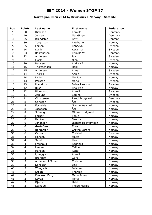### **Norwegian Open 2014 by Brunswick / Norway / Satellite**

| Pos.                    | <b>Points</b>           | Last name       | <b>First name</b>        | Federation |
|-------------------------|-------------------------|-----------------|--------------------------|------------|
| $\mathbf{1}$            | 50                      | Kjeldsen        | Kamilla                  | Denmark    |
| $\overline{2}$          | 40                      | Jensen          | Mai Ginge                | Denmark    |
| 3                       | 35                      | Brøndsted       | <b>Britt</b>             | Denmark    |
| $\overline{\mathbf{4}}$ | 30                      | Torgersen       | Patcharin                | Norway     |
| 5                       | 25                      | Larsen          | Rebecka                  | Sweden     |
| 6                       | 24                      | Dahlin          | Katarina                 | Sweden     |
| $\overline{7}$          | 23                      | Rasmussen       | Pernille W.              | Denmark    |
| 8                       | 22                      | Andersson       | Ida                      | Sweden     |
| 9                       | 21                      | Flack           | Nina                     | Sweden     |
| 10                      | 20                      | Hansen          | Andrea E.                | Norway     |
| 11                      | 15                      | Thorstensen     | Heidi                    | Norway     |
| 12                      | 15                      | Andersson       | Anna                     | Sweden     |
| 13                      | 14                      | Thorell         | Annie                    | Sweden     |
| 14                      | 14                      | Lislien         | Monica                   | Norway     |
| 15                      | 13                      | Persson         | Maria                    | Sweden     |
| 16                      | 13                      | Planefors       | Joline Persson           | Sweden     |
| 17                      | 12                      | Riise           | Lisa Iren                | Norway     |
| 18                      | 12                      | Blomqvist       | Anneli                   | Sweden     |
| 19                      | 11                      | Asplund         | Sabina                   | Sweden     |
| 20                      | 11                      | Christensen     | Randi Brogaard           | Denmark    |
| 21                      | 8                       | Carlsson        | Åsa                      | Sweden     |
| 22                      | 8                       | Fosseide        | Grethe Walstad           | Norway     |
| 23                      | 8                       | Jacobsen        | $\overline{\text{A}}$ se | Norway     |
| 24                      | 8                       | Stivang         | Miriam Lindgaard         | Norway     |
| 25                      | 8                       | Färber          | Tonje                    | Norway     |
| 26                      | $\overline{6}$          | <b>Bakken</b>   | Sandra                   | Norway     |
| 27                      | 6                       | Johansen        | Jeanett Haavelmoen       | Norway     |
| 28                      | 6                       | Gustafsson      | Tone                     | Norway     |
| 29                      | 6                       | Bergersen       | Grethe Barbro            | Norway     |
| 30                      | 6                       | Carlsson        | Christel                 | Sweden     |
| 31                      | $\overline{4}$          | Hansen          | Mette                    | Norway     |
| $\overline{32}$         | $\overline{\mathbf{4}}$ | Sand            | Line                     | Norway     |
| 33                      | $\overline{4}$          | Frøshaug        | Ragnhild                 | Norway     |
| 34                      | $\overline{4}$          | Larsen          | Celine                   | Norway     |
| 35                      | $\overline{4}$          | Hansen          | Randi                    | Norway     |
| 36                      | 3                       | Ljunggren       | Anneli                   | Norway     |
| 37                      | $\overline{3}$          | <b>Brandett</b> | Gerd                     | Norway     |
| 38                      | $\overline{3}$          | Andersen Löfman | Christin                 | Norway     |
| 39                      | $\overline{3}$          | Søhagen         | Line                     | Norway     |
| 40                      | $\overline{3}$          | Wangsvik        | Julianne                 | Norway     |
| 41                      | $\overline{2}$          | Krogh           | Therese                  | Norway     |
| 42                      | $\overline{2}$          | Paulsson Berg   | Marie Jenny              | Norway     |
| 43                      | $\overline{2}$          | Løvdal          | Mona                     | Norway     |
| 44                      | $\overline{2}$          | <b>Bjerke</b>   | Heidi                    | Norway     |
| 45                      | $\overline{2}$          | Dalhaug         | Phebe Florida            | Norway     |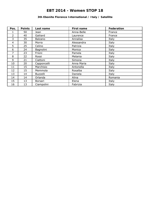### **3th Ebonite Florence International / Italy / Satellite**

| Pos.           | <b>Points</b> | Last name   | First name | Federation |
|----------------|---------------|-------------|------------|------------|
|                | 50            | Jean        | Anna-Belle | France     |
| $\overline{2}$ | 40            | Galiiard    | Laurence   | France     |
| 3              | 35            | Balzano     | Annalisa   | Italy      |
| 4              | 30            | Morra       | Alessandra | Italy      |
| 5              | 25            | Celino      | Patrizia   | Italy      |
| 6              | 24            | Bagnolini   | Monica     | Italy      |
| 7              | 23            | Frioni      | Pamela     | Italy      |
| 8              | 22            | Rossi       | Melania    | Italy      |
| 9              | 21            | Ciattoni    | Simona     | Italy      |
| 10             | 20            | Capponcelli | Anna Maria | Italy      |
| 11             | 15            | Marchisio   | Antonella  | Italy      |
| 12             | 15            | Memmola     | Rosalba    | Italy      |
| 13             | 14            | Buzzelli    | Daniela    | Italy      |
| 14             | 14            | Orlanda     | Alina      | Romania    |
| 15             | 13            | Borsari     | Elena      | Italy      |
| 16             | 13            | Ciampolini  | Fabrizia   | Italy      |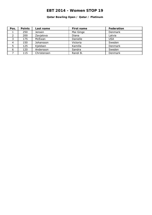### **Qatar Bowling Open / Qatar / Platinum**

| Pos. | <b>Points</b> | Last name   | First name | Federation |
|------|---------------|-------------|------------|------------|
|      | 250           | Jensen      | Mai Ginge  | Denmark    |
|      | 200           | Zavjalova   | Diana      | Latvia     |
| っ    | 175           | McEwan      | Danielle   | <b>USA</b> |
|      | 150           | Johansson   | Victoria   | Sweden     |
|      | 125           | Kjeldsen    | Kamilla    | Denmark    |
| 6    | 120           | Andersson   | Sandra     | Sweden     |
|      | 115           | Christensen | Randi B.   | Denmark    |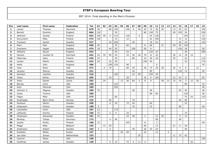| Pos            | Last name  | First name   | Federation  | Tot | 01  | 02             | 03             | 04  | 05 | 06  | 07             | 08             | 09             | 10  | 11  | 12 | 13             | 14 | 15  | 16  | 17 | 18 | 19  |
|----------------|------------|--------------|-------------|-----|-----|----------------|----------------|-----|----|-----|----------------|----------------|----------------|-----|-----|----|----------------|----|-----|-----|----|----|-----|
| $\mathbf 1$    | Larsen     | Thomas       | Denmark     | 878 | 39  |                | 80             | 150 |    | 150 | 8              | 40             | 44             | 75  | 36  | 30 |                | 13 | 45  | 63  |    |    | 105 |
| $\overline{2}$ | Barrett    | Dominic      | England     | 864 | 120 |                |                | 20  |    |     |                |                | 80             | 150 | 75  |    |                | 40 | 105 | 24  |    |    | 250 |
| 3              | Jehkinen   | Joonas       | Finland     | 652 | 105 | 40             | $\overline{4}$ | 115 |    | 120 |                | $\overline{4}$ |                | 24  | 120 |    |                |    |     | 105 |    |    | 15  |
| 4              | Koivuniemi | Mika         | Finland     | 573 | 150 |                |                | 15  |    | 12  |                |                |                | 42  | 150 |    |                |    | 72  | 12  |    |    | 120 |
| 5              | Fransson   | Daniel       | Sweden      | 527 |     |                | 24             | 200 |    |     | 28             |                |                | 18  | 63  |    |                |    | 45  | 24  |    |    | 125 |
| 6              | Moor       | Paul         | England     | 506 | 45  |                |                | 70  |    | 60  |                |                | 8              | 66  |     | 21 |                | 50 | 36  | 150 |    |    |     |
| $\overline{7}$ | Svensson   | Jesper       | Sweden      | 474 | 18  |                | 44             | 55  |    |     | 100            |                | 50             | 9   |     |    |                |    | 150 | 18  |    |    | 30  |
| 8              | Williams   | Stuart       | England     | 453 |     |                |                | 40  |    | 24  |                |                |                | 120 | 33  |    |                |    |     | 36  |    |    | 200 |
| 9              | Hansen     | Carsten W.   | Denmark     | 442 | 24  | 35             | 40             | 55  |    | 33  | 26             | 30             | 70             | 12  | 42  |    |                | 30 | 12  | 18  | 15 |    |     |
| 10             | Palermaa   | Osku         | Finland     | 426 | 33  |                |                | 30  |    |     | 80             |                | 16             | 39  | 36  |    |                | 35 |     | 42  |    |    | 115 |
| 11             | Larsen     | Martin       | Sweden      | 423 | 24  |                | 16             | 30  |    |     |                |                | 100            | 45  |     |    |                |    |     | 33  |    |    | 175 |
| 12             | Wells      | John         | England     | 389 |     |                | 100            | 120 |    | 90  |                |                |                |     | 9   |    |                |    |     |     |    |    | 70  |
| 13             | Voss       | <b>Brian</b> | <b>USA</b>  | 372 |     | $\overline{4}$ | 70             |     |    | 66  | 30             |                | 30             | 72  | 18  | 30 |                | 25 | 9   | 6   |    | 12 |     |
| 14             | Jansson    | Marcus       | Sweden      | 321 |     |                |                |     |    |     | 44             |                |                | 90  |     |    |                |    | 120 | 12  |    |    | 55  |
| 15             | Karlsson   | Joachim      | Sweden      | 316 |     |                |                | 100 |    |     | 22             | 50             |                | 105 | 39  |    |                |    |     |     |    |    |     |
| 16             | Teece      | Richie       | England     | 295 |     |                | 16             |     |    | 39  |                |                | 16             | 9   | 105 |    |                | 12 | 24  | 9   |    |    | 65  |
| 17             | Vezis      | Daniel       | Latvia      | 292 |     | 24             |                |     | 13 | 36  | 60             | 3              | 8              | 9   |     | 40 | 21             | 15 | 18  | 3   | 12 | 30 |     |
| 18             | Barnes     | Chris        | <b>USA</b>  | 290 |     |                |                | 125 |    |     |                |                |                |     |     |    |                |    |     | 90  |    |    | 75  |
| 19             | Kent       | Marshall     | <b>USA</b>  | 290 |     |                |                | 250 |    |     |                |                |                |     |     |    |                |    |     |     |    |    | 40  |
| 20             | Johnson Jr | Magnus       | Sweden      | 289 | 75  |                |                |     |    |     | 46             |                |                | 36  |     |    |                |    | 63  | 39  |    |    | 30  |
| 21             | Jones      | Tommy        | <b>USA</b>  | 285 |     |                |                |     |    |     |                |                |                | 69  | 66  |    |                |    |     | 120 |    |    | 30  |
| 22             | Fagan      | Mike         | <b>USA</b>  | 275 |     |                |                | 65  |    |     |                |                |                |     |     |    |                |    |     | 75  | 25 |    | 110 |
| 23             | Rudshagen  | Björn-Einar  | Norway      | 225 |     |                | 50             |     |    |     | 70             |                |                |     |     |    |                |    | 36  | 69  |    |    |     |
| 24             | Paulsson   | Martin       | Sweden      | 208 |     |                | 6              | 20  |    | 72  | 26             |                |                | 60  |     |    |                |    |     | 24  |    |    |     |
| 25             | Andersson  | Pontus       | Sweden      | 188 | 9   |                |                |     |    |     | 16             |                |                | 33  |     |    |                |    | 90  |     |    |    | 40  |
| 26             | Loschetter | Chris        | <b>USA</b>  | 187 | 12  |                |                | 175 |    |     |                |                |                |     |     |    |                |    |     |     |    |    |     |
| 27             | Lehtonen   | Kimmo        | Finland     | 184 | 72  |                | $\overline{2}$ | 5   |    | 33  |                |                |                |     |     |    |                |    |     | 72  |    |    |     |
| 28             | Johansson  | Alexander    | Sweden      | 181 | 24  |                |                |     |    | 24  | 48             |                | 2              |     | 12  | 50 |                |    | 9   | 12  |    |    |     |
| 29             | Börding    | Tobias       | Germany     | 173 |     |                | $\overline{4}$ | 40  |    |     |                |                |                |     | 90  |    |                |    | 39  |     |    |    |     |
| 30             | Jussila    | Perttu       | Finland     | 168 | 12  |                |                |     |    | 105 |                |                | 8              |     | 3   |    |                |    |     |     |    |    | 40  |
| 31             | Maggi      | Mats         | Belgium     | 165 |     | 12             | 30             |     |    |     |                |                | 60             |     | 12  |    |                | 21 | 6   | 24  |    |    |     |
| 32             | Andersson  | Robert       | Sweden      | 163 | 3   |                | 2              |     |    |     | 30             |                | 26             | 33  | 24  |    |                |    |     | 45  |    |    |     |
| 33             | Koshelev   | Nikita       | Russia      | 157 |     |                |                |     | 50 | 69  |                |                | 22             |     | 12  |    | $\overline{4}$ |    |     |     |    |    |     |
| 34             | van Geel   | Jeroen       | Netherlands | 153 |     |                |                |     |    |     |                | 25             |                |     |     |    |                | 11 | 75  | 42  |    |    |     |
| 35             | Camron     | Weier        | <b>USA</b>  | 150 |     |                |                |     |    |     |                |                |                |     |     |    |                |    |     |     |    |    | 150 |
| 36             | Gruffman   | James        | Sweden      | 148 |     |                | $\overline{4}$ | 15  |    | 75  | $\overline{4}$ | 11             | $\overline{4}$ |     |     |    |                |    |     |     | 35 |    |     |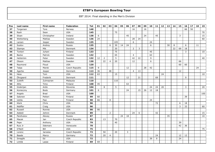| Pos | Last name  | First name  | Federation     | <b>Tot</b> | 01 | 02             | 03             | 04  | 05 | 06 | 07             | 08           | 09 | 10 | 11 | 12 | 13 | 14 | 15 | 16 | 17 | 18 | 19  |
|-----|------------|-------------|----------------|------------|----|----------------|----------------|-----|----|----|----------------|--------------|----|----|----|----|----|----|----|----|----|----|-----|
| 37  | Torgersen  | Tore        | Norway         | 148        |    |                |                |     |    |    | 16             |              | 16 |    |    |    |    |    |    | 66 | 50 |    |     |
| 38  | Rash       | Sean        | <b>USA</b>     | 145        |    |                |                | 75  |    |    |                |              |    |    |    |    |    |    |    |    |    |    | 70  |
| 39  | Sloan      | Christopher | Ireland        | 138        | 6  |                |                |     |    | 45 |                |              | 24 |    | 45 |    |    |    | 3  |    |    |    | 15  |
| 40  | Wetterberg | Mattias     | Sweden         | 136        | 24 |                |                |     |    |    | 28             | 24           |    |    |    |    |    |    |    |    |    |    | 60  |
| 41  | Larsen     | Jesper      | Sweden         | 135        |    |                |                | 105 |    |    | 6              |              |    | 24 |    |    |    |    |    |    |    |    |     |
| 42  | Suslov     | Andrey      | Russia         | 135        |    |                | 6              | 30  | 14 | 24 |                |              |    | 6  |    |    | 30 | 8  |    | 6  |    | 11 |     |
| 43  | Stampe     | Mik         | Denmark        | 134        |    |                |                | 20  |    |    | $\overline{2}$ | $\mathbf{3}$ |    |    |    |    |    | 22 | 69 | 18 |    |    |     |
| 44  | Tonteri    | Juhani      | Finland        | 133        |    |                |                | 75  |    |    |                |              |    | 45 |    |    |    |    |    | 3  |    |    | 10  |
| 45  | Backe      | Patrick     | Sweden         | 132        |    |                |                | 65  |    |    | $\overline{4}$ |              |    | 63 |    |    |    |    |    |    |    |    |     |
| 46  | Hellström  | Peter       | Sweden         | 132        | 12 | $\overline{2}$ |                | 5   |    |    | 42             | 22           |    | 9  |    |    |    |    |    |    |    |    | 40  |
| 47  | Olsson     | Mattias     | Sweden         | 130        |    | 22             | $\overline{4}$ | 20  |    |    | 12             |              |    | 6  |    |    |    |    | 66 |    |    |    |     |
| 48  | Raymond    | Floyd       | <b>USA</b>     | 120        |    |                |                |     |    |    |                |              |    |    |    |    |    |    | 60 | 60 |    |    |     |
| 49  | Talpa      | Marek       | Czech Republic | 115        | 9  |                |                |     |    | 12 |                |              | 28 | 42 |    |    |    |    |    |    |    | 24 |     |
| 50  | Agerbo     | Jesper      | Denmark        | 113        | 36 |                | 48             |     |    |    | $\overline{4}$ | 13           |    |    |    |    |    |    | 12 |    |    |    |     |
| 51  | Hess       | Tom         | <b>USA</b>     | 112        | 63 |                |                | 15  |    |    |                |              |    |    |    | 24 |    |    |    |    |    |    | 10  |
| 52  | Öhrgaard   | Frederik    | Denmark        | 111        |    |                |                |     |    | 12 |                | 21           |    |    | 69 |    |    |    |    | 9  |    |    |     |
| 53  | Zulkifli   | Zulmazran   | Malaysia       | 110        |    |                |                | 110 |    |    |                |              |    |    |    |    |    |    |    |    |    |    |     |
| 54  | Alho       | Timo        | Finland        | 108        | 45 |                |                |     |    | 63 |                |              |    |    |    |    |    |    |    |    |    |    |     |
| 55  | Grabrijan  | Anže        | Slovenia       | 104        |    | 8              |                | 5   |    |    |                |              |    | 24 | 24 | 20 |    |    |    | 3  |    |    | 20  |
| 56  | Konieczny  | Bodo        | Germany        | 101        | 6  |                |                |     |    | 24 |                | 15           | 26 | 12 | 18 |    |    |    |    |    |    |    |     |
| 57  | Angelo     | <b>Brad</b> | <b>USA</b>     | 100        |    |                |                |     |    |    |                |              |    |    |    |    |    |    |    |    |    |    | 100 |
| 58  | Salonen    | Petteri     | Finland        | 99         | 60 |                |                |     |    |    |                |              |    |    |    |    |    |    |    | 39 |    |    |     |
| 59  | Uotila     | Pasi        | Finland        | 98         | 66 |                | 8              |     |    |    |                |              |    | 24 |    |    |    |    |    |    |    |    |     |
| 60  | Klerk      | Chris       | <b>USA</b>     | 96         |    |                |                |     |    |    |                |              |    |    | 72 |    |    |    | 6  | 18 |    |    |     |
| 61  | Nidiffer   | Craig       | <b>USA</b>     | 96         |    |                |                |     |    |    |                |              |    |    |    |    |    |    | 3  | 33 |    |    | 60  |
| 62  | Russell    | Ronnie      | <b>USA</b>     | 90         | 90 |                |                |     |    |    |                |              |    |    |    |    |    |    |    |    |    |    |     |
| 63  | Adsböl     | Johnni      | Denmark        | 89         |    |                | $\overline{2}$ |     |    |    | 24             | 6            |    |    | 42 |    |    |    |    |    |    |    | 15  |
| 64  | Parshukov  | Alexey      | Russia         | 87         |    |                |                |     | 24 | 18 |                |              |    |    |    |    | 35 |    |    |    |    |    | 10  |
| 65  | Macek      | Jan         | Czech Republic | 83         |    | 13             |                | 70  |    |    |                |              |    |    |    |    |    |    |    |    |    |    |     |
| 66  | Pepe       | Anthony     | <b>USA</b>     | 79         |    |                |                | 40  |    |    |                |              |    |    |    |    |    |    | 39 |    |    |    |     |
| 67  | Ruiz Jr    | Ildemaro    | Venezuela      | 78         |    |                |                |     |    |    |                |              |    |    |    |    |    |    | 42 | 36 |    |    |     |
| 68  | O'Neill    | Bill        | <b>USA</b>     | 75         |    |                |                |     |    |    |                |              |    |    |    |    |    |    |    |    |    |    | 75  |
| 69  | Lorenc     | Jaroslav    | Czech Republic | 73         |    | 50             |                | 20  |    | 3  |                |              |    |    |    |    |    |    |    |    |    |    |     |
| 70  | Baade      | Marco       | Germany        | 72         |    | 20             | $\overline{4}$ |     |    |    |                |              |    |    | 24 |    |    |    | 12 | 12 |    |    |     |
| 71  | Smaglik    | Ed          | <b>USA</b>     | 72         |    |                |                |     |    |    |                |              |    | 39 | 9  |    |    |    | 24 |    |    |    |     |
| 72  | Lintilä    | Lasse       | Finland        | 69         | 69 |                |                |     |    |    |                |              |    |    |    |    |    |    |    |    |    |    |     |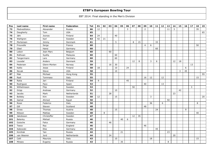| Pos | Last name    | First name   | Federation  | <b>Tot</b> | 01 | 02 | 03 | 04 | 05 | 06             | 07 | 08 | 09             | 10 | 11 | 12 | 13 | 14 | 15 <sub>1</sub> | 16 | 17 | 18 | 19 |
|-----|--------------|--------------|-------------|------------|----|----|----|----|----|----------------|----|----|----------------|----|----|----|----|----|-----------------|----|----|----|----|
| 73  | Medveditskov | Alexander    | Russia      | 66         | 12 |    |    |    |    | $\overline{3}$ |    |    | $\overline{2}$ |    |    |    | 11 | 3  |                 |    |    | 35 |    |
| 74  | Daugherty    | Tom          | <b>USA</b>  | 65         |    |    |    |    |    |                |    |    |                |    |    |    |    |    |                 |    |    |    | 65 |
| 75  | Jähi         | Joonas       | Finland     | 64         | 24 |    |    | 40 |    |                |    |    |                |    |    |    |    |    |                 |    |    |    |    |
| 76  | Wahlgren     | Karl         | Sweden      | 63         | 42 | 21 |    |    |    |                |    |    |                |    |    |    |    |    |                 |    |    |    |    |
| 77  | Mortensen    | Jimmy        | Denmark     | 61         |    |    |    | 5  |    |                | 8  | 15 |                |    | 33 |    |    |    |                 |    |    |    |    |
| 78  | Frouvelle    | Serge        | France      | 60         |    |    |    |    |    |                |    |    | $\overline{4}$ | 6  |    |    |    |    |                 |    |    | 50 |    |
| 79  | Glasl        | Hansi        | Germany     | 60         |    |    |    |    |    |                |    |    |                |    | 60 |    |    |    |                 |    |    |    |    |
| 80  | Lebon        | Jean Marc    | Belgium     | 60         |    |    | 60 |    |    |                |    |    |                |    |    |    |    |    |                 |    |    |    |    |
| 81  | Ridhwan      | Syafiq       | Malaysia    | 60         |    |    |    | 60 |    |                |    |    |                |    |    |    |    |    |                 |    |    |    |    |
| 82  | Tangermann   | Lars         | Germany     | 60         |    |    |    | 60 |    |                |    |    |                |    |    |    |    |    |                 |    |    |    |    |
| 83  | Lousdal      | Anders       | Denmark     | 59         |    |    |    |    |    |                | 12 | 8  |                | 3  | 6  |    |    | 12 | 18              |    |    |    |    |
| 84  | Pedersen     | Glenn-Morten | Norway      | 59         |    |    | 16 | 30 |    |                |    |    |                |    |    |    |    |    |                 |    | 13 |    |    |
| 85  | Kallio       | Jesse        | Finland     | 58         | 18 |    |    | 10 |    | 24             |    |    |                |    |    |    |    |    |                 | 6  |    |    |    |
| 86  | Novak        | Steve        | <b>USA</b>  | 58         |    |    |    | 10 |    |                |    |    |                |    |    |    |    |    | 3               | 45 |    |    |    |
| 87  | Mak          | Michael      | Hong Kong   | 55         |    |    |    |    |    |                |    |    |                |    |    |    |    |    |                 |    |    |    | 55 |
| 88  | Radi         | Tommaso      | Italy       | 55         |    |    |    |    |    |                |    |    | 16             | 12 |    | 12 |    |    |                 |    |    | 15 |    |
| 89  | Ratia        | Jari         | Finland     | 54         | 9  |    |    |    |    | 45             |    |    |                |    |    |    |    |    |                 |    |    |    |    |
| 90  | Rodriguez    | Paco         | Spain       | 53         |    |    |    |    |    |                |    |    | 40             |    |    | 13 |    |    |                 |    |    |    |    |
| 91  | Wilhelmsson  | Filip        | Sweden      | 53         |    |    |    |    |    |                | 50 |    |                |    |    |    |    |    |                 |    | 3  |    |    |
| 92  | Gripp        | Andreas      | Germany     | 52         |    |    |    | 10 |    |                |    |    |                |    |    |    |    |    | 42              |    |    |    |    |
| 93  | Jacobs       | Mark         | Netherlands | 51         |    |    | 28 |    |    |                |    |    |                |    |    |    |    | 23 |                 |    |    |    |    |
| 94  | Bolleby      | Kim          | Sweden      | 50         | 12 |    |    | 15 |    |                |    |    |                | 3  |    |    |    |    |                 |    |    |    | 20 |
| 95  | Gamal        | Ahmed        | Egypt       | 50         |    |    |    |    |    |                |    |    |                |    |    |    | 50 |    |                 |    |    |    |    |
| 96  | Rossi        | Federico     | Italy       | 50         |    |    |    |    |    |                |    |    |                | 36 |    | 6  |    |    |                 |    |    | 8  |    |
| 97  | Gill         | Steven       | Scotland    | 48         |    |    |    |    |    |                |    |    | 48             |    |    |    |    |    |                 |    |    |    |    |
| 98  | Gross        | Thomas       | Austria     | 48         |    |    |    | 15 |    |                |    |    |                |    | 24 |    |    |    |                 | 9  |    |    |    |
| 99  | Nilsson      | Mattias      | Sweden      | 48         |    | 8  |    |    |    |                |    |    |                |    |    |    |    |    |                 |    |    | 40 |    |
| 100 | Jakobsson    | Christoffer  | Sweden      | 47         |    |    |    |    |    |                | 12 | 35 |                |    |    |    |    |    |                 |    |    |    |    |
| 101 | Belenky      | Mikhail      | Russia      | 46         |    |    |    |    | 40 | 6              |    |    |                |    |    |    |    |    |                 |    |    |    |    |
| 102 | Gutsche      | Falco        | Germany     | 46         |    |    | 46 |    |    |                |    |    |                |    |    |    |    |    |                 |    |    |    |    |
| 103 | Teece        | Ray          | England     | 46         |    |    |    |    |    |                |    |    | 46             |    |    |    |    |    |                 |    |    |    |    |
| 104 | Kabowski     | Eike         | Germany     | 45         |    |    |    |    |    |                |    |    |                |    | 45 |    |    |    |                 |    |    |    |    |
| 105 | Korshak      | Yan          | Russia      | 44         |    |    |    |    | 21 |                |    |    |                |    |    |    | 23 |    |                 |    |    |    |    |
| 106 | van Weeren   | Jord         | Netherlands | 44         |    |    | 24 |    |    |                |    |    |                |    |    |    |    | 20 |                 |    |    |    |    |
| 107 | Celli        | Maurizio     | Italy       | 43         |    |    |    | 10 |    |                |    |    |                | 18 |    |    |    |    |                 |    |    | 15 |    |
| 108 | Mineev       | Evgeniy      | Russia      | 43         |    |    |    |    | 35 |                |    |    |                |    |    |    | 8  |    |                 |    |    |    |    |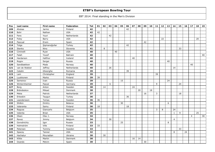| Pos | Last name     | First name    | Federation     | Tot | 01 | 02 | 03 | 04 | 05 | 06 | 07 | 08 | 09 | 10 | 11           | 12 | 13 | 14             | 15             | 16 | 17             | 18 | 19 |
|-----|---------------|---------------|----------------|-----|----|----|----|----|----|----|----|----|----|----|--------------|----|----|----------------|----------------|----|----------------|----|----|
| 109 | Ahokas        | Jarmo         | Finland        | 42  |    |    |    |    |    | 42 |    |    |    |    |              |    |    |                |                |    |                |    |    |
| 110 | Bohr          | Nathan        | <b>USA</b>     | 42  | 42 |    |    |    |    |    |    |    |    |    |              |    |    |                |                |    |                |    |    |
| 111 | Fens          | Youri         | Netherlands    | 42  |    |    | 42 |    |    |    |    |    |    |    |              |    |    |                |                |    |                |    |    |
| 112 | Foley         | Barry         | <b>USA</b>     | 42  |    |    |    |    |    |    |    |    |    |    |              | 22 |    |                |                |    |                | 20 |    |
| 113 | Pascual       | Erwin         | Spain          | 42  |    |    |    |    |    |    |    |    | 42 |    |              |    |    |                |                |    |                |    |    |
| 114 | Tolga         | Şişmanoğullar | Turkey         | 42  |    |    |    |    |    | 42 |    |    |    |    |              |    |    |                |                |    |                |    |    |
| 115 | Stenko        | Nino          | Slovenia       | 41  |    | 8  |    |    |    |    |    |    |    |    |              |    |    |                | 33             |    |                |    |    |
| 116 | Ciminelli     | Ryan          | <b>USA</b>     | 40  |    |    |    | 40 |    |    |    |    |    |    |              |    |    |                |                |    |                |    |    |
| 117 | Falah         | Yousif        | Bahrain        | 40  |    |    |    |    |    |    |    |    |    |    |              |    |    |                |                |    |                |    | 40 |
| 118 | Hardarson     | Hafthor       | Iceland        | 40  |    |    |    |    |    |    | 40 |    |    |    |              |    |    |                |                |    |                |    |    |
| 119 | Rogov         | Sergei        | Russia         | 40  |    |    |    |    |    |    |    |    |    |    |              |    | 40 |                |                |    |                |    |    |
| 120 | Sandbækken    | Mads          | Norway         | 40  |    |    |    |    |    |    |    |    |    |    |              |    |    |                |                |    | 40             |    |    |
| 121 | van de Wakker | Jeffrey       | Netherlands    | 40  |    |    | 26 |    |    |    |    |    |    |    |              |    |    | 14             |                |    |                |    |    |
| 122 | Catalin       | Gheorghe      | Romania        | 39  |    |    |    |    |    | 39 |    |    |    |    |              |    |    |                |                |    |                |    |    |
| 123 | Lam           | Christopher   | England        | 39  |    |    |    |    |    |    |    |    |    |    | 39           |    |    |                |                |    |                |    |    |
| 124 | Luukkonen     | Marko         | Finland        | 39  | 39 |    |    |    |    |    |    |    |    |    |              |    |    |                |                |    |                |    |    |
| 125 | Semenov       | Ivan          | Russia         | 39  |    |    |    |    | 15 |    |    |    |    |    |              |    | 24 |                |                |    |                |    |    |
| 126 | Winternheimer | Pascal        | Germany        | 39  |    |    | 6  |    |    |    |    |    |    |    | 9            |    |    |                | 24             |    |                |    |    |
| 127 | Borg          | Anton         | Sweden         | 38  |    | 14 |    |    |    |    | 24 |    |    |    |              |    |    |                |                |    |                |    |    |
| 128 | Brändeskov    | Mikael        | Denmark        | 38  |    |    |    |    |    |    |    | 20 |    | 18 |              |    |    |                |                |    |                |    |    |
| 129 | Meka          | Patrick       | Netherlands    | 37  |    |    |    |    |    |    |    |    | 16 |    | $\mathbf{3}$ |    |    |                | 18             |    |                |    |    |
| 130 | Erkeskin      | Taygun        | Turkey         | 36  |    |    |    |    |    | 36 |    |    |    |    |              |    |    |                |                |    |                |    |    |
| 131 | Leandersson   | Tomas         | Sweden         | 36  | 36 |    |    |    |    |    |    |    |    |    |              |    |    |                |                |    |                |    |    |
| 132 | Shilkin       | Dmitry        | <b>Belarus</b> | 36  |    |    |    |    | 30 |    |    |    |    |    |              |    | 6  |                |                |    |                |    |    |
| 133 | Valaranta     | Samu          | Finland        | 36  | 18 |    |    |    |    | 18 |    |    |    |    |              |    |    |                |                |    |                |    |    |
| 134 | Ragusa        | Giancarlo     | Belgium        | 35  |    |    |    |    |    |    |    |    |    |    | 3            | 8  |    | 24             |                |    |                |    |    |
| 135 | Valenta       | <b>Brian</b>  | <b>USA</b>     | 35  |    |    |    |    |    |    |    |    |    |    |              |    |    | $\mathbf{1}$   | $\overline{9}$ |    |                | 25 |    |
| 136 | Olsen         | Olav J.       | Norway         | 34  |    |    |    |    |    |    |    |    |    |    |              |    |    |                |                |    | $\overline{4}$ |    | 30 |
| 137 | Ravez         | Jimmy         | Belgium        | 34  |    |    | 30 |    |    |    |    |    |    |    |              |    |    | $\overline{4}$ |                |    |                |    |    |
| 138 | Gorodnichiy   | Igor          | Russia         | 33  |    |    |    |    | 25 |    |    |    |    |    |              |    | 8  |                |                |    |                |    |    |
| 139 | Holmström     | Ville         | Finland        | 33  | 33 |    |    |    |    |    |    |    |    |    |              |    |    |                |                |    |                |    |    |
| 140 | Petersen      | Tommy         | Sweden         | 33  |    |    |    |    |    |    |    |    |    |    |              |    |    |                | 33             |    |                |    |    |
| 141 | Spacey        | Tanner        | <b>USA</b>     | 32  |    |    |    |    |    |    |    |    |    |    |              |    |    | 8              |                | 24 |                |    |    |
| 142 | Hachatur      | Mouradian     | Ukraine        | 30  |    | 30 |    |    |    |    |    |    |    |    |              |    |    |                |                |    |                |    |    |
| 143 | Klitte        | Martin        | Denmark        | 30  |    |    |    |    |    |    | 16 | 14 |    |    |              |    |    |                |                |    |                |    |    |
| 144 | Ocando        | Melvin        | Spain          | 30  |    |    |    |    |    |    |    |    | 30 |    |              |    |    |                |                |    |                |    |    |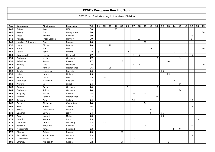| Pos | Last name         | First name   | Federation     | <b>Tot</b> | 01 | 02 | 03 | 04 | 05 | 06 | 07             | 08             | 09 | 10 | 11 | 12 | 13 | 14 | 15 | 16 | 17 | 18 | 19 |
|-----|-------------------|--------------|----------------|------------|----|----|----|----|----|----|----------------|----------------|----|----|----|----|----|----|----|----|----|----|----|
| 145 | Peters            | Jake         | <b>USA</b>     | 30         |    |    |    | 30 |    |    |                |                |    |    |    |    |    |    |    |    |    |    |    |
| 146 | Tseng             | Eric         | Hiong Kong     | 30         |    |    |    |    |    |    |                |                |    |    |    |    |    |    |    |    |    |    | 30 |
| 147 | West              | Joakim       | Sweden         | 30         |    |    |    |    |    |    |                |                |    |    |    |    |    |    |    |    | 30 |    |    |
| 148 | Aaneby            | Frode Jørgen | Norway         | 29         |    |    |    |    |    |    |                | 23             |    |    |    |    |    |    |    |    | 6  |    |    |
| 149 | Howison-Johnstone | <b>Ben</b>   | England        | 28         |    |    |    |    |    |    |                |                | 28 |    |    |    |    |    |    |    |    |    |    |
| 150 | Leroy             | Olivier      | Belgium        | 28         |    |    | 28 |    |    |    |                |                |    |    |    |    |    |    |    |    |    |    |    |
| 151 | Mack              | Tim          | <b>USA</b>     | 28         |    |    |    |    |    |    |                |                |    | 18 |    |    |    |    |    |    |    |    | 10 |
| 152 | Ranta             | Tony         | Finland        | 28         | 6  |    |    |    |    | 18 |                |                |    |    |    |    |    | 1  |    | 3  |    |    |    |
| 153 | Bergendorff       | Markus       | Denmark        | 27         |    |    |    |    |    |    | 6              | 6              |    |    |    |    |    |    |    |    | 15 |    |    |
| 154 | Grabovac          | Michael      | Germany        | 27         |    |    |    |    |    |    |                |                |    |    | 18 |    |    |    | 9  |    |    |    |    |
| 155 | Zelenkov          | Anton        | Russia         | 27         |    |    |    |    | 13 |    |                |                |    |    |    |    | 14 |    |    |    |    |    |    |
| 156 | Höberg            | Lars         | Denmark        | 26         |    |    |    |    |    |    | $\overline{2}$ | $\overline{4}$ |    |    |    |    |    |    |    |    |    |    | 20 |
| 157 | Spil              | Johnny       | Netherlands    | 26         |    |    | 26 |    |    |    |                |                |    |    |    |    |    |    |    |    |    |    |    |
| 158 | Janahi            | Mohamed      | <b>Bahrain</b> | 25         |    |    |    |    |    |    |                |                |    |    |    | 25 |    |    |    |    |    |    |    |
| 159 | Laine             | Henry        | Finland        | 25         |    |    |    |    |    |    |                |                |    |    |    |    | 25 |    |    |    |    |    |    |
| 160 | Smith             | Allan        | <b>USA</b>     | 25         |    | 25 |    |    |    |    |                |                |    |    |    |    |    |    |    |    |    |    |    |
| 161 | Aernoudt          | Marawan      | Belgium        | 24         |    |    | 22 |    |    |    |                |                |    |    |    |    |    | 2  |    |    |    |    |    |
| 162 | Aviram            | Or           | Israel         | 24         |    |    |    |    |    |    |                |                |    |    |    |    |    |    | 24 |    |    |    |    |
| 163 | Canady            | David        | Germany        | 24         |    |    |    |    |    | 6  |                |                |    |    | 18 |    |    |    |    |    |    |    |    |
| 164 | Grabowski         | Achim        | Germany        | 24         |    |    |    |    |    |    |                |                |    |    |    |    |    |    | 24 |    |    |    |    |
| 165 | Hagberg           | Jesper       | Sweden         | 24         |    |    |    |    |    |    | 16             |                | 8  |    |    |    |    |    |    |    |    |    |    |
| 166 | Hilferink         | Ramon        | Netherlands    | 24         |    |    |    |    |    |    |                |                |    |    | 24 |    |    |    |    |    |    |    |    |
| 167 | Jonsson           | Arnar        | Iceland        | 24         |    |    |    |    |    |    | 12             |                |    |    |    |    |    |    |    |    | 12 |    |    |
| 168 | Reyna             | Alejandro    | Costa Rica     | 24         |    |    |    |    |    |    |                |                | 24 |    |    |    |    |    |    |    |    |    |    |
| 169 | Roos              | Mikael       | Sweden         | 24         |    |    |    |    |    |    |                |                |    |    |    |    |    |    |    |    | 24 |    |    |
| 170 | Silletti          | Alessandro   | Poland         | 24         |    |    |    |    |    |    |                |                |    | 24 |    |    |    |    |    |    |    |    |    |
| 171 | Spagnoli          | Davide       | Italy          | 24         |    |    |    |    |    |    |                |                |    | 9  |    | 15 |    |    |    |    |    |    |    |
| 172 | Arpa              | Kenneth      | Malta          | 23         |    |    |    |    |    |    |                |                |    |    |    | 23 |    |    |    |    |    |    |    |
| 173 | Bortolon          | Renato       | Italy          | 23         |    |    |    |    |    |    |                |                |    |    |    |    |    |    |    |    |    | 23 |    |
| 174 | Grünheid          | Dennis       | Germany        | 23         |    | 23 |    |    |    |    |                |                |    |    |    |    |    |    |    |    |    |    |    |
| 175 | Jonsson           | Benjamin     | Sweden         | 23         |    |    |    |    |    |    |                |                | 2  |    |    |    |    |    |    |    | 21 |    |    |
| 176 | McDermott         | Jamie        | Scotland       | 23         |    |    |    |    |    |    |                |                |    |    |    |    |    | 14 | 9  |    |    |    |    |
| 177 | Sharov            | Anton        | Russia         | 23         |    |    |    |    | 23 |    |                |                |    |    |    |    |    |    |    |    |    |    |    |
| 178 | Stikbakke         | Martin Moen  | Norway         | 23         |    |    |    |    |    |    |                |                |    |    |    |    |    |    |    |    | 23 |    |    |
| 179 | Danielsson        | Johan        | Sweden         | 22         |    |    |    |    |    |    | 22             |                |    |    |    |    |    |    |    |    |    |    |    |
| 180 | Efremov           | Aleksandr    | Russia         | 22         |    |    |    |    | 14 |    |                |                |    |    |    |    | 8  |    |    |    |    |    |    |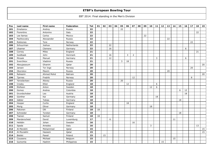| Pos | Last name    | First name | Federation  | Tot | 01 | 02 | 03 | 04 | 05 | 06 | 07 | 08 | 09 | 10           | 11 | 12 | 13 | 14 | 15 | 16 | 17 | 18 | 19 |
|-----|--------------|------------|-------------|-----|----|----|----|----|----|----|----|----|----|--------------|----|----|----|----|----|----|----|----|----|
| 181 | Emelianov    | Andrey     | Russia      | 22  |    |    |    |    | 22 |    |    |    |    |              |    |    |    |    |    |    |    |    |    |
| 182 | Fiorentino   | Antonino   | Italy       | 22  |    |    |    |    |    |    |    |    |    |              |    |    |    |    |    |    |    | 22 |    |
| 183 | Lee llamas   | Carlos     | Mexico      | 22  |    |    |    |    |    |    |    |    | 22 |              |    |    |    |    |    |    |    |    |    |
| 184 | Pashkovskiy  | Alexsander | Russia      | 22  |    |    |    |    |    |    |    |    |    |              |    |    | 22 |    |    |    |    |    |    |
| 185 | Rokkones     | Tore       | Norway      | 22  |    |    |    |    |    |    |    |    |    |              |    |    |    |    |    |    | 22 |    |    |
| 186 | Schuurman    | Joshua     | Netherlands | 22  |    |    | 22 |    |    |    |    |    |    |              |    |    |    |    |    |    |    |    |    |
| 187 | Ulsamer      | Clemens    | Germany     | 22  |    |    | 16 |    |    |    |    |    |    |              |    |    |    |    |    | 6  |    |    |    |
| 188 | Corney       | Miles      | England     | 21  |    |    |    |    |    |    |    |    |    |              |    |    |    |    |    |    |    | 21 |    |
| 189 | Guldbaek     | John       | Denmark     | 21  |    |    | 16 |    |    | 3  | 2  |    |    |              |    |    |    |    |    |    |    |    |    |
| 190 | Mrosek       | Manuel     | Germany     | 21  |    |    | 12 |    |    |    |    |    |    |              | 3  |    |    |    |    | 6  |    |    |    |
| 191 | Sverchkov    | Vladimir   | Russia      | 21  |    |    |    |    | 3  | 18 |    |    |    |              |    |    |    |    |    |    |    |    |    |
| 192 | Aboujassoum  | Ghanim     | Qatar       | 20  |    |    |    |    |    |    |    |    |    |              |    |    |    |    |    |    |    |    | 20 |
| 193 | Jansen       | Tor Inge   | Norway      | 20  |    |    |    |    |    |    |    |    |    |              |    |    |    |    |    |    | 20 |    |    |
| 194 | Okorokov     | Maxim      | Russia      | 20  |    |    |    |    |    |    |    |    |    |              |    |    | 20 |    |    |    |    |    |    |
| 195 | Raheemi      | Ahmed Mohd | Bahrain     | 20  |    |    |    |    |    |    |    |    |    |              |    |    |    |    |    |    |    |    | 20 |
| 196 | Tjernes      | Fredrik    | Norway      | 20  |    |    |    |    |    |    | 12 |    |    |              |    |    |    |    |    |    | 8  |    |    |
| 197 | Yaroslavtsev | Alexey     | Russia      | 20  |    |    |    |    | 20 |    |    |    |    |              |    |    |    |    |    |    |    |    |    |
| 198 | Crosby       | Elliot     | England     | 18  |    |    |    |    |    | 12 |    |    |    |              | 6  |    |    |    |    |    |    |    |    |
| 199 | Elofsson     | Anton      | Sweden      | 18  |    |    |    |    |    |    |    |    |    | 12           | 6  |    |    |    |    |    |    |    |    |
| 200 | Gomez        | Andres     | Colombia    | 18  |    |    |    |    |    |    |    |    |    |              |    |    |    |    | 6  | 12 |    |    |    |
| 201 | Grundschober | Leo        | Austria     | 18  |    |    |    |    |    |    |    |    |    |              |    |    |    |    |    | 18 |    |    |    |
| 202 | Günther      | Kai        | Germany     | 18  |    |    |    |    |    |    |    |    |    |              | 18 |    |    |    |    |    |    |    |    |
| 203 | Gäbler       | Tobias     | Germany     | 18  |    |    |    |    |    |    |    |    |    |              |    |    |    |    | 18 |    |    |    |    |
| 204 | Hooper       | Curtis     | England     | 18  |    |    |    |    |    | 18 |    |    |    |              |    |    |    |    |    |    |    |    |    |
| 205 | Morig        | Oliver     | Germany     | 18  |    |    |    |    |    |    |    |    |    | 18           |    |    |    |    |    |    |    |    |    |
| 206 | Pakonen      | Olli       | Finland     | 18  | 18 |    |    |    |    |    |    |    |    |              |    |    |    |    |    |    |    |    |    |
| 207 | Schneider    | Torsten    | Germany     | 18  |    |    |    |    |    |    |    |    |    |              |    |    |    |    | 18 |    |    |    |    |
| 208 | Tiainen      | Samuli     | Finland     | 18  | 18 |    |    |    |    |    |    |    |    |              |    |    |    |    |    |    |    |    |    |
| 209 | Manderscheid | David      | Luxemburg   | 17  |    |    | 6  |    |    |    |    |    |    |              |    |    |    | 11 |    |    |    |    |    |
| 210 | Helldén      | Johan      | Sweden      | 16  |    |    |    |    |    |    | 16 |    |    |              |    |    |    |    |    |    |    |    |    |
| 211 | Spada        | Amedeo     | Italy       | 16  |    |    |    |    |    |    |    |    |    | $\mathbf{3}$ |    |    |    |    |    |    |    | 13 |    |
| 212 | Al-Merekhi   | Mohammed   | Qatar       | 15  |    |    |    |    |    |    |    |    |    |              |    |    |    |    |    |    |    |    | 15 |
| 213 | Al-Muraikhi  | Hazeem     | Qatar       | 15  |    |    |    |    |    |    |    |    |    |              |    |    |    |    |    |    |    |    | 15 |
| 214 | Bielski      | Paweł      | Poland      | 15  |    | 15 |    |    |    |    |    |    |    |              |    |    |    |    |    |    |    |    |    |
| 215 | Coussens     | Michael    | Belgium     | 15  |    |    |    |    |    |    |    |    |    |              |    |    |    | 15 |    |    |    |    |    |
| 216 | Guinomla     | Hashim     | Philippines | 15  |    |    |    |    |    |    |    |    |    |              |    | 15 |    |    |    |    |    |    |    |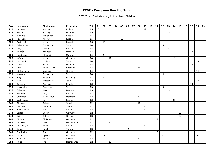| Pos | Last name   | First name  | Federation  | Tot | 01             | 02 | 03 | 04 | 05 | 06 | 07 | 08 | 09 | 10 <sub>1</sub> | 11 | 12 | 13 | 14             | 15 | 16 | 17 | 18           | 19 |
|-----|-------------|-------------|-------------|-----|----------------|----|----|----|----|----|----|----|----|-----------------|----|----|----|----------------|----|----|----|--------------|----|
| 217 | Heinonen    | Markus      | Finland     | 15  | $\overline{3}$ |    |    |    |    |    |    |    | 12 |                 |    |    |    |                |    |    |    |              |    |
| 218 | Kalika      | Mykhaylo    | Ukraine     | 15  |                |    |    |    |    |    |    |    |    |                 |    |    | 15 |                |    |    |    |              |    |
| 219 | Minenko     | Alexander   | Russia      | 15  |                |    |    |    |    |    |    |    |    |                 |    |    | 15 |                |    |    |    |              |    |
| 220 | Rasputin    | Andrey      | Russia      | 15  |                |    |    |    | 15 |    |    |    |    |                 |    |    |    |                |    |    |    |              |    |
| 221 | Świtalski   | Michał      | Poland      | 15  |                | 15 |    |    |    |    |    |    |    |                 |    |    |    |                |    |    |    |              |    |
| 222 | Bellomonte  | Francesco   | Italy       | 14  |                |    |    |    |    |    |    |    |    |                 |    | 14 |    |                |    |    |    |              |    |
| 223 | Drojbin     | Alexey      | Russia      | 14  |                |    |    |    |    |    |    |    |    |                 |    |    | 14 |                |    |    |    |              |    |
| 224 | Haukås      | Kenneth     | Norway      | 14  |                |    |    |    |    |    |    |    |    |                 |    |    |    |                |    |    | 14 |              |    |
| 225 | Kondratyev  | Olexandr    | Ukraine     | 14  |                | 14 |    |    |    |    |    |    |    |                 |    |    |    |                |    |    |    |              |    |
| 226 | Krämer      | Michael     | Germany     | 14  |                |    | 12 |    |    |    |    |    |    |                 |    |    |    | $\overline{2}$ |    |    |    |              |    |
| 227 | Lambertini  | Luciano     | Italy       | 14  |                |    |    |    |    |    |    |    |    |                 |    |    |    |                |    |    |    | 14           |    |
| 228 | Lund        | Erland      | Norway      | 14  |                |    |    |    |    |    |    |    |    |                 |    |    |    |                |    |    | 14 |              |    |
| 229 | Roig        | Héctor Roca | Catalonia   | 14  |                |    |    |    |    |    |    | 14 |    |                 |    |    |    |                |    |    |    |              |    |
| 230 | Stefopoulos | Vasileios   | Greece      | 14  |                |    |    |    |    |    |    |    |    |                 |    |    |    |                |    |    |    | 14           |    |
| 231 | Vaccaro     | Francesco   | Italy       | 14  |                |    |    |    |    |    |    |    |    |                 |    | 14 |    |                |    |    |    |              |    |
| 232 | Fiege       | Stephan     | Germany     | 13  |                | 13 |    |    |    |    |    |    |    |                 |    |    |    |                |    |    |    |              |    |
| 233 | Flori       | Alessandro  | Italy       | 13  |                |    |    |    |    |    |    |    |    |                 |    |    |    |                |    |    |    | 13           |    |
| 234 | Jonsson     | Andreas     | Sweden      | 13  |                |    |    |    |    |    |    |    |    |                 |    |    |    |                |    |    | 13 |              |    |
| 235 | Massimino   | Concetto    | Italy       | 13  |                |    |    |    |    |    |    |    |    |                 |    | 13 |    |                |    |    |    |              |    |
| 236 | Sobolev     | Pavel       | Belarus     | 13  |                |    |    |    |    |    |    |    |    |                 |    |    | 13 |                |    |    |    |              |    |
| 237 | Sokolov     | Oleg        | Russia      | 13  |                |    |    |    |    |    |    |    |    |                 |    |    | 13 |                |    |    |    |              |    |
| 238 | Sörensen    | Mikkel Brus | Denmark     | 13  |                |    |    |    |    |    |    | 13 |    |                 |    |    |    |                |    |    |    |              |    |
| 239 | Verbruggen  | Gery        | Belgium     | 13  |                |    |    |    |    |    |    |    |    |                 |    |    |    | 13             |    |    |    |              |    |
| 240 | Ahlgren     | Anton       | Sweden      | 12  |                |    |    |    |    |    |    | 12 |    |                 |    |    |    |                |    |    |    |              |    |
| 241 | Arjonilla   | Alejandro   | Spain       | 12  |                |    |    |    |    |    |    |    | 12 |                 |    |    |    |                |    |    |    |              |    |
| 242 | Barriopedro | Pablo       | Spain       | 12  |                |    |    |    |    |    |    |    | 12 |                 |    |    |    |                |    |    |    |              |    |
| 243 | Bartel      | Dustin      | Germany     | 12  |                |    |    |    |    |    |    |    |    |                 |    |    |    |                | 12 |    |    |              |    |
| 244 | Beier       | Tobias      | Germany     | 12  |                |    |    |    |    |    |    |    |    |                 |    |    |    |                | 12 |    |    |              |    |
| 245 | Birlinger   | Christian   | Germany     | 12  |                |    |    |    |    |    |    |    |    |                 | 12 |    |    |                |    |    |    |              |    |
| 246 | de Vries    | Alex        | Netherlands | 12  |                |    | 12 |    |    |    |    |    |    |                 |    |    |    |                |    |    |    |              |    |
| 247 | DeCarvajal  | Jaime       | Spain       | 12  |                |    |    |    |    |    |    |    | 12 |                 |    |    |    |                |    |    |    |              |    |
| 248 | Dogan       | Habib       | Turkey      | 12  |                |    |    |    |    | 12 |    |    |    |                 |    |    |    |                |    |    |    |              |    |
| 249 | Friedrichs  | Tim         | Germany     | 12  |                |    |    |    |    |    |    |    |    |                 | 12 |    |    |                |    |    |    |              |    |
| 250 | Gykis       | Vytautas    | Lithuania   | 12  |                | 3  |    |    |    |    |    |    |    |                 |    | 8  |    |                |    |    |    | $\mathbf{1}$ |    |
| 251 | Hansson     | Johan       | Sweden      | 12  |                |    |    |    |    |    |    | 12 |    |                 |    |    |    |                |    |    |    |              |    |
| 252 | Hulst       | Phil        | Netherlands | 12  |                |    | 12 |    |    |    |    |    |    |                 |    |    |    |                |    |    |    |              |    |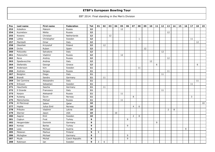| Pos | Last name     | First name    | Federation     | Tot  | 01           | 02 | 03 | 04 | 05 | 06 | 07             | 08           | 09 | 10 | 11 | 12 | 13             | 14 | 15 | 16 | 17 | 18 | 19 |
|-----|---------------|---------------|----------------|------|--------------|----|----|----|----|----|----------------|--------------|----|----|----|----|----------------|----|----|----|----|----|----|
| 253 | Kobelkov      | Maksim        | Russia         | 12   |              |    |    |    | 12 |    |                |              |    |    |    |    |                |    |    |    |    |    |    |
| 254 | Kuznetsov     | Nikita        | Russia         | $12$ |              |    |    |    |    |    |                |              |    |    |    |    | 12             |    |    |    |    |    |    |
| 255 | Kweens        | Christian     | Netherlands    | 12   |              |    | 12 |    |    |    |                |              |    |    |    |    |                |    |    |    |    |    |    |
| 256 | Lüttke        | Christopher   | Sweden         | 12   |              |    |    |    |    |    |                | $\mathbf{1}$ |    |    |    |    |                |    |    |    | 11 |    |    |
| 257 | Mambelli      | Omar          | Italy          | 12   |              |    |    |    |    |    |                |              |    |    |    |    |                |    |    |    |    | 12 |    |
| 258 | Olesiński     | Krzysztof     | Poland         | 12   |              | 12 |    |    |    |    |                |              |    |    |    |    |                |    |    |    |    |    |    |
| 259 | Orche         | Ruben         | Spain          | 12   |              |    |    |    |    |    |                |              | 12 |    |    |    |                |    |    |    |    |    |    |
| 260 | Polizzotto    | Salvatore     | Italy          | 12   |              |    |    |    |    |    |                |              |    |    |    | 12 |                |    |    |    |    |    |    |
| 261 | Potorochin    | Vladimir      | Russia         | 12   |              |    |    |    | 12 |    |                |              |    |    |    |    |                |    |    |    |    |    |    |
| 262 | Reva          | Andrey        | Russia         | 12   |              |    |    |    |    |    |                |              |    |    |    |    | 12             |    |    |    |    |    |    |
| 263 | Spadavecchia  | Andrea        | Italy          | 12   |              |    |    |    |    |    |                |              |    | 12 |    |    |                |    |    |    |    |    |    |
| 264 | Stefanidis    | George        | Greece         | 12   |              |    |    |    |    |    |                |              |    |    | 6  |    |                |    |    |    |    | 6  |    |
| 265 | Andersson     | Kim           | Sweden         | 11   |              |    |    |    |    |    |                | 11           |    |    |    |    |                |    |    |    |    |    |    |
| 266 | Andreev       | Sergey        | Russia         | 11   |              |    |    |    |    |    |                |              |    |    |    |    | 11             |    |    |    |    |    |    |
| 267 | Biolghini     | Diego         | Italy          | 11   |              |    |    |    |    |    |                |              |    |    |    | 11 |                |    |    |    |    |    |    |
| 268 | <b>Brandt</b> | Sandro        | Germany        | 11   |              | 11 |    |    |    |    |                |              |    |    |    |    |                |    |    |    |    |    |    |
| 269 | Del Carmine   | Alessandro    | Italy          | 11   |              |    |    |    |    |    |                |              |    |    |    |    |                |    |    |    |    | 11 |    |
| 270 | Eriksson      | Sebastian     | Sweden         | 11   |              |    |    |    |    |    |                |              |    |    |    |    |                |    |    |    | 11 |    |    |
| 271 | Hauchwitz     | Sascha        | Germany        | 11   |              | 11 |    |    |    |    |                |              |    |    |    |    |                |    |    |    |    |    |    |
| 272 | Il Grande     | Francesco     | Italy          | 11   |              |    |    |    |    |    |                |              |    |    |    | 11 |                |    |    |    |    |    |    |
| 273 | Karpov        | Aleksandr     | Russia         | 11   |              |    |    |    | 11 |    |                |              |    |    |    |    |                |    |    |    |    |    |    |
| 274 | Kulseng       | Öyvin         | Norway         | 11   |              |    |    |    |    |    | 8              |              |    |    |    |    |                |    |    |    | 3  |    |    |
| 275 | Melnichenko   | Mikhail       | Russia         | 11   |              |    |    |    | 11 |    |                |              |    |    |    |    |                |    |    |    |    |    |    |
| 276 | Al-Marzouqi   | Salem         | Qatar          | 10   |              |    |    |    |    |    |                |              |    |    |    |    |                |    |    |    |    |    | 10 |
| 277 | Hopka         | Julius Emil   | Norway         | 10   |              |    |    |    |    |    | $\overline{4}$ | 6            |    |    |    |    |                |    |    |    |    |    |    |
| 278 | Pribylev      | Vladimir      | Latvia         | 10   |              |    |    |    |    |    |                |              |    |    |    |    | $\overline{2}$ | 8  |    |    |    |    |    |
| 279 | Sterner       | Jason         | <b>USA</b>     | 10   |              |    |    | 10 |    |    |                |              |    |    |    |    |                |    |    |    |    |    |    |
| 280 | Aagren        | Emil          | Sweden         | 10   |              |    |    |    |    |    | $\overline{2}$ | 8            |    |    |    |    |                |    |    |    |    |    |    |
| 281 | Coşkun        | Firat         | Turkey         | 9    |              |    |    |    |    | 9  |                |              |    |    |    |    |                |    |    |    |    |    |    |
| 282 | Hergenröder   | Dominik       | Germany        | 9    |              |    |    |    |    |    |                |              |    |    | 9  |    |                |    |    |    |    |    |    |
| 283 | Kontas        | <b>Barlas</b> | Turkey         | 9    |              |    |    |    |    | 9  |                |              |    |    |    |    |                |    |    |    |    |    |    |
| 284 | Loos          | Michael       | Austria        | 9    |              |    |    |    |    |    |                |              |    |    |    |    |                |    |    | 9  |    |    |    |
| 285 | Melanen       | Markus        | Finland        | 9    | 9            |    |    |    |    |    |                |              |    |    |    |    |                |    |    |    |    |    |    |
| 286 | Michajlow     | Michael       | Germany        | 9    |              |    |    |    |    | 9  |                |              |    |    |    |    |                |    |    |    |    |    |    |
| 287 | Muzik         | Michal        | Czech Republic | 9    |              |    |    |    |    | 9  |                |              |    |    |    |    |                |    |    |    |    |    |    |
| 288 | Robinson      | Ian           | Sweden         | 9    | $\mathsf{3}$ | 6  |    |    |    |    |                |              |    |    |    |    |                |    |    |    |    |    |    |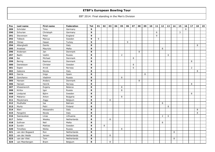| Pos | Last name       | First name | Federation     | Tot | 01 | 02 | 03      | 04 | 05             | 06 | 07 | 08 | 09 | 10 | 11 | 12 | 13 | 14 | 15 | 16           | 17             | 18 | 19 |
|-----|-----------------|------------|----------------|-----|----|----|---------|----|----------------|----|----|----|----|----|----|----|----|----|----|--------------|----------------|----|----|
| 289 | Schröder        | Timo       | Germany        | 9   |    |    |         |    |                |    |    |    |    |    |    |    |    |    |    | $\mathsf{q}$ |                |    |    |
| 290 | Schurian        | Christoph  | Germany        | 9   |    |    |         |    |                |    |    |    |    |    | 6  |    |    |    | 3  |              |                |    |    |
| 291 | Stevenson       | Peter      | England        | 9   |    |    |         |    |                |    |    |    |    |    | 9  |    |    |    |    |              |                |    |    |
| 292 | Tidbeck         | Marcus     | Sweden         | 9   | 9  |    |         |    |                |    |    |    |    |    |    |    |    |    |    |              |                |    |    |
| 293 | Yilmaz          | Hasan      | Turkey         | 9   |    |    |         |    |                | 9  |    |    |    |    |    |    |    |    |    |              |                |    |    |
| 294 | Alberghetti     | Danilo     | Italy          | 8   |    |    |         |    |                |    |    |    |    |    |    |    |    |    |    |              |                | 8  |    |
| 295 | Anastasi        | Maurizio   | Malta          | 8   |    |    |         |    |                |    |    |    |    |    |    | 8  |    |    |    |              |                |    |    |
| 296 | Andersen        | Jan        | Denmark        | 8   |    |    |         |    |                |    |    | 8  |    |    |    |    |    |    |    |              |                |    |    |
| 297 | Badin           | Vadim      | Russia         | 8   |    |    |         |    | $\overline{2}$ |    |    |    |    |    |    |    | 6  |    |    |              |                |    |    |
| 298 | Bai             | Michael    | Denmark        | 8   |    |    |         |    |                |    | 8  |    |    |    |    |    |    |    |    |              |                |    |    |
| 299 | Bering          | Rasmus     | Denmark        | 8   |    |    |         |    |                |    |    |    |    |    |    |    |    |    |    |              | 8              |    |    |
| 300 | Danielsson      | Christer   | Sweden         | 8   |    |    |         |    |                |    | 8  |    |    |    |    |    |    |    |    |              |                |    |    |
| 301 | Espen           | Arvid      | Norway         | 8   |    |    |         |    |                |    | 6  |    |    |    |    |    |    |    |    |              | $\overline{2}$ |    |    |
| 302 | Galeone         | Nicola     | Italy          | 8   |    |    |         |    |                |    |    |    |    |    |    |    |    |    |    |              |                | 8  |    |
| 303 | Garcia          | Inigo      | Spain          | 8   |    |    |         |    |                |    |    |    | 8  |    |    |    |    |    |    |              |                |    |    |
| 304 | Goncharov       | Vladimir   | Russia         | 8   |    |    |         |    | 8              |    |    |    |    |    |    |    |    |    |    |              |                |    |    |
| 305 | Hansen          | Anders     | Denmark        | 8   |    |    |         |    |                |    |    | 8  |    |    |    |    |    |    |    |              |                |    |    |
| 306 | Hansen          | Henrik     | Norway         | 8   |    |    |         |    |                |    |    |    |    |    |    |    |    |    |    |              | 8              |    |    |
| 307 | Khasenevich     | Evgeny     | <b>Belarus</b> | 8   |    |    |         |    | 8              |    |    |    |    |    |    |    |    |    |    |              |                |    |    |
| 308 | Kirilov         | Igor       | Russia         | 8   |    |    |         |    | 8              |    |    |    |    |    |    |    |    |    |    |              |                |    |    |
| 309 | Lindqvist       | Björn      | Sweden         | 8   |    |    |         |    |                |    |    |    |    |    |    |    |    |    |    |              | 8              |    |    |
| 310 | Makarov         | Anton      | Bulgaria       | 8   |    |    |         |    | 8              |    |    |    |    |    |    |    |    |    |    |              |                |    |    |
| 311 | Meylemans       | Ziggy      | Belgium        | 8   |    |    | 8       |    |                |    |    |    |    |    |    |    |    |    |    |              |                |    |    |
| 312 | Mudhafar        | Isa        | Bahrain        | 8   |    |    |         |    |                |    |    |    |    |    |    | 8  |    |    |    |              |                |    |    |
| 313 | Murto           | Petri      | Finland        | 8   |    |    |         |    |                |    |    |    |    |    |    |    | 8  |    |    |              |                |    |    |
| 314 | Nieri           | Alessandro | Italy          | 8   |    |    |         |    |                |    |    |    |    |    |    |    |    |    |    |              |                | 8  |    |
| 315 | Pangolini       | Nicola     | Italy          | 8   |    |    |         |    |                |    |    |    |    |    |    |    |    |    |    |              |                | 8  |    |
| 316 | Sasnauskas      | Linas      | Lithuania      | 8   |    |    |         |    |                |    |    |    |    |    |    | 2  | 6  |    |    |              |                |    |    |
| 317 | Selier          | Wesley     | Netherlands    | 8   |    |    | 8       |    |                |    |    |    |    |    |    |    |    |    |    |              |                |    |    |
| 318 | Sullivan        | Neil       | Malta          | 8   |    |    |         |    |                |    |    |    |    |    |    | 8  |    |    |    |              |                |    |    |
| 319 | Sundin          | Mattias    | Sweden         | 8   |    | 8  |         |    |                |    |    |    |    |    |    |    |    |    |    |              |                |    |    |
| 320 | Timofeev        | Nikita     | Russia         | 8   |    |    |         |    | 8              |    |    |    |    |    |    |    |    |    |    |              |                |    |    |
| 321 | van den Bogaard | Ron        | Netherlands    | 8   |    |    |         |    |                |    |    |    |    |    |    |    |    | 8  |    |              |                |    |    |
| 322 | van der Heide   | Jeroen     | Netherlands    | 8   |    |    | 8       |    |                |    |    |    |    |    |    |    |    |    |    |              |                |    |    |
| 323 | van der Vliet   | Tom        | Netherlands    | 8   |    |    |         |    |                |    |    |    |    |    |    |    |    | 8  |    |              |                |    |    |
| 324 | van Meerbergen  | Bram       | Belgium        | 8   |    |    | $\bf 8$ |    |                |    |    |    |    |    |    |    |    |    |    |              |                |    |    |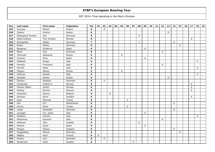| Pos | Last name          | First name    | Federation  | Tot            | 01 | 02 | 03 | 04 | 05 | 06 | 07 | 08 | 09 | 10 <sub>1</sub> | 11 | 12 | 13 | 14 | 15 | 16 | 17 | 18 | 19 |
|-----|--------------------|---------------|-------------|----------------|----|----|----|----|----|----|----|----|----|-----------------|----|----|----|----|----|----|----|----|----|
| 325 | Zarzycki           | Michał        | Poland      | 8              |    | 8  |    |    |    |    |    |    |    |                 |    |    |    |    |    |    |    |    |    |
| 326 | Zubkov             | Artemy        | Russia      | 8              |    |    |    |    |    |    |    |    |    |                 |    |    | 8  |    |    |    |    |    |    |
| 327 | Östergaard-Poulsen | Dan           | Denmark     | 8              |    |    |    |    |    |    |    | 8  |    |                 |    |    |    |    |    |    |    |    |    |
| 328 | Østlie Solberg     | Thor Kristian | Norway      | 8              |    |    |    |    |    |    |    |    |    |                 |    |    |    |    |    |    | 8  |    |    |
| 329 | Klockgether        | Stefan        | Germany     | $\overline{7}$ |    |    |    |    |    |    |    | 1  |    |                 |    |    |    | 6  |    |    |    |    |    |
| 330 | Balzer             | Martin        | Germany     | 6              |    |    |    |    |    |    |    |    |    |                 |    |    |    |    | 6  |    |    |    |    |
| 331 | Berganza           | Guillermo     | Spain       | 6              |    |    |    |    |    |    |    |    | 6  |                 |    |    |    |    |    |    |    |    |    |
| 332 | Blank              | Uwe           | Germany     | 6              |    |    |    |    |    |    |    |    |    |                 |    | 6  |    |    |    |    |    |    |    |
| 333 | Chernykh           | Aleksandr     | Russia      | 6              |    |    |    |    | 6  |    |    |    |    |                 |    |    |    |    |    |    |    |    |    |
| 334 | Colomer            | Artur         | Spain       | 6              |    |    |    |    |    |    |    |    | 6  |                 |    |    |    |    |    |    |    |    |    |
| 335 | Fabbietti          | Sergio        | Italy       | 6              |    |    |    |    |    |    |    |    |    |                 |    |    |    |    |    |    |    | 6  |    |
| 336 | Fascella           | Francesco     | Italy       | 6              |    |    |    |    |    |    |    |    |    |                 |    | 6  |    |    |    |    |    |    |    |
| 337 | Ferretti           | Paolo         | Italy       | 6              |    |    |    |    |    |    |    |    |    |                 |    |    |    |    |    |    |    | 6  |    |
| 338 | Filippov           | Alexey        | Russia      | 6              |    |    |    |    | 6  |    |    |    |    |                 |    |    |    |    |    |    |    |    |    |
| 339 | Galluzzo           | Giorgio       | Italy       | 6              |    |    |    |    |    |    |    |    |    |                 |    |    |    |    |    |    |    | 6  |    |
| 340 | Geraskin           | Alexey        | Russia      | 6              |    |    |    |    |    |    |    |    |    |                 |    |    | 6  |    |    |    |    |    |    |
| 341 | Glassau            | Stephan       | Denmark     | 6              |    | 6  |    |    |    |    |    |    |    |                 |    |    |    |    |    |    |    |    |    |
| 342 | Gundersby          | Fredrik G     | Norway      | 6              |    |    |    |    |    |    |    |    |    |                 |    |    |    |    |    |    | 6  |    |    |
| 343 | Hansen Sælen       | Ruben         | Norway      | 6              |    |    |    |    |    |    |    |    |    |                 |    |    |    |    |    |    | 6  |    |    |
| 344 | Harang             | Øyvind        | Norway      | 6              |    |    |    |    |    |    |    |    |    |                 |    |    |    |    |    |    | 6  |    |    |
| 345 | Hendrickx          | Gianny        | Belgium     | 6              |    |    | 6  |    |    |    |    |    |    |                 |    |    |    |    |    |    |    |    |    |
| 346 | Karlsson           | Kevin         | Sweden      | 6              |    |    |    |    |    |    |    |    |    |                 |    |    |    |    |    |    | 6  |    |    |
| 347 | Kaya               | Mehmet        | Turkey      | 6              |    |    |    |    |    | 6  |    |    |    |                 |    |    |    |    |    |    |    |    |    |
| 348 | Kok                | Eric          | Netherlands | 6              |    |    |    |    |    |    |    |    |    |                 |    |    |    | 6  |    |    |    |    |    |
| 349 | Kumru              | Emre          | Turkey      | 6              |    |    |    |    |    | 6  |    |    |    |                 |    |    |    |    |    |    |    |    |    |
| 350 | Lange              | Sebastian     | Germany     | 6              |    |    |    |    |    |    |    |    |    |                 |    |    |    | 6  |    |    |    |    |    |
| 351 | Larragan           | Fco. Javier   | <b>USA</b>  | 6              |    |    |    |    |    |    |    |    | 6  |                 |    |    |    |    |    |    |    |    |    |
| 352 | Madaloni           | Antonio       | Italy       | 6              |    |    |    |    |    |    |    |    |    |                 |    |    |    |    |    |    |    | 6  |    |
| 353 | Massimino          | Giovanni      | Italy       | 6              |    |    |    |    |    |    |    |    |    |                 |    | 6  |    |    |    |    |    |    |    |
| 354 | Mattsson           | John          | Sweden      | 6              |    |    |    |    |    |    |    | 6  |    |                 |    |    |    |    |    |    |    |    |    |
| 355 | Moreno             | Javier        | Spain       | 6              |    |    |    |    |    |    |    |    | 6  |                 |    |    |    |    |    |    |    |    |    |
| 356 | Morgan             | Selwyn        | England     | 6              |    |    |    |    |    |    |    |    |    |                 |    |    |    | 6  |    |    |    |    |    |
| 357 | Muggelberg         | Marcel        | Germany     | 6              |    |    |    |    |    |    |    |    |    |                 |    |    |    |    | 6  |    |    |    |    |
| 358 | Määttä             | Harri         | Finland     | 6              | 6  |    |    |    |    |    |    |    |    |                 |    |    |    |    |    |    |    |    |    |
| 359 | Nielsen            | Lars          | Denmark     | 6              |    | 6  |    |    |    |    |    |    |    |                 |    |    |    |    |    |    |    |    |    |
| 360 | Nordenson          | Peter         | Sweden      | 6              |    |    |    |    |    |    | 6  |    |    |                 |    |    |    |    |    |    |    |    |    |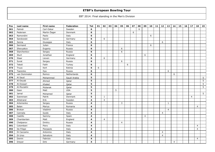| Pos | Last name     | First name   | Federation   | Tot                     | 01 | 02             | 03 | 04 | 05               | 06 | 07 | 08 | 09 | 10 | 11 | 12             | 13             | 14             | 15 | 16 | 17             | 18             | 19              |
|-----|---------------|--------------|--------------|-------------------------|----|----------------|----|----|------------------|----|----|----|----|----|----|----------------|----------------|----------------|----|----|----------------|----------------|-----------------|
| 361 | Palmér        | Carl-Oskar   | Sweden       | 6                       |    |                |    |    |                  |    |    | 6  |    |    |    |                |                |                |    |    |                |                |                 |
| 362 | Pedersen      | Martin Öager | Denmark      | 6                       |    |                |    |    |                  |    | 6  |    |    |    |    |                |                |                |    |    |                |                |                 |
| 363 | Ramondini     | Paolo        | Italy        | 6                       |    |                |    |    |                  |    |    |    |    | 6  |    |                |                |                |    |    |                |                |                 |
| 364 | Sandowski     | David        | Germany      | 6                       |    | 6              |    |    |                  |    |    |    |    |    |    |                |                |                |    |    |                |                |                 |
| 365 | Senna         | Giuseppe     | Italy        | 6                       |    |                |    |    |                  |    |    |    |    |    |    | 6              |                |                |    |    |                |                |                 |
| 366 | Sermand       | Julien       | France       | 6                       |    |                |    |    |                  |    |    |    |    | 6  |    |                |                |                |    |    |                |                |                 |
| 367 | Shevyakov     | Evgeniy      | Russia       | 6                       |    |                |    |    | 6                |    |    |    |    |    |    |                |                |                |    |    |                |                |                 |
| 368 | Starchenkov   | Sergey       | Russia       | 6                       |    |                |    |    | $\boldsymbol{6}$ |    |    |    |    |    |    |                |                |                |    |    |                |                |                 |
| 369 | Sturt         | Jonathan     | England      | 6                       |    |                |    |    |                  |    |    |    | 6  |    |    |                |                |                |    |    |                |                |                 |
| 370 | Staar         | Lieven       | Germany      | 6                       |    | 6              |    |    |                  |    |    |    |    |    |    |                |                |                |    |    |                |                |                 |
| 371 | Surat         | Sergey       | Russia       | 6                       |    |                |    |    | 6                |    |    |    |    |    |    |                |                |                |    |    |                |                |                 |
| 372 | Tekeli        | Fatih        | Turkey       | 6                       |    |                |    |    |                  | 6  |    |    |    |    |    |                |                |                |    |    |                |                |                 |
| 373 | Truus         | Kert         | Estinia      | 6                       | 6  |                |    |    |                  |    |    |    |    |    |    |                |                |                |    |    |                |                |                 |
| 374 | Tsarenko      | Ilya         | Russia       | 6                       |    |                |    |    |                  |    |    |    |    |    |    |                | 6              |                |    |    |                |                |                 |
| 375 | van Dommelen  | Remco        | Netherlands  | 6                       |    |                |    |    |                  |    |    |    |    |    |    |                |                | 6              |    |    |                |                |                 |
| 376 | Al Saud       | Mohammed     | Saudi Arabia | 5                       |    |                |    |    |                  |    |    |    |    |    |    |                |                |                |    |    |                |                | 5               |
| 377 | Al-Deyab      | Ahmed        | Qatar        | 5                       |    |                |    |    |                  |    |    |    |    |    |    |                |                |                |    |    |                |                | 5               |
| 378 | Al-Dossari    | Khaled       | Qatar        | 5                       |    |                |    |    |                  |    |    |    |    |    |    |                |                |                |    |    |                |                | 5               |
| 379 | Al-Muraikhi   | Mubarak      | Qatar        | 5                       |    |                |    |    |                  |    |    |    |    |    |    |                |                |                |    |    |                |                | 5               |
| 380 | Gasn          | Matt         | <b>USA</b>   | 5                       |    |                |    | 5  |                  |    |    |    |    |    |    |                |                |                |    |    |                |                |                 |
| 381 | Jamal         | Mohamed      | Qatar        | 5                       |    |                |    |    |                  |    |    |    |    |    |    |                |                |                |    |    |                |                | $5\overline{)}$ |
| 382 | Soerensen     | Patrik       | Denmark      | 5                       |    | $\mathbf{1}$   |    |    |                  |    |    |    |    |    |    |                |                |                |    |    | $\overline{4}$ |                |                 |
| 383 | Ahlstrand     | Erik         | Sweden       | 4                       |    | $\overline{4}$ |    |    |                  |    |    |    |    |    |    |                |                |                |    |    |                |                |                 |
| 384 | Artemenko     | Sergey       | Russia       | 4                       |    |                |    |    | 3                |    |    |    |    |    |    |                | 1              |                |    |    |                |                |                 |
| 385 | Balan         | Marius       | Romania      | 4                       |    |                |    |    |                  |    |    |    |    |    |    |                |                |                |    |    |                | $\overline{4}$ |                 |
| 386 | <b>Brokan</b> | Vladimir     | Russia       | 4                       |    |                |    |    |                  |    |    |    |    |    |    |                | $\overline{4}$ |                |    |    |                |                |                 |
| 387 | Cannata       | Guido        | Italy        | 4                       |    |                |    |    |                  |    |    |    |    |    |    | $\overline{4}$ |                |                |    |    |                |                |                 |
| 388 | Castillo      | Sammy        | Spain        | 4                       |    |                |    |    |                  |    |    |    | 4  |    |    |                |                |                |    |    |                |                |                 |
| 389 | Chamberlain   | Matt         | England      | 4                       |    | $\overline{4}$ |    |    |                  |    |    |    |    |    |    |                |                |                |    |    |                |                |                 |
| 390 | Chelpanov     | Dmitry       | Russia       | 4                       |    |                |    |    | 4                |    |    |    |    |    |    |                |                |                |    |    |                |                |                 |
| 391 | Colombani     | Piero        | Italy        | 4                       |    |                |    |    |                  |    |    |    |    |    |    |                |                |                |    |    |                | $\overline{4}$ |                 |
| 392 | De Filippi    | Pierpaolo    | Italy        | $\overline{\mathbf{A}}$ |    |                |    |    |                  |    |    |    |    |    |    |                |                |                |    |    |                | $\overline{4}$ |                 |
| 393 | Di Caccamo    | Antonino     | Italy        | 4                       |    |                |    |    |                  |    |    |    |    |    |    | 4              |                |                |    |    |                |                |                 |
| 394 | Di Urso       | Salvatore    | Italy        | 4                       |    |                |    |    |                  |    |    |    |    |    |    | 4              |                |                |    |    |                |                |                 |
| 395 | Donini        | Fabrizio     | Italy        | 4                       |    |                |    |    |                  |    |    |    |    |    |    |                |                |                |    |    |                | $\overline{4}$ |                 |
| 396 | Dreyer        | Dirk         | Germany      | 4                       |    |                |    |    |                  |    |    |    |    |    |    |                |                | $\overline{4}$ |    |    |                |                |                 |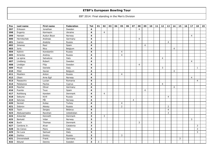| Pos | Last name   | First name  | Federation     | <b>Tot</b>              | 01 | 02             | 03 | 04 | 05             | 06 | 07             | 08             | 09             | 10 <sub>1</sub> | 11 | 12             | 13             | 14             | 15 | 16 | 17             | 18             | 19 |
|-----|-------------|-------------|----------------|-------------------------|----|----------------|----|----|----------------|----|----------------|----------------|----------------|-----------------|----|----------------|----------------|----------------|----|----|----------------|----------------|----|
| 397 | Eriksson    | Jonathan    | Sweden         | $\overline{\mathbf{4}}$ |    |                |    |    |                |    |                | $\overline{4}$ |                |                 |    |                |                |                |    |    |                |                |    |
| 398 | Evgeniy     | Karmazin    | Ukraine        | 4                       |    | $\overline{4}$ |    |    |                |    |                |                |                |                 |    |                |                |                |    |    |                |                |    |
| 399 | Hansen      | Audun Boye  | Norway         | $\overline{\mathbf{4}}$ |    |                |    |    |                |    |                |                |                |                 |    |                |                |                |    |    | $\overline{4}$ |                |    |
| 400 | Hernitschek | Andreas     | Germany        | 4                       |    |                |    |    |                |    |                | $\overline{4}$ |                |                 |    |                |                |                |    |    |                |                |    |
| 401 | Ivanov      | Anatoly     | Russia         | 4                       |    |                |    |    |                |    |                |                |                |                 |    |                | $\overline{4}$ |                |    |    |                |                |    |
| 402 | Jimenez     | Raul        | Spain          | 4                       |    |                |    |    |                |    |                |                | 4              |                 |    |                |                |                |    |    |                |                |    |
| 403 | Joris       | Nico        | Belgium        | 4                       |    |                |    |    |                |    |                |                |                |                 |    |                |                | $\overline{4}$ |    |    |                |                |    |
| 404 | Kalinin     | Konstantin  | Russia         | 4                       |    |                |    |    | 4              |    |                |                |                |                 |    |                |                |                |    |    |                |                |    |
| 405 | Kirienko    | Andrey      | Russia         | 4                       |    |                |    |    | $\overline{4}$ |    |                |                |                |                 |    |                |                |                |    |    |                |                |    |
| 406 | La spina    | Salvatore   | Italy          | 4                       |    |                |    |    |                |    |                |                |                |                 |    | $\overline{4}$ |                |                |    |    |                |                |    |
| 407 | Lindberg    | Robert      | Sweden         | 4                       |    |                |    |    |                |    |                |                |                |                 |    |                |                |                |    |    | 4              |                |    |
| 408 | Lindbjer    | Filip       | Sweden         | 4                       |    |                |    |    |                |    |                | $\overline{4}$ |                |                 |    |                |                |                |    |    |                |                |    |
| 409 | Miceli      | Daniele     | Italy          | 4                       |    |                |    |    |                |    |                |                |                |                 |    | 3              |                |                |    |    |                | $\mathbf{1}$   |    |
| 410 | Milet       | Xavier      | Belgium        | 4                       |    |                |    |    |                |    |                |                |                |                 |    |                |                | $\overline{4}$ |    |    |                |                |    |
| 411 | Moshkin     | Anton       | Russia         | 4                       |    |                |    |    | 4              |    |                |                |                |                 |    |                |                |                |    |    |                |                |    |
| 412 | Olsen       | Arne Egil   | Norway         | 4                       |    |                |    |    |                |    |                |                |                |                 |    |                |                |                |    |    | $\overline{4}$ |                |    |
| 413 | Paeaschiv   | Lucian      | Romania        | 4                       |    |                |    |    |                |    |                |                |                |                 |    |                |                |                |    |    |                | $\overline{4}$ |    |
| 414 | Pelekanos   | Pavlos      | Cyprus         | 4                       |    |                |    |    |                |    |                |                |                |                 |    | 4              |                |                |    |    |                |                |    |
| 415 | Pescher     | Oliver      | Germany        | 4                       |    |                |    |    |                |    |                |                |                |                 |    |                |                | $\overline{4}$ |    |    |                |                |    |
| 416 | Puente      | <b>Txus</b> | Spain          | 4                       |    |                |    |    |                |    |                |                | $\overline{4}$ |                 |    |                |                |                |    |    |                |                |    |
| 417 | Rothborg    | Karsten     | Denmark        | 4                       |    | $\overline{4}$ |    |    |                |    |                |                |                |                 |    |                |                |                |    |    |                |                |    |
| 418 | Seburev     | Kirill      | Russia         | 4                       |    |                |    |    |                |    |                |                |                |                 |    |                | $\overline{4}$ |                |    |    |                |                |    |
| 419 | Selvnes     | Pål         | Norway         | 4                       |    |                |    |    |                |    | $\overline{4}$ |                |                |                 |    |                |                |                |    |    |                |                |    |
| 420 | Sevket      | Kutay       | Turkey         | 4                       |    |                |    |    | $\overline{4}$ |    |                |                |                |                 |    |                |                |                |    |    |                |                |    |
| 421 | Sidorov     | Alexey      | Russia         | 4                       |    |                |    |    | $\overline{2}$ |    |                |                |                |                 |    |                | $\mathbf 2$    |                |    |    |                |                |    |
| 422 | Tazin       | Sergey      | <b>Belarus</b> | 4                       |    |                |    |    |                |    |                |                |                |                 |    |                | $\overline{4}$ |                |    |    |                |                |    |
| 423 | Abdusamadov | Ravshan     | Uzbekistan     | 3                       |    |                |    |    |                |    |                |                |                |                 |    |                | $\mathsf 3$    |                |    |    |                |                |    |
| 424 | Ankerdal    | Kenneth     | Denmark        | 3                       |    | $\mathbf{3}$   |    |    |                |    |                |                |                |                 |    |                |                |                |    |    |                |                |    |
| 425 | Barkald     | Vidar       | Norway         | $\mathbf{3}$            |    |                |    |    |                |    |                |                |                |                 |    |                |                |                |    |    | 3              |                |    |
| 426 | <b>Buch</b> | Thomas      | Denmark        | 3                       |    |                |    |    |                |    |                | $\mathsf{3}$   |                |                 |    |                |                |                |    |    |                |                |    |
| 427 | Cardona Jr. | Alvar       | Catalonia      | 3                       |    |                |    |    |                |    |                |                |                |                 |    |                |                |                |    |    |                | 3              |    |
| 428 | De Cenzo    | Piero       | Italy          | 3                       |    |                |    |    |                |    |                |                |                |                 |    |                |                |                |    |    |                | 3              |    |
| 429 | De Luca     | Samuel      | Italy          | 3                       |    |                |    |    |                |    |                |                |                |                 |    |                |                |                |    |    |                | 3              |    |
| 430 | Dishlov     | Dmitry      | Russia         | 3                       |    |                |    |    | 3              |    |                |                |                |                 |    |                |                |                |    |    |                |                |    |
| 431 | Drevenstedt | Frank       | Germany        | 3                       |    |                |    |    |                |    |                |                |                |                 |    |                |                |                | 3  |    |                |                |    |
| 432 | Eklund      | Dennis      | Sweden         | 3                       | 3  |                |    |    |                |    |                |                |                |                 |    |                |                |                |    |    |                |                |    |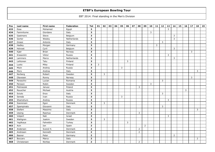| Pos | Last name   | First name     | Federation  | <b>Tot</b>     | 01 | 02             | 03 | 04 | 05 | 06 | 07 | 08             | 09             | 10 | 11 | 12 | 13             | 14             | 15 | 16 | 17 | 18             | 19 |
|-----|-------------|----------------|-------------|----------------|----|----------------|----|----|----|----|----|----------------|----------------|----|----|----|----------------|----------------|----|----|----|----------------|----|
| 433 | Essa        | Mohamed        | Egypt       | 3              |    |                |    |    |    |    |    |                |                |    |    |    | $\overline{3}$ |                |    |    |    |                |    |
| 434 | Fammilume   | Giordano       | Italy       | $\mathbf{3}$   |    |                |    |    |    |    |    |                |                | 3  |    |    |                |                |    |    |    |                |    |
| 435 | Gastmans    | Steve          | Belgium     | 3              |    |                |    |    |    |    |    |                |                |    |    |    |                | 3              |    |    |    |                |    |
| 436 | Gorter      | Wesley         | Netherlands | 3              |    |                |    |    |    |    |    |                |                |    |    |    |                | $\mathbf{3}$   |    |    |    |                |    |
| 437 | Grassi      | Antonio        | Italy       | 3              |    |                |    |    |    |    |    |                |                |    |    | 3  |                |                |    |    |    |                |    |
| 438 | Hadley      | Morgan         | Germany     | 3              |    |                |    |    |    |    |    |                |                |    | 3  |    |                |                |    |    |    |                |    |
| 439 | Holvoet     | Cyril          | Belgium     | 3              |    |                |    |    |    |    |    |                |                |    |    |    |                | 3              |    |    |    |                |    |
| 440 | Kjær        | <b>Brian</b>   | Norway      | 3              |    |                |    |    |    |    |    |                |                |    |    |    |                |                |    |    | 3  |                |    |
| 441 | Krasavkin   | Viktor         | Russia      | 3              |    |                |    |    |    |    |    |                |                |    |    |    | 3              |                |    |    |    |                |    |
| 442 | Lammers     | Marco          | Netherlands | 3              |    |                |    |    |    |    |    |                |                |    |    |    |                | 3              |    |    |    |                |    |
| 443 | Lehtonen    | Tatu           | Finland     | 3              |    |                |    |    |    | 3  |    |                |                |    |    |    |                |                |    |    |    |                |    |
| 444 | Luoto       | Mika           | Finland     | 3              | 3  |                |    |    |    |    |    |                |                |    |    |    |                |                |    |    |    |                |    |
| 445 | Mizin       | Andrey         | Russia      | 3              |    |                |    |    | 3  |    |    |                |                |    |    |    |                |                |    |    |    |                |    |
| 446 | Moro        | Andrea         | Italy       | 3              |    |                |    |    |    |    |    |                |                |    |    |    |                |                |    |    |    | 3              |    |
| 447 | Norberg     | Robert         | Sweden      | 3              |    | 3              |    |    |    |    |    |                |                |    |    |    |                |                |    |    |    |                |    |
| 448 | Olavesen    | Ronny          | Norway      | 3              |    |                |    |    |    |    |    |                |                |    |    |    |                |                |    |    | 3  |                |    |
| 449 | Paraschiv   | Lucian         | Romania     | 3              |    |                |    |    |    |    |    |                |                |    |    | 3  |                |                |    |    |    |                |    |
| 450 | Persson     | Robin          | Sweden      | 3              |    |                |    |    |    |    |    |                |                | 3  |    |    |                |                |    |    |    |                |    |
| 451 | Pietraszek  | Janusz         | Poland      | 3              |    |                |    |    |    |    |    | 3              |                |    |    |    |                |                |    |    |    |                |    |
| 452 | Rauscher    | Michael        | Austria     | 3              |    |                |    |    |    |    |    |                |                |    |    |    |                |                |    | 3  |    |                |    |
| 453 | Sciuto      | Enzo           | Italy       | 3              |    |                |    |    |    |    |    |                |                |    |    | 3  |                |                |    |    |    |                |    |
| 454 | Sereda      | Ivan           | Russia      | 3              |    |                |    |    | 3  |    |    |                |                |    |    |    |                |                |    |    |    |                |    |
| 455 | Shamshuro   | Andrey         | Russia      | 3              |    |                |    |    |    |    |    |                |                |    |    |    | 3              |                |    |    |    |                |    |
| 456 | Soerensen   | Egon           | Denmark     | 3              |    | $\overline{3}$ |    |    |    |    |    |                |                |    |    |    |                |                |    |    |    |                |    |
| 457 | Spampinato  | Giovanni       | Italy       | 3              |    |                |    |    |    |    |    |                |                |    |    | 3  |                |                |    |    |    |                |    |
| 458 | Stefani     | Massimo        | Italy       | 3              |    |                |    |    |    |    |    |                |                |    |    |    |                |                |    |    |    | 3              |    |
| 459 | Ussing      | Rasmus         | Denmark     | 3              |    |                |    |    |    |    |    | 3              |                |    |    |    |                |                |    |    |    |                |    |
| 460 | Volpert     | Nati           | Israel      | 3              |    |                |    |    |    |    |    |                |                |    |    |    | $\overline{3}$ |                |    |    |    |                |    |
| 461 | Wahlgren    | Joakim         | Sweden      | 3              |    | $\mathbf{3}$   |    |    |    |    |    |                |                |    |    |    |                |                |    |    |    |                |    |
| 462 | Yeşilkaya   | Fahrettin      | Turkey      | 3              |    |                |    |    |    | 3  |    |                |                |    |    |    |                |                |    |    |    |                |    |
| 463 | Acin        | Ion            | Spain       | $\overline{2}$ |    |                |    |    |    |    |    |                | $\overline{2}$ |    |    |    |                |                |    |    |    |                |    |
| 464 | Andersen    | Svend H.       | Denmark     | $\overline{2}$ |    |                |    |    |    |    |    | $\mathsf{2}\,$ |                |    |    |    |                |                |    |    |    |                |    |
| 465 | Andresen    | Kenneth        | Denmark     | $\overline{2}$ |    |                |    |    |    |    |    | $\mathsf{2}\,$ |                |    |    |    |                |                |    |    |    |                |    |
| 466 | Basner      | Peter          | Germany     | $\overline{2}$ |    |                |    |    |    |    |    |                |                |    |    |    |                | $\overline{2}$ |    |    |    |                |    |
| 467 | Boccaro     | Marco          | Italy       | $\mathbf{2}$   |    |                |    |    |    |    |    |                |                |    |    |    |                |                |    |    |    | $\overline{2}$ |    |
| 468 | Christensen | <b>Nichlas</b> | Denmark     | $\overline{2}$ |    |                |    |    |    |    |    | $\overline{2}$ |                |    |    |    |                |                |    |    |    |                |    |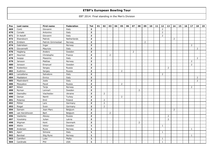| Pos | Last name      | First name        | Federation  | <b>Tot</b>              | 01 | 02             | 03             | 04 | 05             | 06 | 07             | 08             | 09 | 10 <sub>1</sub> | 11 | 12             | 13             | 14             | 15 | 16 | 17             | 18             | 19 |
|-----|----------------|-------------------|-------------|-------------------------|----|----------------|----------------|----|----------------|----|----------------|----------------|----|-----------------|----|----------------|----------------|----------------|----|----|----------------|----------------|----|
| 469 | Conti          | Giovanni          | Italy       | $\overline{2}$          |    |                |                |    |                |    |                |                |    |                 |    | $\overline{2}$ |                |                |    |    |                |                |    |
| 470 | Corsale        | Antonino          | Italy       | $\overline{2}$          |    |                |                |    |                |    |                |                |    |                 |    | $\overline{2}$ |                |                |    |    |                |                |    |
| 471 | Di Astolfi     | Giovanni          | Italy       | $\overline{2}$          |    |                |                |    |                |    |                |                |    |                 |    | $\overline{2}$ |                |                |    |    |                |                |    |
| 472 | Elsendoorn     | Patrick           | Netherlands | $\overline{2}$          |    |                |                |    |                |    |                |                |    |                 |    |                |                | $\overline{2}$ |    |    |                |                |    |
| 473 | Emblem         | Patrick Gimmestad | Norway      | $\overline{2}$          |    |                |                |    |                |    |                |                | 2  |                 |    |                |                |                |    |    |                |                |    |
| 474 | Gabrielsen     | Ingar             | Norway      | $\overline{2}$          |    |                |                |    |                |    |                |                |    |                 |    |                |                |                |    |    | 2              |                |    |
| 475 | Giovannelli    | Maurizio          | Italy       | $\overline{2}$          |    |                |                |    |                |    |                |                |    |                 |    |                |                |                |    |    |                | $\overline{2}$ |    |
| 476 | Hagberg        | Anders            | Sweden      | $\overline{2}$          |    |                |                |    |                |    | $\overline{2}$ |                |    |                 |    |                |                |                |    |    |                |                |    |
| 477 | Hournon        | Christophe        | France      | $\overline{2}$          |    |                | 2              |    |                |    |                |                |    |                 |    |                |                |                |    |    |                |                |    |
| 478 | Isoppp         | Massimo           | Italy       | $\overline{2}$          |    |                |                |    |                |    |                |                |    |                 |    |                |                |                |    |    |                | $\overline{2}$ |    |
| 479 | Jansson        | Mattias           | Norway      | $\mathbf{2}$            |    |                |                |    |                |    |                |                |    |                 |    |                |                |                |    |    | $\overline{2}$ |                |    |
| 480 | Jonsson        | Emanuel           | Sweden      | $\overline{2}$          |    |                |                |    |                |    |                |                |    |                 |    |                |                |                |    |    | 2              |                |    |
| 481 | Kostenkov      | Sergey            | Russia      | $\overline{2}$          |    |                |                |    |                |    |                |                |    |                 |    |                | $\overline{2}$ |                |    |    |                |                |    |
| 482 | Kudimov        | Sergey            | Russia      | $\mathbf{2}$            |    |                |                |    | $\overline{2}$ |    |                |                |    |                 |    |                |                |                |    |    |                |                |    |
| 483 | Lanzafame      | Salvatore         | Italy       | $\mathbf{2}$            |    |                |                |    |                |    |                |                |    |                 |    | $\overline{2}$ |                |                |    |    |                |                |    |
| 484 | Maddaloni      | Enrico            | Italy       | $\overline{2}$          |    |                |                |    |                |    |                |                |    |                 |    |                |                |                |    |    |                | $\overline{2}$ |    |
| 485 | Mastroberti    | Joele             | Italy       | $\overline{2}$          |    |                |                |    |                |    |                |                |    |                 |    |                |                |                |    |    |                | $\overline{2}$ |    |
| 486 | Mosyakov       | Pavel             | Russia      | $\overline{2}$          |    |                |                |    | $\overline{2}$ |    |                |                |    |                 |    |                |                |                |    |    |                |                |    |
| 487 | Nilsen         | Terje             | Norway      | $\overline{2}$          |    |                |                |    |                |    |                |                |    |                 |    |                |                |                |    |    | $\overline{2}$ |                |    |
| 488 | Nyman          | Lennart           | Sweden      | $\overline{2}$          |    |                |                |    |                |    |                | $\overline{2}$ |    |                 |    |                |                |                |    |    |                |                |    |
| 489 | Oseredko       | Viacheslav        | Ukraine     | $\overline{2}$          |    | $\overline{2}$ |                |    |                |    |                |                |    |                 |    |                |                |                |    |    |                |                |    |
| 490 | Osman          | Nemli             | Turkey      | $\overline{2}$          |    |                |                |    | $\overline{2}$ |    |                |                |    |                 |    |                |                |                |    |    |                |                |    |
| 491 | Polanisz       | Emil              | Poland      | $\overline{2}$          |    | $\overline{2}$ |                |    |                |    |                |                |    |                 |    |                |                |                |    |    |                |                |    |
| 492 | Pöhler         | Lars              | Germany     | $\overline{2}$          |    | $\overline{2}$ |                |    |                |    |                |                |    |                 |    |                |                |                |    |    |                |                |    |
| 493 | Riegel         | Sven              | Germany     | $\overline{2}$          |    | $\overline{2}$ |                |    |                |    |                |                |    |                 |    |                |                |                |    |    |                |                |    |
| 494 | Samain         | Jean-Marc         | Belgium     | $\overline{2}$          |    |                |                |    |                |    |                |                |    |                 |    |                |                | $\overline{2}$ |    |    |                |                |    |
| 495 | van Kerckhoven | Bart              | Belgium     | $\overline{\mathbf{2}}$ |    |                | $\overline{2}$ |    |                |    |                |                |    |                 |    |                |                |                |    |    |                |                |    |
| 496 | Vasilenko      | Alexey            | Russia      | $\overline{2}$          |    |                |                |    |                |    |                |                |    |                 |    |                | $\overline{2}$ |                |    |    |                |                |    |
| 497 | Vysotskiy      | Julian            | Latvia      | $\overline{2}$          |    |                |                |    |                |    |                |                |    |                 |    |                | $\overline{2}$ |                |    |    |                |                |    |
| 498 | Wigman         | Kent              | Denmark     | $\overline{2}$          |    |                |                |    |                |    |                | $\overline{2}$ |    |                 |    |                |                |                |    |    |                |                |    |
| 499 | Albihn         | Viktor            | Sweden      | $\mathbf{1}$            |    |                |                |    |                |    |                |                |    |                 |    | $\mathbf{1}$   |                |                |    |    |                |                |    |
| 500 | Andersen       | Rune              | Norway      | $\mathbf{1}$            |    |                |                |    |                |    |                |                |    |                 |    |                |                |                |    |    | $\mathbf{1}$   |                |    |
| 501 | Aperi          | Simone            | Italy       | $\mathbf{1}$            |    |                |                |    |                |    |                |                |    |                 |    | $\mathbf{1}$   |                |                |    |    |                |                |    |
| 502 | Barstad        | Stig Rune         | Norway      | $\mathbf{1}$            |    |                |                |    |                |    |                |                |    |                 |    |                |                |                |    |    | $\mathbf{1}$   |                |    |
| 503 | Camilleri      | Luke              | Malta       | $\mathbf{1}$            |    |                |                |    |                |    |                |                |    |                 |    | $\mathbf{1}$   |                |                |    |    |                |                |    |
| 504 | Cardinale      | Phil              | <b>USA</b>  | $\mathbf{1}$            |    |                |                |    |                |    |                |                |    |                 |    | $\mathbf{1}$   |                |                |    |    |                |                |    |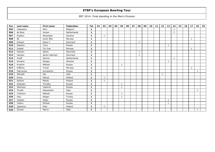| Pos | Last name | <b>First name</b> | Federation  | Tot          | 01 | 02           | 03 | 04 | 05 | 06 | 07 | 08           | 09 | 10 | 11 | 12 | 13           | 14           | 15 | 16 | 17 | 18           | 19 |
|-----|-----------|-------------------|-------------|--------------|----|--------------|----|----|----|----|----|--------------|----|----|----|----|--------------|--------------|----|----|----|--------------|----|
| 505 | Claessens | Wim               | Belgium     | $\mathbf{1}$ |    |              |    |    |    |    |    |              |    |    |    |    |              | $\mathbf{1}$ |    |    |    |              |    |
| 506 | de Boer   | Jeroen            | Netherlands | 1            |    |              |    |    |    |    |    |              |    |    |    |    |              | $\mathbf{1}$ |    |    |    |              |    |
| 507 | Dyakov    | Alexander         | Ukraine     | $\mathbf{1}$ |    | $\mathbf{1}$ |    |    |    |    |    |              |    |    |    |    |              |              |    |    |    |              |    |
| 508 | Ek        | Svein Åke         | Norway      | $\mathbf{1}$ |    |              |    |    |    |    |    |              |    |    |    |    |              |              |    |    | 1  |              |    |
| 509 | Eriksen   | Klavs T.          | Denmark     | $\mathbf{1}$ |    |              |    |    |    |    |    | $\mathbf{1}$ |    |    |    |    |              |              |    |    |    |              |    |
| 510 | Glazkov   | Yuriy             | Russia      | 1            |    |              |    |    |    |    |    |              |    |    |    |    | 1            |              |    |    |    |              |    |
| 511 | Grødal    | Tor Ivar          | Norway      | $\mathbf{1}$ |    |              |    |    |    |    |    |              |    |    |    |    |              |              |    |    | 1  |              |    |
| 512 | Hansen    | Søren             | Denmark     | 1            |    |              |    |    |    |    |    | 1            |    |    |    |    |              |              |    |    |    |              |    |
| 513 | Hansen    | Søren Aahman      | Denmark     | $\mathbf{1}$ |    |              |    |    |    |    |    | $\mathbf{1}$ |    |    |    |    |              |              |    |    |    |              |    |
| 514 | Knijff    | Dennis            | Netherlands | 1            |    |              |    |    |    |    |    |              |    |    |    |    |              | $\mathbf{1}$ |    |    |    |              |    |
| 515 | Kovalov   | Sergey            | Ukraine     | 1            |    |              |    |    |    |    |    |              |    |    |    |    | $\mathbf{1}$ |              |    |    |    |              |    |
| 516 | Krokhin   | Mikhail           | Russia      | $\mathbf{1}$ |    |              |    |    | 1  |    |    |              |    |    |    |    |              |              |    |    |    |              |    |
| 517 | Kråkmo    | Trond             | Norway      | $\mathbf{1}$ |    |              |    |    |    |    |    |              |    |    |    |    |              |              |    |    | 1  |              |    |
| 518 | Matvienko | Konstantin        | Russia      | 1            |    |              |    |    |    |    |    |              |    |    |    |    |              |              |    |    |    | 1            |    |
| 519 | Mitchell  | Pat               | <b>USA</b>  | 1            |    |              |    |    |    |    |    |              |    |    |    | 1  |              |              |    |    |    |              |    |
| 520 | Preus     | Patryk            | Poland      | 1            |    | $\mathbf{1}$ |    |    |    |    |    |              |    |    |    |    |              |              |    |    |    |              |    |
| 521 | Rybicki   | Marek             | Poland      | 1            |    | $\mathbf{1}$ |    |    |    |    |    |              |    |    |    |    |              |              |    |    |    |              |    |
| 522 | Slobodin  | Timofey           | Russia      | 1            |    |              |    |    |    |    |    |              |    |    |    |    |              |              |    |    |    |              |    |
| 523 | Staritsyn | Vladimir          | Russia      | 1            |    |              |    |    | 1  |    |    |              |    |    |    |    |              |              |    |    |    |              |    |
| 524 | Tonelli   | Alessandro        | Italy       | 1            |    |              |    |    |    |    |    |              |    |    |    |    |              |              |    |    |    | $\mathbf{1}$ |    |
| 525 | Trofimov  | Mikhail           | Russia      | 1            |    |              |    |    | 1  |    |    |              |    |    |    |    |              |              |    |    |    |              |    |
| 526 | Uluc      | Atigan            | Turkey      | 1            |    |              |    |    | -1 |    |    |              |    |    |    |    |              |              |    |    |    |              |    |
| 527 | Vodolin   | Fedor             | Russia      | 1            |    |              |    |    |    |    |    |              |    |    |    |    | $\mathbf{1}$ |              |    |    |    |              |    |
| 528 | Volkov    | Michail           | Russia      | 1            |    |              |    |    |    |    |    |              |    |    |    |    | $\mathbf{1}$ |              |    |    |    |              |    |
| 529 | Zjawiony  | Piotr             | Poland      | 1            |    | $\mathbf{1}$ |    |    |    |    |    |              |    |    |    |    |              |              |    |    |    |              |    |
| 530 | Zorzan    | Marco             | Italy       | 1            |    |              |    |    |    |    |    |              |    |    |    |    |              |              |    |    |    | $\mathbf{1}$ |    |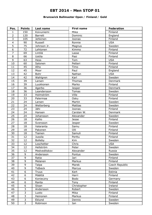### **Brunswick Ballmaster Open / Finland / Gold**

| Pos.           | <b>Points</b>  | Last name      | First name   | Federation     |
|----------------|----------------|----------------|--------------|----------------|
| $\mathbf{1}$   | 150            | Koivuniemi     | Mika         | Finland        |
| $\overline{2}$ | 120            | <b>Barrett</b> | Dominic      | England        |
| $\overline{3}$ | 105            | Jehkinen       | Joonas       | Finland        |
| $\overline{4}$ | 90             | Russell        | Ronnie       | <b>USA</b>     |
| 5              | 75             | Johnson Jr.    | Magnus       | Sweden         |
| 6              | 72             | Lehtonen       | Kimmo        | Finland        |
| $\overline{7}$ | 69             | Lintilä        | Lasse        | Finland        |
| 8              | 66             | Uotila         | Pasi         | Finland        |
| 9              | 63             | Hess           | Tom          | <b>USA</b>     |
| 10             | 60             | Salonen        | Petteri      | Finland        |
| 11             | 45             | Alho           | Timo         | Finland        |
| 12             | 45             | Moor           | Paul         | England        |
| 13             | 42             | Bohr           | Nathan       | <b>USA</b>     |
| 14             | 42             | Wahlgren       | Karl         | Sweden         |
| 15             | 39             | Larsen         | Thomas       | Denmark        |
| 16             | 39             | Luukkonen      | Marko        | Finland        |
| 17             | 36             | Agerbo         | Jesper       | Denmark        |
| 18             | 36             | Leandersson    | Tomas        | Sweden         |
| 19             | 33             | Holmström      | Ville        | Finland        |
| 20             | 33             | Palermaa       | Osku         | Finland        |
| 21             | 24             | Larsen         | Martin       | Sweden         |
| 22             | 24             | Wetterberg     | Mattias      | Sweden         |
| 23             | 24             | Jähi           | Joonas       | Finland        |
| 24             | 24             | Hansen         | Carsten W.   | Denmark        |
| 25             | 24             | Johansson      | Alexander    | Sweden         |
| 26             | 18             | Kallio         | <b>Jesse</b> | Finland        |
| 27             | 18             | Svensson       | Jesper       | Sweden         |
| 28             | 18             | Valaranta      | Samu         | Finland        |
| 29             | 18             | Pakonen        | Olli         | Finland        |
| 30             | 18             | Tiainen        | Samuli       | Finland        |
| 31             | 12             | Jussila        | Perttu       | Finland        |
| 32             | 12             | Bolleby        | Kim          | Sweden         |
| 33             | 12             | Loschetter     | Chris        | <b>USA</b>     |
| 34             | 12             | Hellström      | Peter        | Sweden         |
| 35             | 12             | Medveditskov   | Alexander    | Russia         |
| 36             | 9              | Andersson      | Pontus       | Sweden         |
| 37             | $\overline{9}$ | Ratia          | Jari         | Finland        |
| 38             | 9              | Melanen        | Markus       | Finland        |
| 39             | $\overline{9}$ | Talpa          | Marek        | Czech Republic |
| 40             | 9              | <b>Tidbeck</b> | Marcus       | Sweden         |
| 41             | $\overline{6}$ | Truus          | Kert         | Estinia        |
| 42             | 6              | Määttä         | Harri        | Finland        |
| 43             | 6              | Konieczny      | <b>Bodo</b>  | Germany        |
| 44             | 6              | Ranta          | Tony         | Finland        |
| 45             | $\overline{6}$ | Sloan          | Christopher  | Ireland        |
| 46             | 3              | Andersson      | Robert       | Sweden         |
| 47             | $\overline{3}$ | Luoto          | Mika         | Finland        |
| 48             | $\overline{3}$ | Heinonen       | Markus       | Finland        |
| 49             | $\overline{3}$ | Eklund         | Dennis       | Sweden         |
| 50             | $\overline{3}$ | Robinson       | Ian          | Sweden         |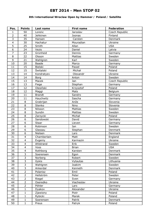### **8th International Wroclaw Open by Hammer / Poland / Satellite**

| Pos.            | <b>Points</b>            | Last name     | <b>First name</b> | Federation     |
|-----------------|--------------------------|---------------|-------------------|----------------|
| $\mathbf{1}$    | 50                       | Lorenc        | Jaroslav          | Czech Republic |
| $\overline{2}$  | 40                       | Jehkinen      | Joonas            | Finland        |
| 3               | 35                       | Hansen        | Carsten           | Denmark        |
| $\overline{4}$  | 30                       | Hachatur      | Mouradian         | Ukraine        |
| 5               | 25                       | Smith         | Allan             | <b>USA</b>     |
| 6               | 24                       | Vezis         | Daniel            | Latvia         |
| $\overline{7}$  | 23                       | Grünheid      | Dennis            | Germany        |
| $\overline{8}$  | 22                       | Olsson        | <b>Mattias</b>    | Sweden         |
| $\overline{9}$  | 21                       | Wahlgren      | Karl              | Sweden         |
| 10              | 20                       | <b>Baade</b>  | Marco             | Germany        |
| 11              | 15                       | Bielski       | Paweł             | Poland         |
| 12              | 15                       | Świtalski     | Michał            | Poland         |
| 13              | 14                       | Kondratyev    | Olexandr          | Ukraine        |
| 14              | 14                       | <b>Borg</b>   | Anton             | Sweden         |
| 15              | 13                       | Macek         | Jan               | Czech Republic |
| 16              | 13                       | Fiege         | Stephan           | Germany        |
| 17              | 12                       | Olesiński     | Krzysztof         | Poland         |
| 18              | 12                       | Maggi         | Mats              | Belgium        |
| 19              | 11                       | <b>Brandt</b> | Sandro            | Germany        |
| 20              | 11                       | Hauchwitz     | Sascha            | Germany        |
| 21              | 8                        | Grabrijan     | Anže              | Slovenia       |
| 22              | $\overline{8}$           | Stenko        | Nino              | Slovenia       |
| 23              | 8                        | Nilsson       | <b>Mattias</b>    | Sweden         |
| 24              | $\overline{8}$           | Sundin        | <b>Mattias</b>    | Sweden         |
| 25              | 8                        | Zarzycki      | Michał            | Poland         |
| 26              | $\overline{6}$           | Sandowski     | David             | Germany        |
| 27              | 6                        | Staar         | Lieven            | Germany        |
| 28              | 6                        | Robinson      | Ian               | Sweden         |
| 29              | 6                        | Glassau       | Stephan           | Denmark        |
| 30              | 6                        | Nielsen       | Lars              | Denmark        |
| 31              | $\overline{\mathbf{4}}$  | Chamberlain   | Matt              | England        |
| $\overline{32}$ | $\overline{\mathcal{A}}$ | Evgeniy       | Karmazin          | Ukraine        |
| 33              | $\overline{4}$           | Ahlstrand     | Erik              | Sweden         |
| 34              | $\overline{4}$           | Voss          | <b>Brian</b>      | <b>USA</b>     |
| 35              | $\overline{\mathbf{4}}$  | Rothborg      | Karsten           | Denmark        |
| 36              | $\overline{3}$           | Soerensen     | Egon              | Denmark        |
| 37              | $\overline{3}$           | Norberg       | Robert            | Sweden         |
| 38              | $\overline{3}$           | Gykis         | Vytautas          | Lithuania      |
| 39              | $\overline{3}$           | Wahlgren      | Joakim            | Sweden         |
| 40              | $\overline{3}$           | Ankerdal      | Kenneth           | Denmark        |
| 41              | $\overline{2}$           | Polanisz      | Emil              | Poland         |
| 42              | $\overline{2}$           | Hellström     | Peter             | Sweden         |
| 43              | $\overline{2}$           | Riegel        | Sven              | Germany        |
| 44              | $\overline{2}$           | Oseredko      | Viacheslav        | Ukraine        |
| 45              | $\overline{2}$           | Pöhler        | Lars              | Germany        |
| 46              | $\mathbf{1}$             | Dyakov        | Alexander         | Ukraine        |
| 47              | $\mathbf 1$              | Zjawiony      | Piotr             | Poland         |
| 48              | $\mathbf{1}$             | Rybicki       | Marek             | Poland         |
| 49              | $\mathbf{1}$             | Soerensen     | Patrik            | Denmark        |
| 50              | $\mathbf{1}$             | Preus         | Patryk            | Poland         |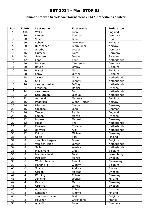### **Hammer Bronzen Schietspoel Tournament 2014 / Netherlands / Silver**

| Pos.            | <b>Points</b>  | Last name      | <b>First name</b> | Federation  |
|-----------------|----------------|----------------|-------------------|-------------|
| $\mathbf{1}$    | 100            | Wells          | John              | England     |
| $\overline{2}$  | 80             | Larsen         | Thomas            | Denmark     |
| 3               | 70             | Voss           | <b>Brian</b>      | <b>USA</b>  |
| $\overline{4}$  | 60             | Lebon          | Jean Marc         | Belgium     |
| 5               | 50             | Rudshagen      | Björn Einar       | Norway      |
| 6               | 48             | Agerbo         | Jesper            | Denmark     |
| $\overline{7}$  | 46             | Gutsche        | Falco             | Germany     |
| 8               | 44             | Svensson       | Jesper            | Sweden      |
| 9               | 42             | Fens           | Youri             | Netherlands |
| 10              | 40             | Hansen         | Carsten W.        | Denmark     |
| 11              | 30             | Ravez          | Jimmy             | Belgium     |
| 12              | 30             | Maggi          | Mats              | Belgium     |
| 13              | 28             | Leroy          | Olivier           | Belgium     |
| 14              | 28             | <b>Jacobs</b>  | Mark              | Netherlands |
| 15              | 26             | Spil           | Johnny            | Netherlands |
| 16              | 26             | van de Wakker  | <b>Jeffrey</b>    | Netherlands |
| 17              | 24             | Fransson       | Daniel            | Sweden      |
| 18              | 24             | van Weeren     | Jord              | Netherlands |
| 19              | 22             | Schuurman      | Joshua            | Netherlands |
| 20              | 22             | Aernoudt       | Marawan           | Belgium     |
| 21              | 16             | Pedersen       | Glenn-Morten      | Norway      |
| 22              | 16             | Ulsamer        | Clemens           | Germany     |
| 23              | 16             | Guldbaek       | John              | Denmark     |
| 24              | 16             | Teece          | Richie            | England     |
| 25              | 16             | Larsen         | Martin            | Sweden      |
| 26              | 12             | Mrosek         | Manuel            | Germany     |
| 27              | 12             | Hulst          | Phil              | Netherlands |
| 28              | 12             | Kweens         | Christian         | Netherlands |
| 29              | 12             | de Vries       | Alex              | Netherlands |
| 30              | 12             | Krämer         | Michael           | Germany     |
| 31              | 8              | Uotila         | Pasi              | Finland     |
| $\overline{32}$ | $\overline{8}$ | van Meerbergen | <b>Bram</b>       | Belgium     |
| 33              | 8              | van der Heide  | Jeroen            | Netherlands |
| 34              | 8              | Selier         | Wesley            | Netherlands |
| 35              | $\overline{8}$ | Meylemans      | Ziggy             | Belgium     |
| 36              | 6              | Manderscheid   | David             | Luxemburg   |
| 37              | 6              | Paulsson       | Martin            | Sweden      |
| 38              | 6              | Winternheimer  | Pascal            | Gwermany    |
| 39              | 6              | Hendrickx      | Gianny            | Belgium     |
| 40              | 6              | Suslov         | Andrey            | Russia      |
| 41              | 4              | Olsson         | Mattias           | Sweden      |
| 42              | $\overline{4}$ | Börding        | <b>Tobias</b>     | Germany     |
| 43              | $\overline{4}$ | Jehkinen       | Joonas            | Finland     |
| 44              | $\overline{4}$ | <b>Baade</b>   | Marco             | Germany     |
| 45              | $\overline{4}$ | Gruffman       | James             | Sweden      |
| 46              | $\overline{2}$ | Andersson      | Robert            | Sweden      |
| 47              | $\overline{2}$ | Lehtonen       | Kimmo             | Finland     |
| 48              | $\overline{2}$ | van Kerckhoven | <b>Bart</b>       | Belgium     |
| 49              | $\overline{2}$ | Hournon        | Christophe        | France      |
| 50              | $\overline{2}$ | Adsböl         | Johnni            | Denmark     |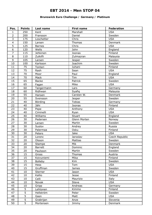### **Brunswick Euro Challenge / Germany / Platinum**

| Pos.            | <b>Points</b>  | Last name      | First name    | Federation     |
|-----------------|----------------|----------------|---------------|----------------|
| $\mathbf{1}$    | 250            | Kent           | Marshall      | <b>USA</b>     |
| $\overline{2}$  | 200            | Fransson       | Daniel        | Sweden         |
| 3               | 175            | Loschetter     | Chris         | <b>USA</b>     |
| $\overline{4}$  | 150            | Larsen         | Thomas        | Denmark        |
| 5               | 125            | <b>Barnes</b>  | Chris         | <b>USA</b>     |
| $\overline{6}$  | 120            | Wells          | John          | England        |
| $\overline{7}$  | 115            | Jehkinen       | Joonas        | Finland        |
| 8               | 110            | Zulkifli       | Zulmazran     | Malaysia       |
| 9               | 105            | Larsen         | Jesper        | Sweden         |
| 10              | 100            | Karlsson       | Joachim       | Sweden         |
| 11              | 75             | Tonteri        | Juhani        | Finland        |
| 12              | 75             | Rash           | Sean          | <b>USA</b>     |
| 13              | 70             | Moor           | Paul          | England        |
| 14              | 70             | Mack           | Tim           | <b>USA</b>     |
| 15              | 65             | <b>Backe</b>   | Patrick       | Sweden         |
| 16              | 65             | Fagan          | Mike          | <b>USA</b>     |
| 17              | 60             | Tangermann     | Lars          | Germany        |
| 18              | 60             | Ridhwan        | Syafig        | Malaysia       |
| 19              | 55             | Hansen         | Carsten W.    | Denmark        |
| 20              | 55             | Svensson       | Jesper        | Sweden         |
| 21              | 40             | Börding        | <b>Tobias</b> | Germany        |
| 22              | 40             | Jähi           | Joonas        | Finland        |
| 23              | 40             | Pepe           | Anthony       | <b>USA</b>     |
| 24              | 40             | Ciminelli      | Ryan          | <b>USA</b>     |
| 25              | 40             | Williams       | Stuart        | England        |
| 26              | 30             | Pedersen       | Glenn Morten  | Norway         |
| 27              | 30             | Larsen         | Martin        | Sweden         |
| 28              | 30             | Suslov         | Andrey        | Russia         |
| 29              | 30             | Palermaa       | Osku          | Finland        |
| 30              | 30             | Peters         | Jake          | <b>USA</b>     |
| $\overline{31}$ | 20             | Lorenc         | Jaroslav      | Czech Republic |
| 32              | 20             | Olsson         | Mattias       | Sweden         |
| 33              | 20             | Stampe         | Mik           | Denmark        |
| 34              | 20             | Barrett        | Dominic       | England        |
| 35              | 20             | Paulsson       | Martin        | Sweden         |
| 36              | 15             | Gross          | Thomas        | Austria        |
| 37              | 15             | Koivuniemi     | Mika          | Finland        |
| 38              | 15             | <b>Bolleby</b> | <b>Kim</b>    | Sweden         |
| 39              | 15             | Hess           | Tom           | <b>USA</b>     |
| 40              | 15             | Gruffman       | James         | Sweden         |
| 41              | 10             | Sterner        | Jason         | <b>USA</b>     |
| 42              | 10             | Kallio         | Jesse         | Finland        |
| 43              | 10             | Celli          | Maurizio      | Italy          |
| 44              | 10             | Novak          | Steve         | <b>USA</b>     |
| 45              | 10             | Gripp          | Andreas       | Germany        |
| 46              | 5              | Lehtonen       | Kimmo         | Finland        |
| 47              | $\overline{5}$ | Hellström      | Peter         | Sweden         |
| 48              | 5              | Gasn           | Matt          | <b>USA</b>     |
| 49              | $\overline{5}$ | Grabrijan      | Anze          | Slovenia       |
| 50              | $\overline{5}$ | Mortensen      | Jimmy         | Denmark        |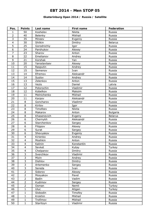### **Ekaterinburg Open 2014 / Russia / Satellite**

| Pos.           | <b>Points</b>           | Last name    | First name | <b>Federation</b> |
|----------------|-------------------------|--------------|------------|-------------------|
| $\mathbf{1}$   | 50                      | Koshelev     | Nikita     | Russia            |
| $\overline{2}$ | 40                      | Belenky      | Mikhail    | Russia            |
| 3              | 35                      | Mineev       | Evgeniy    | Russia            |
| $\overline{4}$ | 30                      | Shilkin      | Dmitry     | <b>Belarus</b>    |
| 5              | 25                      | Gorodnichiy  | Igor       | Russia            |
| 6              | 24                      | Parshukov    | Alexey     | Russia            |
| $\overline{7}$ | 23                      | Sharov       | Anton      | Russia            |
| 8              | 22                      | Emelianov    | Andrey     | Russia            |
| 9              | 21                      | Korshak      | Yan        | Russia            |
| 10             | 20                      | Yaroslavtsev | Alexey     | Russia            |
| 11             | 15                      | Rasputin     | Andrey     | Russia            |
| 12             | 15                      | Semenov      | Ivan       | Russia            |
| 13             | 14                      | Efremov      | Aleksandr  | Russia            |
| 14             | 14                      | Suslov       | Andrey     | Russia            |
| 15             | 13                      | Zelenkov     | Anton      | Russia            |
| 16             | 13                      | Vezis        | Daniel     | Latvia            |
| 17             | 12                      | Potorochin   | Vladimir   | Russia            |
| 18             | 12                      | Kobelkov     | Maksim     | Russia            |
| 19             | 11                      | Melnichenko  | Mikhail    | Russia            |
| 20             | 11                      | Karpov       | Aleksandr  | Russia            |
| 21             | 8                       | Goncharov    | Vladimir   | Russia            |
| 22             | 8                       | Kirilov      | Igor       | Russia            |
| 23             | 8                       | Timofeev     | Nikita     | Russia            |
| 24             | $\overline{8}$          | Makarov      | Anton      | <b>Bulgaria</b>   |
| 25             | 8                       | Khasenevich  | Evgeny     | <b>Belarus</b>    |
| 26             | 6                       | Chernykh     | Aleksandr  | Russia            |
| 27             | 6                       | Starchenkov  | Sergey     | Russia            |
| 28             | 6                       | Filippov     | Alexey     | Russia            |
| 29             | $\overline{6}$          | Surat        | Sergey     | Russia            |
| 30             | 6                       | Shevyakov    | Evgeniy    | Russia            |
| 31             | $\overline{4}$          | Kirienko     | Andrey     | Russia            |
| 32             | $\overline{4}$          | Moshkin      | Anton      | Russia            |
| 33             | $\overline{\mathbf{4}}$ | Kalinin      | Konstantin | Russia            |
| 34             | $\overline{4}$          | Sevket       | Kutay      | Turkey            |
| 35             | $\overline{4}$          | Chelpanov    | Dmitry     | Russia            |
| 36             | $\overline{3}$          | Sverchkov    | Vladimir   | Russia            |
| 37             | $\overline{3}$          | Mizin        | Andrey     | Russia            |
| 38             | $\overline{3}$          | Dishlov      | Dmitry     | Russia            |
| 39             | $\overline{3}$          | Artemenko    | Sergey     | Russia            |
| 40             | $\overline{3}$          | Sereda       | Ivan       | Russia            |
| 41             | $\overline{2}$          | Sidorov      | Alexey     | Russia            |
| 42             | $\overline{2}$          | Mosyakov     | Pavel      | Russia            |
| 43             | $\overline{2}$          | <b>Badin</b> | Vadim      | Russia            |
| 44             | $\overline{2}$          | Kudimov      | Sergey     | Russia            |
| 45             | $\overline{2}$          | Osman        | Nemli      | Turkey            |
| 46             | $\mathbf{1}$            | <b>Uluc</b>  | Atigan     | Turkey            |
| 47             | $\mathbf{1}$            | Slobodin     | Timofey    | Russia            |
| 48             | $\mathbf{1}$            | Krokhin      | Mikhail    | Russia            |
| 49             | $\mathbf{1}$            | Trofimov     | Mikhail    | Russia            |
| 50             | $\mathbf{1}$            | Staritsyn    | Vladimir   | Russia            |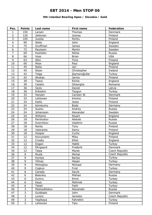### **9th Istanbul Bowling Open / Slovakia / Gold**

| Pos.           | <b>Points</b>  | Last name    | First name    | Federation     |
|----------------|----------------|--------------|---------------|----------------|
| 1              | 150            | Larsen       | <b>Thomas</b> | Denmark        |
| $\overline{2}$ | 120            | Jehkinen     | Joonas        | Finland        |
| 3              | 105            | Jussila      | Perttu        | Finland        |
| $\overline{4}$ | 90             | Wells        | John          | England        |
| 5              | 75             | Gruffman     | James         | Sweden         |
| 6              | 72             | Paulsson     | Martin        | Sweden         |
| $\overline{7}$ | 69             | Koshelev     | Nikita        | Russia         |
| 8              | 66             | Voss         | <b>Brian</b>  | <b>USA</b>     |
| 9              | 63             | Alho         | Timo          | Finland        |
| 10             | 60             | Moor         | Paul          | England        |
| 11             | 45             | Ratia        | Jari          | Finland        |
| 12             | 45             | Sloan        | Christopher   | Ireland        |
| 13             | 42             | Tolga        | Sişmanoğullar | Turkey         |
| 14             | 42             | Ahokas       | Jarmo         | Finland        |
| 15             | 39             | Teece        | Richie        | England        |
| 16             | 39             | Catalin      | Gheorghe      | Romania        |
| 17             | 36             | Vezis        | Daniel        | Latvia         |
| 18             | 36             | Erkeskin     | Taygun        | Turkey         |
| 19             | 33             | Hansen       | Carsten W.    | Denmark        |
| 20             | 33             | Lehtonen     | Kimmo         | Finland        |
| 21             | 24             | Kallio       | Jesse         | Finland        |
| 22             | 24             | Konieczny    | Bodo          | Germany        |
| 23             | 24             | Suslov       | Andrey        | Russia         |
| 24             | 24             | Johansson    | Alexander     | Sweden         |
| 25             | 24             | Williams     | Stuart        | England        |
| 26             | 18             | Parshukov    | Aleksie       | Russia         |
| 27             | 18             | Sverchkov    | Vladimir      | Russia         |
| 28             | 18             | Ranta        | Tony          | Finland        |
| 29             | 18             | Valaranta    | Samu          | Finland        |
| 30             | 18             | Hooper       | Curtis        | England        |
| 31             | 12             | Koivuniemi   | Mika          | Finland        |
| 32             | 12             | Crosby       | Elliot        | England        |
| 33             | 12             | Dogan        | Habib         | Turkey         |
| 34             | 12             | Öhrgaard     | Frederik      | Denmark        |
| 35             | 12             | Talpa        | Marek         | Czech Republic |
| 36             | 9              | Muzik        | Michal        | Czech Republic |
| 37             | $\overline{9}$ | Kontas       | <b>Barlas</b> | Turkey         |
| 38             | 9              | Yilmaz       | Hasan         | Turkey         |
| 39             | 9              | Michajlow    | Michael       | Germany        |
| 40             | 9              | Coşkun       | Firat         | Turkey         |
| 41             | $\overline{6}$ | Canady       | David         | Germany        |
| 42             | 6              | Belenkiy     | Mikhail       | Russia         |
| 43             | $\overline{6}$ | Kumru        | Emre          | Turkey         |
| 44             | $\overline{6}$ | Kaya         | Mehmet        | Turkey         |
| 45             | 6              | Tekeli       | Fatih         | Turkey         |
| 46             | 3              | Medveditskov | Alexander     | Russia         |
| 47             | $\overline{3}$ | Guldbaek     | John          | Denmark        |
| 48             | $\overline{3}$ | Lorenc       | Jaroslav      | Czech Republic |
| 49             | $\overline{3}$ | Yeşilkaya    | Fahrettin     | Turkey         |
| 50             | $\overline{3}$ | Lehtonen     | Tatu          | Finland        |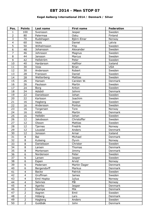### **Kegel Aalborg International 2014 / Denmark / Silver**

| Pos.            | <b>Points</b>           | Last name    | <b>First name</b> | Federation |
|-----------------|-------------------------|--------------|-------------------|------------|
| 1               | 100                     | Svensson     | Jesper            | Sweden     |
| $\overline{2}$  | 80                      | Palermaa     | Osku              | Finland    |
| 3               | 70                      | Rudshagen    | Björn-Einar       | Norway     |
| $\overline{4}$  | 60                      | Vezis        | Daniel            | Latvia     |
| 5               | 50                      | Wilhelmsson  | Filip             | Sweden     |
| $\overline{6}$  | 48                      | Johansson    | Alexander         | Sweden     |
| $\overline{7}$  | 46                      | Johnsson     | Magnus            | Sweden     |
| 8               | 44                      | Jansson      | Marcus            | Sweden     |
| 9               | 42                      | Hellström    | Peter             | Sweden     |
| 10              | 40                      | Hardarson    | Hafthor           | Iceland    |
| 11              | 30                      | Voss         | <b>Brian</b>      | <b>USA</b> |
| 12              | 30                      | Andersson    | Robert            | Sweden     |
| 13              | 28                      | Fransson     | Daniel            | Sweden     |
| 14              | 28                      | Wetterberg   | Mattias           | Sweden     |
| 15              | 26                      | Hansen       | Carsten W.        | Denmark    |
| 16              | 26                      | Paulsson     | Martin            | Sweden     |
| 17              | 24                      | Borg         | Anton             | Sweden     |
| 18              | 24                      | Adsböl       | Johnni            | Denmark    |
| 19              | 22                      | Danielsson   | Johan             | Sweden     |
| 20              | 22                      | Karlsson     | Joachim           | Sweden     |
| 21              | 16                      | Hagberg      | Jesper            | Sweden     |
| 22              | 16                      | Andersson    | Pontus            | Sweden     |
| 23              | 16                      | Torgersen    | Tore              | Norway     |
| 24              | 16                      | Klitte       | Martin            | Denmark    |
| 25              | 16                      | Helldén      | Johan             | Sweden     |
| 26              | 12                      | Jakobsson    | Christoffer       | Sweden     |
| 27              | 12                      | Olsson       | Mattias           | Sweden     |
| 28              | 12                      | Tjernes      | Fredrik           | Norway     |
| 29              | 12                      | Lousdal      | Anders            | Denmark    |
| 30              | 12                      | Jonsson      | Arnar             | Iceland    |
| $\overline{31}$ | $\,8\,$                 | Bai          | Michael           | Denmark    |
| 32              | 8                       | Kulseng      | Öyvin             | Norway     |
| 33              | 8                       | Danielsson   | Christer          | Sweden     |
| 34              | 8                       | Larsen       | Thomas            | Denmark    |
| 35              | 8                       | Mortensen    | Jimmy             | Denmark    |
| 36              | 6                       | Nordenson    | Peter             | Sweden     |
| 37              | $\overline{6}$          | Larsen       | Jesper            | Sweden     |
| 38              | 6                       | Espen        | Arvid             | Norway     |
| 39              | 6                       | Pedersen     | Martin Öager      | Denmark    |
| 40              | 6                       | Bergendorff  | Markus            | Denmark    |
| 41              | $\overline{\mathbf{4}}$ | <b>Backe</b> | Patrick           | Sweden     |
| 42              | $\overline{4}$          | Gruffman     | James             | Sweden     |
| 43              | $\overline{4}$          | Emil Hopka   | <b>Julius</b>     | Norway     |
| 44              | $\overline{4}$          | Selvnes      | Pål               | Norway     |
| 45              | $\overline{4}$          | Agerbo       | Jesper            | Denmark    |
| 46              | $\overline{2}$          | Stampe       | Mik               | Denmark    |
| 47              | $\overline{2}$          | Aagren       | Emil              | Sweden     |
| 48              | $\overline{2}$          | Höberg       | Lars              | Denmark    |
| 49              | $\overline{2}$          | Hagberg      | Anders            | Sweden     |
| 50              | $\overline{2}$          | Guldbäk      | John              | Denmark    |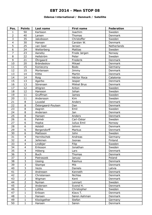#### **Odense International / Denmark / Satellite**

| Pos.           | <b>Points</b>           | Last name          | <b>First name</b> | <b>Federation</b> |
|----------------|-------------------------|--------------------|-------------------|-------------------|
| $\mathbf{1}$   | 50                      | Karlsson           | Joachim           | Sweden            |
| $\overline{2}$ | 40                      | Larsen             | Thomas            | Denmark           |
| 3              | 35                      | Jakobsson          | Christoffer       | Sweden            |
| $\overline{4}$ | 30                      | Hansen             | Carsten W.        | <b>Denmark</b>    |
| 5              | 25                      | van Geel           | Jeroen            | Netherlands       |
| 6              | 24                      | Wetterberg         | <b>Mattias</b>    | Sweden            |
| $\overline{7}$ | 23                      | Aaneby             | Frode Jørgen      | Norway            |
| 8              | 22                      | Hellström          | Peter             | Sweden            |
| 9              | 21                      | Öhrgaard           | Frederik          | Denmark           |
| 10             | 20                      | Brändeskov         | Mikael            | Denmark           |
| 11             | 15                      | Konieczny          | <b>Bodo</b>       | Germany           |
| 12             | 15                      | Mortensen          | Jimmy             | Denmark           |
| 13             | 14                      | Klitte             | Martin            | Denmark           |
| 14             | 14                      | Roig               | Héctor Roca       | Catalonia         |
| 15             | 13                      | Agerbo             | Jesper            | Denmark           |
| 16             | 13                      | Sörensen           | Mikkel Brus       | Denmark           |
| 17             | 12                      | Ahlgren            | Anton             | Sweden            |
| 18             | 12                      | Hansson            | Johan             | Sweden            |
| 19             | 11                      | Gruffman           | <b>James</b>      | Sweden            |
| 20             | 11                      | Andersson          | <b>Kim</b>        | Sweden            |
| 21             | 8                       | Lousdal            | Anders            | Denmark           |
| 22             | 8                       | Östergaard-Poulsen | Dan               | Denmark           |
| 23             | 8                       | Aagren             | Emil              | Sweden            |
| 24             | 8                       | Andersen           | Jan               | Denmark           |
| 25             | 8                       | Hansen             | Anders            | Denmark           |
| 26             | $\overline{6}$          | Palmér             | Carl-Oskar        | Sweden            |
| 27             | $\overline{6}$          | Hopka              | Julius Emil       | Norway            |
| 28             | 6                       | Adsböl             | Johnni            | Denmark           |
| 29             | 6                       | Bergendorff        | Markus            | Denmark           |
| 30             | 6                       | Mattsson           | John              | Sweden            |
| 31             | $\overline{4}$          | Hernitschek        | Andreas           | Germany           |
| 32             | $\overline{\mathbf{4}}$ | Jehkinen           | Joonas            | Finland           |
| 33             | 4                       | Lindbjer           | Filip             | Sweden            |
| 34             | 4                       | Eriksson           | Jonathan          | Sweden            |
| 35             | $\overline{4}$          | Höberg             | Lars              | Denmark           |
| 36             | $\overline{3}$          | <b>Buch</b>        | Thomas            | Denmark           |
| 37             | $\overline{3}$          | Pietraszek         | Janusz            | Poland            |
| 38             | $\overline{3}$          | Ussing             | Rasmus            | Denmark           |
| 39             | $\overline{3}$          | Stampe             | Mik               | Denmark           |
| 40             | $\overline{3}$          | Vezis              | Daniels           | Latvia            |
| 41             | $\overline{2}$          | Andresen           | Kenneth           | Denmark           |
| 42             | $\overline{2}$          | Christensen        | <b>Nichlas</b>    | Denmark           |
| 43             | $\overline{2}$          | Wigman             | Kent              | Denmark           |
| 44             | $\overline{2}$          | Nyman              | Lennart           | Sweden            |
| 45             | $\overline{2}$          | Andersen           | Svend H.          | Denmark           |
| 46             | $\mathbf 1$             | Lüttke             | Christopher       | Sweden            |
| 47             | $\mathbf 1$             | Eriksen            | Klavs T.          | Denmark           |
| 48             | $\mathbf{1}$            | Hansen             | Søren Aahman      | Denmark           |
| 49             | $\mathbf{1}$            | Klockgether        | Stefan            | Germany           |
| 50             | $\mathbf{1}$            | Hansen             | Søren             | Denmark           |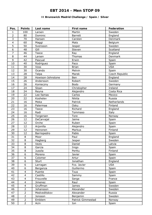### **II Brunswick Madrid Challenge / Spain / Silver**

| Pos.           | <b>Points</b>  | Last name         | First name        | Federation     |
|----------------|----------------|-------------------|-------------------|----------------|
| $\mathbf 1$    | 100            | Larsen            | Martin            | Sweden         |
| $\overline{2}$ | 80             | Dominic           | <b>Barrett</b>    | England        |
| 3              | 70             | Hansen            | Carsten           | Denmark        |
| $\overline{4}$ | 60             | Maggi             | Mats              | Belgium        |
| 5              | 50             | Svensson          | Jesper            | Sweden         |
| $\overline{6}$ | 48             | Gill              | Steven            | Scotland       |
| $\overline{7}$ | 46             | Teece             | Ray               | England        |
| 8              | 44             | Larsen            | <b>Thomas</b>     | Denmark        |
| 9              | 42             | Pascual           | Erwin             | Spain          |
| 10             | 40             | Rodriguez         | Paco              | Spain          |
| 11             | 30             | Voss              | <b>Brian</b>      | <b>USA</b>     |
| 12             | 30             | Ocando            | Melvin            | Spain          |
| 13             | 28             | Talpa             | Marek             | Czech Republic |
| 14             | 28             | Howison-Johnstone | Ben               | England        |
| 15             | 26             | Andersson         | Robert            | Sweden         |
| 16             | 26             | Konieczny         | Bodo              | Germany        |
| 17             | 24             | Sloan             | Christopher       | Ireland        |
| 18             | 24             | Reyna             | Alejandro         | Costa Rica     |
| 19             | 22             | Lee Ilamas        | Carlos            | Mexico         |
| 20             | 22             | Koshelev          | Nikita            | Russia         |
| 21             | 16             | Meka              | Patrick           | Netherlands    |
| 22             | 16             | Palermaa          | Osku              | Finland        |
| 23             | 16             |                   | Richard           |                |
| 24             |                | Teece             |                   | England        |
|                | 16             | Radi              | Tommaso           | Italy          |
| 25             | 16             | Torgersen         | Tore              | Norway         |
| 26             | 12             | DeCarvajal        | Jaime             | Spain          |
| 27             | 12             | Orche             | Ruben             | Spain          |
| 28             | 12             | Arjonilla         | Alejandro         | Spain          |
| 29             | 12             | Heinonen          | Markus            | Finland        |
| 30             | 12             | Barriopedro       | Pablo             | Spain          |
| 31             | 8              | Moor              | Paul              | England        |
| 32             | 8              | <b>Hagberg</b>    | <b>Jesper</b>     | Sweden         |
| 33             | 8              | Vezis             | Daniel            | Latvia         |
| 34             | 8              | Garcia            | Inigo             | Spain          |
| 35             | 8              | Jussila           | Perttu            | Finland        |
| 36             | 6              | Moreno            | Javier            | Spain          |
| 37             | 6              | Colomer           | Artur             | Spain          |
| 38             | $\overline{6}$ | <b>Sturt</b>      | Jonathan          | England        |
| 39             | 6              | Larragan          | Fco. Javier       | <b>USA</b>     |
| 40             | 6              | Berganza          | Guillermo         | Spain          |
| 41             | 4              | Puente            | <b>Txus</b>       | Spain          |
| 42             | $\overline{4}$ | Castillo          | Sammy             | Spain          |
| 43             | 4              | Frouvelle         | Serge             | France         |
| 44             | $\overline{4}$ | Jimenez           | Raul              | Spain          |
| 45             | $\overline{4}$ | Gruffman          | James             | Sweden         |
| 46             | $\overline{2}$ | Johansson         | Alexander         | Sweden         |
| 47             | $\overline{2}$ | Medveditskov      | Alexander         | Russia         |
| 48             | $\overline{2}$ | Jonsson           | Benjamin          | Sweden         |
| 49             | $\overline{2}$ | Emblem            | Patrick Gimmestad | Norway         |
| 50             | $\overline{2}$ | Acin              | Ion               | Spain          |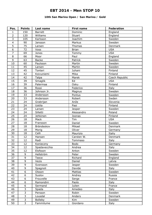### **10th San Marino Open / San Marino / Gold**

| Pos.           | <b>Points</b>       | Last name         | <b>First name</b> | Federation     |
|----------------|---------------------|-------------------|-------------------|----------------|
| 1              | 150                 | <b>Barrett</b>    | Dominic           | England        |
| $\overline{2}$ | 120                 | Williams          | <b>Stuart</b>     | England        |
| 3              | 105                 | Karlsson          | Joachim           | Sweden         |
| $\overline{4}$ | 90                  | Jansson           | Markus            | Sweden         |
| 5              | 75                  | Larsen            | Thomas            | Denmark        |
| 6              | 72                  | Voss              | <b>Brian</b>      | <b>USA</b>     |
| $\overline{7}$ | 69                  | Jones             | Tommy             | <b>USA</b>     |
| 8              | 66                  | Moor              | Paul              | England        |
| 9              | 63                  | <b>Backe</b>      | Patrick           | Sweden         |
| 10             | 60                  | Paulsson          | Martin            | Sweden         |
| 11             | 45                  | Larsen            | Martin            | Sweden         |
| 12             | 45                  | Tonteri           | Juhani            | Finland        |
| 13             | 42                  | Koivuniemi        | Mika              | Finland        |
| 14             | 42                  | Talpa             | Marek             | Czech Republic |
| 15             | 39                  | Smaglik           | Ed                | <b>USA</b>     |
| 16             | 39                  | Palermaa          | Osku              | Finland        |
| 17             | 36                  | Rossi             | Federico          | Italy          |
| 18             | 36                  | Johnson Jr.       | Magnus            | Sweden         |
| 19             | 33                  | Andersson         | Pontus            | Sweden         |
| 20             | 33                  | Andersson         | Robert            | Swden          |
| 21             | 24                  | Grabrijan         | Anže              | Slovenia       |
| 22             | 24                  | Uotila            | Pasi              | Finland        |
| 23             | 24                  | Larsen            | Jesper            | Sweden         |
| 24             | 24                  | Silletti          | Alessandro        | Poland         |
| 25             | 24                  | Jehkinen          | Joonas            | Finland        |
| 26             | 18                  | Mack              | Tim               | <b>USA</b>     |
| 27             | 18                  | Fransson          | Daniel            | Sweden         |
| 28             | 18                  | Brändeskov        | Mikael            | Denmark        |
| 29             | 18                  | Morig             | Oliver            | Germany        |
| 30             | 18                  | Celli             | Maurizio          | Italiy         |
| 31             | 12                  | Hansen            | Carsten W.        | Denmark        |
| 32             | 12                  | Radi              | Tommaso           | Italy          |
| 33             | 12                  | Konieczny         | Bodo              | Germany        |
| 34             | 12                  | Spadavecchia      | Andrea            | Italy          |
| 35             | 12                  | Elofsson          | Anton             | Sweden         |
| 36             | 9                   | Hellström         | Peter             | Sweden         |
| 37             | $\overline{9}$      | Teece             | Richard           | England        |
| 38             | 9                   |                   |                   | Latvia         |
| 39             | 9                   | Vezis<br>Svensson | Daniel            | Sweden         |
| 40             | 9                   |                   | Jesper<br>Davide  |                |
| 41             | $\overline{6}$      | Spagnoli          |                   | Italy          |
|                |                     | Olsson            | Mattias           | Sweden         |
| 42             | 6<br>$\overline{6}$ | Suslov            | Andrey            | Russia         |
| 43             | $\overline{6}$      | Frouvelle         | Serge             | France         |
| 44             |                     | Ramondini         | Paolo             | Italy          |
| 45             | 6                   | Sermand           | Julien            | France         |
| 46             | 3<br>$\overline{3}$ | Spada             | Amedeo            | Italy          |
| 47             |                     | Persson           | Robin             | Sweden         |
| 48             | $\overline{3}$      | Lousdal           | Anders            | Denmark        |
| 49             | $\overline{3}$      | <b>Bolleby</b>    | Kim               | Sweden         |
| 50             | $\overline{3}$      | Fammilume         | Giordano          | Italy          |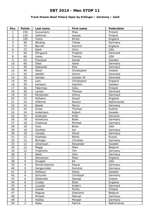### **Track Dream-Bowl Palace Open by Erdinger / Germany / Gold**

| Pos.            | <b>Points</b>           | Last name        | First name    | Federation  |
|-----------------|-------------------------|------------------|---------------|-------------|
| $\mathbf{1}$    | 150                     | Koivuniemi       | Mika          | Finland     |
| $\overline{2}$  | 120                     | Jehkinen         | Joonas        | Finland     |
| 3               | 105                     | Teece            | Richie        | England     |
| $\overline{4}$  | 90                      | Börding          | <b>Tobias</b> | Germany     |
| 5               | 75                      | <b>Barrett</b>   | Dominic       | England     |
| $\overline{6}$  | 72                      | Klerk            | Chris         | <b>USA</b>  |
| $\overline{7}$  | 69                      | Öhrgaard         | Frederik      | Denmark     |
| 8               | 66                      | Jones            | Tommy         | <b>USA</b>  |
| 9               | 63                      | Fransson         | Daniel        | Sweden      |
| 10              | 60                      | Glasl            | Hansi         | Germany     |
| 11              | 45                      | Kabowski         | Eike          | Germany     |
| 12              | 45                      | Sloan            | Christopher   | Ireland     |
| 13              | 42                      | Adsböl           | Johnni        | Denmark     |
| 14              | 42                      | Hansen           | Carsten W.    | Denmark     |
| 15              | 39                      | Lam              | Christopher   | England     |
| 16              | 39                      | Karlsson         | Joachim       | Sweden      |
| 17              | 36                      | Palermaa         | Osku          | Finland     |
| 18              | 36                      | Larsen           | Thomas        | Denmark     |
| 19              | 33                      | Mortensen        | Jimmy         | Denmark     |
| 20              | 33                      | Williams         | Stuart        | England     |
| 21              | 24                      | <b>Hilferink</b> | Ramon         | Netherlands |
| 22              | 24                      | <b>Baade</b>     | Marco         | Germany     |
| 23              | 24                      | Gross            | Thomas        | Austria     |
| 24              | 24                      | Andersson        | Robert        | Sweden      |
| 25              | 24                      | Grabrijan        | Anže          | Slovenia    |
| 26              | 18                      | Konieczny        | <b>Bodo</b>   | Germany     |
| 27              | 18                      | Grabovac         | Michael       | Germany     |
| 28              | 18                      | Voss             | <b>Brian</b>  | <b>USA</b>  |
| 29              | 18                      | Günther          | Kai           | Germany     |
| 30              | 18                      | Canady           | David         | Germany     |
| 31              | 12                      | Koshelev         | Nikita        | Russia      |
| $\overline{32}$ | 12                      | <b>Birlinger</b> | Christian     | Germany     |
| 33              | 12                      | Johansson        | Alexander     | Sweden      |
| 34              | 12                      | Maggi            | Mats          | Belgium     |
| 35              | 12                      | Friedrichs       | Tim           | Germany     |
| 36              | 9                       | Wells            | John          | Germany     |
| 37              | $\overline{9}$          | Stevenson        | Peter         | England     |
| 38              | 9                       | Smaglik          | Ed            | <b>USA</b>  |
| 39              | 9                       | Winternheimer    | Pascal        | Germany     |
| 40              | $\overline{9}$          | Hergenröder      | Dominik       | Germany     |
| 41              | $\overline{6}$          | Elofsson         | Anton         | Sweden      |
| 42              | $\boldsymbol{6}$        | Schurian         | Christoph     | Germany     |
| 43              | 6                       | Stefanidis       | George        | Greece      |
| 44              | $\overline{6}$          | Crosby           | Elliot        | England     |
| 45              | 6                       | Lousdal          | Anders        | Denmark     |
| 46              | $\overline{\mathbf{3}}$ | Jussila          | Perttu        | Finland     |
| 47              | $\overline{\mathbf{3}}$ | Ragusa           | Giancarlo     | Belgium     |
| 48              | $\overline{3}$          | Mrosek           | Manuel        | Germany     |
| 49              | $\overline{3}$          | Hadley           | Morgan        | Germany     |
| 50              | $\overline{3}$          | Meka             | Patrick       | Netherlands |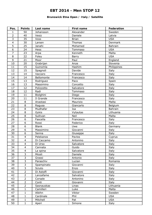### **Brunswick Etna Open / Italy / Satellite**

| Pos.           | <b>Points</b>            | Last name    | First name   | Federation  |
|----------------|--------------------------|--------------|--------------|-------------|
| $\mathbf{1}$   | 50                       | Johansson    | Alexander    | Sweden      |
| $\overline{2}$ | 40                       | Vesiz        | Daniele      | Latvia      |
| 3              | 35                       | Voss         | <b>Brian</b> | <b>USA</b>  |
| $\overline{4}$ | 30                       | Larsen       | Thomas       | Denmark     |
| 5              | 25                       | Janahi       | Mohamed      | Bahrain     |
| 6              | 24                       | Hess         | Tommaso      | <b>USA</b>  |
| $\overline{7}$ | 23                       | Arpa         | Kenneth      | Malta       |
| 8              | 22                       | Foley        | Barry        | <b>USA</b>  |
| 9              | 21                       | Moor         | Paul         | England     |
| 10             | 20                       | Grabrijan    | Anze         | Slovenia    |
| 11             | 15                       | Guinomla     | Hashim       | Philippines |
| 12             | 15                       | Spagnoli     | Davide       | Italy       |
| 13             | 14                       | Vaccaro      | Francesco    | Italy       |
| 14             | 14                       | Bellomonte   | Francesco    | Italy       |
| 15             | 13                       | Rodriguez    | Paco         | Spain       |
| 16             | 13                       | Massimino    | Concetto     | Italy       |
| 17             | 12                       | Polizzotto   | Salvatore    | Italy       |
| 18             | 12                       | Radi         | Tommaso      | Italy       |
| 19             | 11                       | Biolghini    | Diego        | Italy       |
| 20             | 11                       | Il Grande    | Francesco    | Italy       |
| 21             | $\,8\,$                  | Anastasi     | Maurizio     | Malta       |
| 22             | 8                        | Ragusa       | Giancarlo    | Belgium     |
| 23             | 8                        | Mudhafar     | Isa          | Bahrain     |
| 24             | 8                        | Gykis        | Vytautas     | Lithuania   |
| 25             | 8                        | Sullivan     | Neil         | Malta       |
| 26             | $\overline{6}$           | Fascella     | Francesco    | Italy       |
| 27             | $\overline{6}$           | Rossi        | Federico     | Italy       |
| 28             | 6                        | <b>Blank</b> | Uwe          | Germany     |
| 29             | 6                        | Massimino    | Giovanni     | Italy       |
| 30             | 6                        | Senna        | Giuseppe     | Italy       |
| 31             | $\overline{4}$           | Pelekanos    | Pavlos       | Cyprus      |
| 32             | 4                        | Di Caccamo   | Antonino     | Italy       |
| 33             | $\overline{4}$           | Di Urso      | Salvatore    | Italy       |
| 34             | $\overline{\mathbf{4}}$  | Cannata      | Guido        | Italy       |
| 35             | $\overline{\mathcal{L}}$ | La spina     | Salvatore    | Italy       |
| 36             | $\overline{3}$           | Miceli       | Daniele      | Italy       |
| 37             | $\overline{3}$           | Grassi       | Antonio      | Italy       |
| 38             | $\overline{3}$           | Paraschiv    | Lucian       | Romania     |
| 39             | $\overline{3}$           | Spampinato   | Giovanni     | Italy       |
| 40             | $\overline{3}$           | Sciuto       | Enzo         | Italy       |
| 41             | $\overline{2}$           | Di Astolfi   | Giovanni     | Italy       |
| 42             | $\overline{2}$           | Lanzafame    | Salvatore    | Italy       |
| 43             | $\overline{2}$           | Corsale      | Antonino     | Italy       |
| 44             | $\overline{2}$           | Conti        | Giovanni     | Italy       |
| 45             | $\overline{2}$           | Sasnauskas   | Linas        | Lithuania   |
| 46             | $\mathbf{1}$             | Camilleri    | Luke         | Malta       |
| 47             | $\mathbf 1$              | Albihn       | Viktor       | Sweden      |
| 48             | $\mathbf{1}$             | Cardinale    | Phil         | <b>USA</b>  |
| 49             | $\mathbf{1}$             | Mitchell     | Pat          | <b>USA</b>  |
| 50             | $\mathbf{1}$             | Aperi        | Simone       | Italy       |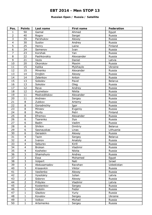#### **Russian Open / Russia / Satellite**

| Pos.           | <b>Points</b>           | Last name     | First name | Federation     |
|----------------|-------------------------|---------------|------------|----------------|
| $\mathbf{1}$   | 50                      | Gamal         | Ahmed      | Egypt          |
| $\overline{2}$ | 40                      | Rogov         | Sergei     | Russia         |
| $\overline{3}$ | 35                      | Parshukov     | Alexey     | Russia         |
| $\overline{4}$ | 30                      | Suslov        | Andrey     | Russia         |
| 5              | 25                      | Henry         | Laine      | Finland        |
| 6              | 24                      | Semenov       | Ivan       | Russia         |
| $\overline{7}$ | 23                      | Korshak       | Yan        | Russia         |
| 8              | 22                      | Pashkovskiy   | Alexsander | Russia         |
| 9              | 21                      | Vezis         | Daniel     | Latvia         |
| 10             | 20                      | Okorokov      | Maxim      | Russia         |
| 11             | 15                      | Kalika        | Mykhaylo   | Ukraine        |
| 12             | 15                      | Minenko       | Alexander  | Russia         |
| 13             | 14                      | Drojbin       | Alexey     | Russia         |
| 14             | 14                      | Zelenkov      | Anton      | Russia         |
| 15             | 13                      | Sobolev       | Pavel      | <b>Belarus</b> |
| 16             | 13                      | Sokolov       | Oleg       | Russia         |
| 17             | 12                      | Reva          | Andrey     | Russia         |
| 18             | 12                      | Kuznetsov     | Nikita     | Russia         |
| 19             | 11                      | Medveditskov  | Alexander  | Russia         |
| 20             | 11                      | Andreev       | Sergey     | Russia         |
| 21             | 8                       | Zubkov        | Artemy     | Russia         |
| 22             | 8                       | Gorodnichiy   | Igor       | Russia         |
| 23             | 8                       | Mineev        | Evgeniy    | Russia         |
| 24             | 8                       | Murto         | Petri      | Finland        |
| 25             | 8                       | Efremov       | Alexander  | Russia         |
| 26             | $\overline{6}$          | Tsarenko      | Ilya       | Russia         |
| 27             | 6                       | <b>Badin</b>  | Vadim      | Russia         |
| 28             | 6                       | Shilkin       | Dmitriy    | <b>Belarus</b> |
| 29             | 6                       | Sasnauskas    | Linas      | Lithuania      |
| 30             | 6                       | Geraskin      | Alexey     | Russia         |
| 31             | $\overline{4}$          | Tazin         | Sergey     | <b>Belarus</b> |
| 32             | $\overline{\mathbf{4}}$ | Ivanov        | Anatoly    | Russia         |
| 33             | $\overline{4}$          | Seburev       | Kirill     | Russia         |
| 34             | $\overline{\mathbf{4}}$ | <b>Brokan</b> | Vladimir   | Russia         |
| 35             | $\overline{4}$          | Koshelev      | Nikita     | Russia         |
| 36             | $\overline{3}$          | Shamshuro     | Andrey     | Russia         |
| 37             | $\overline{\mathbf{3}}$ | Essa          | Mohamed    | Egypt          |
| 38             | $\overline{3}$          | Volpert       | Nati       | Israel         |
| 39             | $\overline{3}$          | Abdusamadov   | Ravshan    | Uzbekistan     |
| 40             | $\overline{3}$          | Krasavkin     | Viktor     | Russia         |
| 41             | $\overline{2}$          | Vasilenko     | Alexey     | Russia         |
| 42             | $\overline{2}$          | Vysotskiy     | Julian     | Latvia         |
| 43             | $\overline{2}$          | Sidorov       | Alexey     | Russia         |
| 44             | $\overline{2}$          | Pribylev      | Vladimir   | Latvia         |
| 45             | $\overline{2}$          | Kostenkov     | Sergey     | Russia         |
| 46             | $\mathbf{1}$            | Vodolin       | Fedor      | Russia         |
| 47             | $\mathbf{1}$            | Glazkov       | Yuriy      | Russia         |
| 48             | $\mathbf 1$             | Kovalov       | Sergey     | Ukraine        |
| 49             | $\mathbf{1}$            | Volkov        | Michail    | Russia         |
| 50             | $\mathbf{1}$            | Artemenko     | Sergey     | Russia         |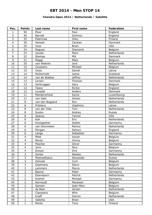### **Chandra Open 2014 / Netherlands / Satellite**

| Pos.            | <b>Points</b>           | Last name       | First name     | Federation     |
|-----------------|-------------------------|-----------------|----------------|----------------|
| $\mathbf{1}$    | 50                      | Moor            | Paul           | England        |
| $\overline{2}$  | 40                      | <b>Barrett</b>  | Dominic        | England        |
| $\overline{3}$  | 35                      | Palermaa        | Osku           | Finland        |
| $\overline{4}$  | 30                      | Hansen          | Carsten        | Denmark        |
| 5               | 25                      | Voss            | <b>Brian</b>   | <b>USA</b>     |
| $\overline{6}$  | 24                      | Ragusa          | Giancarlo      | Belgium        |
| $\overline{7}$  | 23                      | <b>Jacobs</b>   | Mark           | Netherlands    |
| 8               | 22                      | Stampe          | Mik            | Denmark        |
| 9               | 21                      | Maggi           | Mats           | Belgium        |
| 10              | 20                      | van Weeren      | Jord           | Netherlands    |
| 11              | 15                      | Coussens        | Michael        | Belgium        |
| 12              | 15                      | Vezis           | Daniel         | Latvia         |
| 13              | 14                      | McDermott       | Jamie          | Scotland       |
| 14              | 14                      | van de Wakker   | <b>Jeffrey</b> | Netherlands    |
| 15              | 13                      | Larsen          | Thomas         | Denmark        |
| 16              | 13                      | Verbruggen      | Gery           | Belgium        |
| 17              | 12                      | Teece           | Richie         | England        |
| 18              | 12                      | Lousdal         | Anders         | <b>Denmark</b> |
| 19              | 11                      | Manderscheid    | David          | Luxembourg     |
| 20              | 11                      | van Geel        | Jeroen         | Netherlands    |
| 21              | 8                       | van den Bogaard | Ron            | Netherlands    |
| 22              | $\overline{8}$          | Pribilevs       | Vladimirs      | Latvia         |
| 23              | 8                       | van der Vliet   | Tom            | Netherlands    |
| 24              | $\overline{8}$          | Suslov          | Andrey         | Russia         |
| 25              | 8                       | Spacey          | Tanner         | <b>USA</b>     |
| 26              | 6                       | Kok             | Eric           | Netherlands    |
| 27              | $\overline{6}$          | Klockgether     | Stefan         | Germanny       |
| 28              | 6                       | van Dommelen    | Remco          | Netherlands    |
| 29              | $\overline{6}$          | Morgan          | Selwyn         | England        |
| 30              | 6                       | Lange           | Sebastian      | Germanny       |
| $\overline{31}$ | $\overline{4}$          | Milet           | Xavier         | Belgium        |
| 32              | $\overline{\mathbf{4}}$ | Ravez           | <b>Jimmy</b>   | Belgium        |
| 33              | $\overline{4}$          | Pescher         | Oliver         | Germanny       |
| 34              | $\overline{4}$          | Joris           | Nico           | Belgium        |
| 35              | $\overline{\mathbf{4}}$ | Dreyer          | <b>Dirk</b>    | Germanny       |
| 36              | $\overline{\mathbf{3}}$ | Gorter          | Wesley         | Netherlands    |
| 37              | $\overline{3}$          | Medveditskov    | Alexander      | Russia         |
| 38              | $\overline{3}$          | Holvoet         | Cyril          | Belgium        |
| 39              | $\overline{3}$          | Gastmans        | Steve          | Belgium        |
| 40              | $\overline{3}$          | Lammers         | Marco          | Netherlands    |
| 41              | $\overline{2}$          | Basner          | Peter          | Germanny       |
| 42              | $\overline{2}$          | Elsendoorn      | Patrick        | Netherlands    |
| 43              | $\overline{2}$          | Kramer          | Michael        | Germanny       |
| 44              | $\overline{2}$          | Aernoudt        | Marawan        | Belgium        |
| 45              | $\overline{2}$          | Samain          | Jean-Marc      | Belgium        |
| 46              | $\mathbf{1}$            | de Boer         | Jeroen         | Netherlands    |
| 47              | $\mathbf{1}$            | Claessens       | Wim            | Belgium        |
| 48              | $\mathbf{1}$            | Knijff          | Dennis         | Netherlands    |
| 49              | $\mathbf{1}$            | Valenta         | <b>Brian</b>   | <b>USA</b>     |
| 50              | $\mathbf{1}$            | Ranta           | Tony           | Finland        |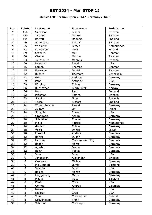### **QubicaAMF German Open 2014 / Germany / Gold**

| Pos.           | <b>Points</b>  | Last name      | <b>First name</b> | <b>Federation</b> |
|----------------|----------------|----------------|-------------------|-------------------|
| $\mathbf{1}$   | 150            | Svensson       | Jesper            | Sweden            |
| $\overline{2}$ | 120            | Jansson        | Markus            | Sweden            |
| 3              | 105            | <b>Barrett</b> | Dominic           | England           |
| $\overline{4}$ | 90             | Andersson      | Pontus            | Sweden            |
| 5              | 75             | Van Geel       | Jeroen            | Netherlands       |
| 6              | 72             | Koivuniemi     | Mika              | Finland           |
| $\overline{7}$ | 69             | Stampe         | Mik               | Denmark           |
| 8              | 66             | Olsson         | Mattias           | Sweden            |
| 9              | 63             | Johnson Jr     | Magnus            | Sweden            |
| 10             | 60             | Raymond        | Floyd             | <b>USA</b>        |
| 11             | 45             | Larsen         | Thomas            | Denmark           |
| 12             | 45             | Fransson       | Daniel            | Sweden            |
| 13             | 42             | Ruiz Jr        | Ildemaro          | Venezuela         |
| 14             | 42             | Gripp          | Andreas           | Germany           |
| 15             | 39             | Pepe           | Anthony           | <b>USA</b>        |
| 16             | 39             | Börding        | <b>Tobias</b>     | Germany           |
| 17             | 36             | Rudshagen      | Bjorn Einar       | Norway            |
| 18             | 36             | Moor           | Paul              | England           |
| 19             | 33             | Petersen       | Tommy             | Sweden            |
| 20             | 33             | Stenko         | Nino              | Slovenia          |
| 21             | 24             | Teece          | Richard           | England           |
| 22             | 24             | Winternheimer  | Pascal            | Germany           |
| 23             | 24             | Aviram         | <b>Or</b>         | Israel            |
| 24             | 24             | Smaglik        | Edward            | <b>USA</b>        |
| 25             | 24             | Grabowski      | Achim             | Germany           |
| 26             | 18             | Schneider      | Torsten           | Germany           |
| 27             | 18             | Meka           | Patrick           | Netherlands       |
| 28             | 18             | Gäbler         | <b>Tobias</b>     | Germany           |
| 29             | 18             | Vezis          | Daniel            | Latvia            |
| 30             | 18             | Lousdal        | Anders            | Denmark           |
| 31             | 12             | <b>Bartel</b>  | Dustin            | Germany           |
| 32             | 12             | Hansen         | Carsten Warming   | Denmark           |
| 33             | 12             | Baade          | Marco             | Germany           |
| 34             | 12             | Agerbo         | Jesper            | Denmark           |
| 35             | 12             | <b>Beier</b>   | <b>Tobias</b>     | Germany           |
| 36             | 9              | Voss           | <b>Brian</b>      | <b>USA</b>        |
| 37             | 9              | Johansson      | Alexander         | Sweden            |
| 38             | 9              | Grabovac       | Michael           | Germany           |
| 39             | 9              | Mc Dermott     | Jamie             | Scotland          |
| 40             | 9              | Valenta        | <b>Brian</b>      | <b>USA</b>        |
| 41             | $\overline{6}$ | <b>Balzer</b>  | Martin            | Germany           |
| 42             | 6              | Muggelberg     | Marcel            | Germany           |
| 43             | $\overline{6}$ | Maggi          | Mats              | Belgium           |
| 44             | 6              | Klerk          | Chris             | <b>USA</b>        |
| 45             | 6              | Gomez          | Andres            | Colombia          |
| 46             | 3              | Novak          | Steve             | <b>USA</b>        |
| 47             | $\overline{3}$ | Nidiffer       | Craig             | <b>USA</b>        |
| 48             | $\overline{3}$ | Sloan          | Christopher       | Ireland           |
| 49             | $\overline{3}$ | Drevenstedt    | Frank             | Germany           |
| 50             | $\overline{3}$ | Schurian       | Christoph         | Germany           |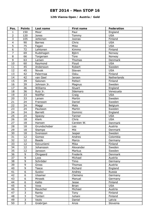### **12th Vianna Open / Austria / Gold**

| Pos.           | <b>Points</b>       | Last name         | First name        | Federation         |
|----------------|---------------------|-------------------|-------------------|--------------------|
| 1              | 150                 | Moor              | Paul              | England            |
| $\overline{2}$ | 120                 | Jones             | Tommy             | <b>USA</b>         |
| 3              | 105                 | Jehkinen          | Joonas            | Finland            |
| $\overline{4}$ | 90                  | <b>Barnes</b>     | Chris             | <b>USA</b>         |
| 5              | 75                  | Fagan             | Mike              | <b>USA</b>         |
| 6              | 72                  | Lehtonen          | Kimmo             | Finland            |
| $\overline{7}$ | 69                  | Rudshagen         | Björn             | Norway             |
| 8              | 66                  | Torgersen         | <b>Tore</b>       | Norway             |
| 9              | 63                  | Larsen            | Thomas            | Denmark            |
| 10             | 60                  | Raymond           | Floyd             | <b>USA</b>         |
| 11             | 45                  | Andersson         | Robert            | Sweden             |
| 12             | 45                  | Novak             | Steven            | <b>USA</b>         |
| 13             | 42                  | Palermaa          | Osku              | Finland            |
| 14             | 42                  | van Geel          | Jeroen            | Netherlands        |
| 15             | 39                  | Salonen           | Petteri           | Finland            |
| 16             | 39                  | Johnson Jr.       | Magnus            | Sweden             |
| 17             | 36                  | Williams          | Stuart            | England            |
| 18             | 36                  | Ruiz Jr.          | Ildemaro          | Venezuela          |
| 19             | 33                  | Nidiffer          | Craig             | <b>USA</b>         |
| 20             | 33                  | Larsen            | Martin            | Sweden             |
| 21             | 24                  | Fransson          | Daniel            | Sweden             |
| 22             | 24                  | Maggi             | Mats              | Belgium            |
| 23             | 24                  | Paulsson          | Martin            | Sweden             |
| 24             | 24                  | <b>Barrett</b>    | Dominic           | England            |
| 25             | 24                  | Spacey            | Tanner            | <b>USA</b>         |
| 26             | 18                  | Klerk             | Chris             | <b>USA</b>         |
| 27             | 18                  | Hansen            | Carsten W.        | Denmark            |
| 28             | 18                  | Grundschober      | Leo               | Austria            |
| 29             | 18                  | Stampe            | Mik               | Denmark            |
| 30             | 18                  | Svensson          | Jesper            | Sweden             |
| 31             | 12                  | Gomez             | Andres            | Colombia           |
| 32             | 12                  | Baade             | Marco             | Germany            |
| 33             | 12                  | Koivuniemi        | Mika              | Finland            |
| 34             | 12                  | Johansson         | Alexander         | Sweden             |
| 35             | 12                  | Jansson           | Markus            | Sweden             |
| 36             | 9                   | Öhrgaard          | Frederik          | Denmark            |
| 37             | 9                   | Loos              | Michael           | Austria            |
| 38             | 9                   | Schröder          | Timo              |                    |
| 39             | 9                   | Gross             | Thomas            | Germany<br>Austria |
| 40             | 9                   | Teece             | Richard           | England            |
| 41             | $\overline{6}$      |                   |                   |                    |
|                | 6                   | Suslov            | Andrey            | Russia             |
| 42<br>43       | $\overline{6}$      | Ulsamer<br>Mrosek | Clemens<br>Manuel | Germany            |
|                | 6                   |                   |                   | Germany            |
| 44             |                     | Kallio            | Jesse             | Finland            |
| 45             | 6                   | Voss              | <b>Brian</b>      | <b>USA</b>         |
| 46             | 3<br>$\overline{3}$ | Rauscher          | Michael           | Austria            |
| 47             |                     | Ranta             | Tony              | Finland            |
| 48             | $\overline{3}$      | Tonteri           | Juhani            | Finland            |
| 49             | $\overline{3}$      | Vezis             | Daniel            | Latvia             |
| 50             | $\overline{3}$      | Grabrijan         | Anze              | Slovenia           |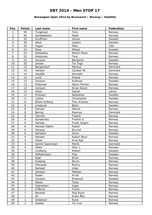### **Norwegian Open 2014 by Brunswick / Norway / Satellite**

| Pos.            | <b>Points</b>           | Last name        | First name     | Federation |
|-----------------|-------------------------|------------------|----------------|------------|
| 1               | 50                      | Torgersen        | Tore           | Norway     |
| $\overline{2}$  | 40                      | Sandbækken       | Mads           | Norway     |
| 3               | 35                      | Gruffman         | <b>James</b>   | Sweden     |
| $\overline{4}$  | 30                      | West             | Joakim         | Sweden     |
| 5               | 25                      | Fagan            | Mike           | <b>USA</b> |
| 6               | 24                      | Roos             | Mikael         | Sweden     |
| $\overline{7}$  | 23                      | Stikbakke        | Martin Moen    | Norway     |
| 8               | 22                      | Rokkones         | Tore           | Norway     |
| 9               | 21                      | Jonsson          | Benjamin       | Sweden     |
| 10              | 20                      | Jansen           | Tor Inge       | Norway     |
| 11              | 15                      | Bergendorf       | Markus         | Denmark    |
| 12              | 15                      | Hansen           | Carsten W.     | Denmark    |
| 13              | 14                      | Haukas           | Kenneth        | Norway     |
| 14              | 14                      | Lund             | Erland         | Norway     |
| 15              | 13                      | Jonsson          | Andreas        | Sweden     |
| 16              | 13                      | Pedersen         | Glenn Morten   | Norway     |
| 17              | 12                      | Jonsson          | Arnar David    | Norway     |
| 18              | 12                      | Vezis            | Daniel         | Latvia     |
| 19              | 11                      | Eriksson         | Sebastian      | Sweden     |
| 20              | 11                      | Lüttke           | Christopher    | Sweden     |
| 21              | $\,8\,$                 | Østlie Solberg   | Thor Kristian  | Norway     |
| 22              | 8                       | Lindqvist        | Björn          | Sweden     |
| 23              | $\overline{8}$          | Hansen           | Henrik         | Norway     |
| 24              | $\overline{8}$          | Bering           | Rasmus         | Denmark    |
| 25              | $\overline{8}$          | Tjernes          | Fredrik        | Norway     |
| 26              | $\overline{6}$          | Gundersby        | Fredrik G      | Norway     |
| 27              | 6                       | Aaneby           | Frode Jørgen   | Norway     |
| 28              | 6                       | Hansen Sælen     | Ruben          | Norway     |
| 29              | 6                       | Harang           | Øyvind         | Norway     |
| 30              | $\overline{6}$          | Karlsson         | Kevin          | Sweden     |
| $\overline{31}$ | $\overline{4}$          | Hansen           | Audun Boye     | Norway     |
| $\overline{32}$ | $\overline{\mathbf{4}}$ | Olsen            | Arne Egil      | Norway     |
| 33              | $\overline{4}$          | Jannik Soerensen | Patrik         | Denmark    |
| 34              | $\overline{4}$          | Olsen            | Olav J.        | Norway     |
| 35              | $\overline{4}$          | Lindberg         | Robert         | Sweden     |
| 36              | $\overline{3}$          | Wilhelmsson      | Filip          | Sweden     |
| 37              | $\overline{3}$          | Kjær             | <b>Brian</b>   | Norway     |
| 38              | $\overline{3}$          | Kulseng          | Øyvin          | Norway     |
| 39              | $\overline{3}$          | Olavesen         | Ronny          | Norway     |
| 40              | $\overline{3}$          | <b>Barkald</b>   | Vidar          | Norway     |
| 41              | $\overline{2}$          | Jansson          | <b>Mattias</b> | Norway     |
| 42              | $\overline{2}$          | Espen            | Arvid          | Norway     |
| 43              | $\overline{2}$          | Jonsson          | Emanuel        | Sweden     |
| 44              | $\overline{2}$          | Nilsen           | Terje          | Norway     |
| 45              | $\overline{2}$          | Gabrielsen       | Ingar          | Norway     |
| 46              | $\mathbf{1}$            | Kråkmo           | Trond          | Norway     |
| 47              | $\mathbf{1}$            | <b>Barstad</b>   | Stig Rune      | Norway     |
| 48              | $\mathbf{1}$            | Ek               | Svein Åke      | Norway     |
| 49              | $\mathbf{1}$            | Andersen         | Rune           | Norway     |
| 50              | $\mathbf{1}$            | Grødal           | Tor Ivar       | Norway     |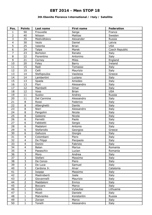### **3th Ebonite Florence International / Italy / Satellite**

| Pos.            | <b>Points</b>           | Last name   | First name   | Federation     |
|-----------------|-------------------------|-------------|--------------|----------------|
| $\mathbf{1}$    | 50                      | Frouvelle   | Serge        | France         |
| $\overline{2}$  | 40                      | Nilsson     | Mattias      | Sweden         |
| 3               | 35                      | Medvidtskov | Alexander    | Russia         |
| $\overline{4}$  | 30                      | Vezis       | Daniel       | Latvia         |
| 5               | 25                      | Valenta     | <b>Brian</b> | <b>USA</b>     |
| 6               | 24                      | Talpa       | Marek        | Czech Republic |
| $\overline{7}$  | 23                      | Bortolon    | Renato       | Italy          |
| 8               | 22                      | Fiorentino  | Antonino     | Italy          |
| 9               | 21                      | Corney      | Miles        | England        |
| 10              | 20                      | Foley       | Barry        | Ireland        |
| 11              | 15                      | Radi        | Tomasso      | Italy          |
| 12              | 15                      | Celli       | Maurizio     | Italy          |
| 13              | 14                      | Stefopoulos | Vasileios    | Greece         |
| 14              | 14                      | Lambertini  | Luciano      | Italy          |
| 15              | 13                      | Spada       | Amedeo       | Italy          |
| 16              | 13                      | Flori       | Alessandro   | Italy          |
| 17              | 12                      | Mambelli    | Omar         | Italy          |
| 18              | 12                      | Voss        | <b>Brian</b> | <b>USA</b>     |
| 19              | 11                      | Suslov      | Andrey       | Russia         |
| 20              | 11                      | Del Carmine | Alessandro   | Italy          |
| 21              | $\,8\,$                 | Rossi       | Federico     | Italy          |
| 22              | 8                       | Alberghetti | Danilo       | Italy          |
| 23              | $\overline{8}$          | Nieri       | Alessandro   | Italy          |
| 24              | $\overline{8}$          | Pangolini   | Nicola       | Italy          |
| 25              | $\overline{8}$          | Galeone     | Nicola       | Italy          |
| 26              | $\overline{6}$          | Ferretti    | Paolo        | Italy          |
| 27              | 6                       | Fabbietti   | Sergio       | Italy          |
| 28              | 6                       | Madaloni    | Antonio      | Italy          |
| 29              | 6                       | Stefanidis  | Georgios     | Greece         |
| 30              | $\overline{6}$          | Galluzzo    | Giorgio      | Italy          |
| $\overline{31}$ | $\overline{\mathbf{4}}$ | Colombani   | Piero        | Italy          |
| $\overline{32}$ | $\overline{\mathbf{4}}$ | De Filippi  | Pierpaolo    | Italy          |
| 33              | $\overline{4}$          | Donini      | Fabrizio     | Italy          |
| 34              | $\overline{4}$          | Balan       | Marius       | Romania        |
| 35              | $\overline{\mathbf{4}}$ | Paeaschiv   | Lucian       | Romania        |
| 36              | $\overline{3}$          | Moro        | Andrea       | Italy          |
| 37              | $\overline{3}$          | Stefani     | Massimo      | Italy          |
| 38              | $\overline{3}$          | De Cenzo    | Piero        | Italy          |
| 39              | $\overline{3}$          | De Luca     | Samuel       | Italy          |
| 40              | $\overline{3}$          | Cardona Jr. | Alvar        | Catalonia      |
| 41              | $\overline{2}$          | Isoppp      | Massimo      | Italy          |
| 42              | $\overline{2}$          | Mastroberti | Joele        | Italy          |
| 43              | $\overline{2}$          | Giovannelli | Maurizio     | Italy          |
| 44              | $\overline{2}$          | Maddaloni   | Enrico       | Italy          |
| 45              | $\overline{2}$          | Boccaro     | Marco        | Italy          |
| 46              | $\mathbf{1}$            | Gykis       | Vytautas     | Lithuania      |
| 47              | $\mathbf{1}$            | Miceli      | Daniele      | Italy          |
| 48              | $\mathbf{1}$            | Matvienko   | Konstantin   | Russia         |
| 49              | $\mathbf{1}$            | Zorzan      | Marco        | Italy          |
| 50              | $\mathbf{1}$            | Tonelli     | Alessandro   | Italy          |